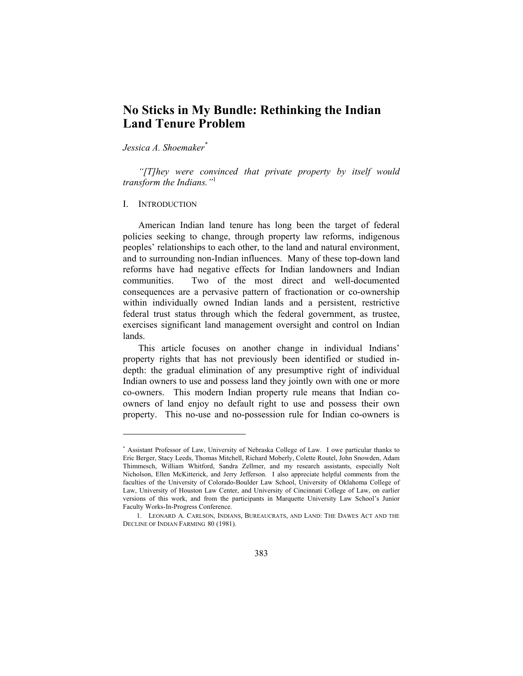# **No Sticks in My Bundle: Rethinking the Indian Land Tenure Problem**

*Jessica A. Shoemaker\**

*"[T]hey were convinced that private property by itself would transform the Indians."*<sup>1</sup>

## I. INTRODUCTION

 $\overline{\phantom{a}}$ 

American Indian land tenure has long been the target of federal policies seeking to change, through property law reforms, indigenous peoples' relationships to each other, to the land and natural environment, and to surrounding non-Indian influences. Many of these top-down land reforms have had negative effects for Indian landowners and Indian communities. Two of the most direct and well-documented consequences are a pervasive pattern of fractionation or co-ownership within individually owned Indian lands and a persistent, restrictive federal trust status through which the federal government, as trustee, exercises significant land management oversight and control on Indian lands.

This article focuses on another change in individual Indians' property rights that has not previously been identified or studied indepth: the gradual elimination of any presumptive right of individual Indian owners to use and possess land they jointly own with one or more co-owners. This modern Indian property rule means that Indian coowners of land enjoy no default right to use and possess their own property. This no-use and no-possession rule for Indian co-owners is

<sup>\*</sup> Assistant Professor of Law, University of Nebraska College of Law. I owe particular thanks to Eric Berger, Stacy Leeds, Thomas Mitchell, Richard Moberly, Colette Routel, John Snowden, Adam Thimmesch, William Whitford, Sandra Zellmer, and my research assistants, especially Nolt Nicholson, Ellen McKitterick, and Jerry Jefferson. I also appreciate helpful comments from the faculties of the University of Colorado-Boulder Law School, University of Oklahoma College of Law, University of Houston Law Center, and University of Cincinnati College of Law, on earlier versions of this work, and from the participants in Marquette University Law School's Junior Faculty Works-In-Progress Conference.

 <sup>1.</sup> LEONARD A. CARLSON, INDIANS, BUREAUCRATS, AND LAND: THE DAWES ACT AND THE DECLINE OF INDIAN FARMING 80 (1981).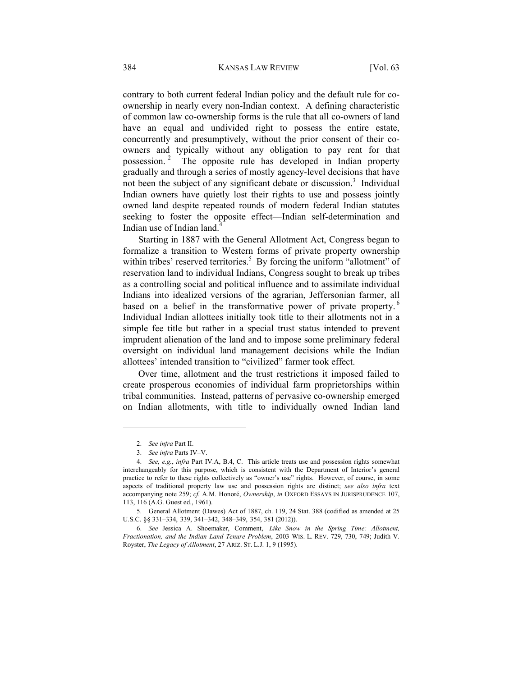contrary to both current federal Indian policy and the default rule for coownership in nearly every non-Indian context. A defining characteristic of common law co-ownership forms is the rule that all co-owners of land have an equal and undivided right to possess the entire estate, concurrently and presumptively, without the prior consent of their coowners and typically without any obligation to pay rent for that possession. 2 The opposite rule has developed in Indian property gradually and through a series of mostly agency-level decisions that have not been the subject of any significant debate or discussion.<sup>3</sup> Individual Indian owners have quietly lost their rights to use and possess jointly owned land despite repeated rounds of modern federal Indian statutes seeking to foster the opposite effect—Indian self-determination and Indian use of Indian land.<sup>4</sup>

Starting in 1887 with the General Allotment Act, Congress began to formalize a transition to Western forms of private property ownership within tribes' reserved territories.<sup>5</sup> By forcing the uniform "allotment" of reservation land to individual Indians, Congress sought to break up tribes as a controlling social and political influence and to assimilate individual Indians into idealized versions of the agrarian, Jeffersonian farmer, all based on a belief in the transformative power of private property.<sup>6</sup> Individual Indian allottees initially took title to their allotments not in a simple fee title but rather in a special trust status intended to prevent imprudent alienation of the land and to impose some preliminary federal oversight on individual land management decisions while the Indian allottees' intended transition to "civilized" farmer took effect.

Over time, allotment and the trust restrictions it imposed failed to create prosperous economies of individual farm proprietorships within tribal communities. Instead, patterns of pervasive co-ownership emerged on Indian allotments, with title to individually owned Indian land

 <sup>2.</sup> *See infra* Part II.

 <sup>3.</sup> *See infra* Parts IV–V.

 <sup>4.</sup> *See, e.g.*, *infra* Part IV.A, B.4, C. This article treats use and possession rights somewhat interchangeably for this purpose, which is consistent with the Department of Interior's general practice to refer to these rights collectively as "owner's use" rights. However, of course, in some aspects of traditional property law use and possession rights are distinct; *see also infra* text accompanying note 259; *cf.* A.M. Honoré, *Ownership*, *in* OXFORD ESSAYS IN JURISPRUDENCE 107, 113, 116 (A.G. Guest ed., 1961).

 <sup>5.</sup> General Allotment (Dawes) Act of 1887, ch. 119, 24 Stat. 388 (codified as amended at 25 U.S.C. §§ 331–334, 339, 341–342, 348–349, 354, 381 (2012)).

 <sup>6.</sup> *See* Jessica A. Shoemaker, Comment, *Like Snow in the Spring Time: Allotment, Fractionation, and the Indian Land Tenure Problem*, 2003 WIS. L. REV. 729, 730, 749; Judith V. Royster, *The Legacy of Allotment*, 27 ARIZ. ST. L.J. 1, 9 (1995).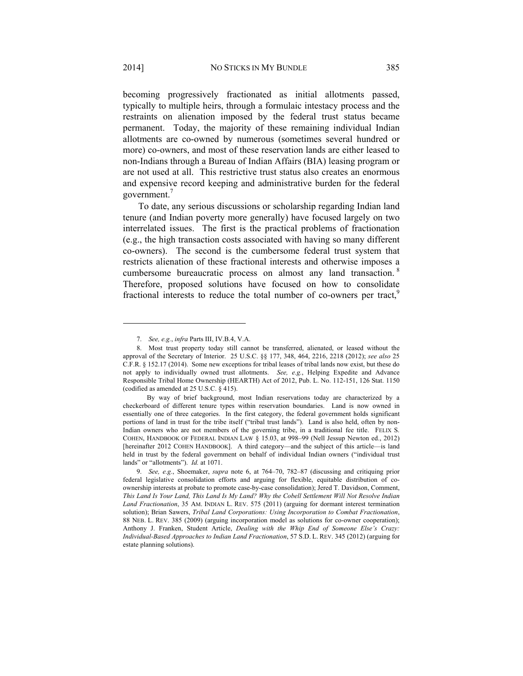becoming progressively fractionated as initial allotments passed, typically to multiple heirs, through a formulaic intestacy process and the restraints on alienation imposed by the federal trust status became permanent. Today, the majority of these remaining individual Indian allotments are co-owned by numerous (sometimes several hundred or more) co-owners, and most of these reservation lands are either leased to non-Indians through a Bureau of Indian Affairs (BIA) leasing program or are not used at all. This restrictive trust status also creates an enormous and expensive record keeping and administrative burden for the federal government.<sup>7</sup>

To date, any serious discussions or scholarship regarding Indian land tenure (and Indian poverty more generally) have focused largely on two interrelated issues. The first is the practical problems of fractionation (e.g., the high transaction costs associated with having so many different co-owners). The second is the cumbersome federal trust system that restricts alienation of these fractional interests and otherwise imposes a cumbersome bureaucratic process on almost any land transaction. <sup>8</sup> Therefore, proposed solutions have focused on how to consolidate fractional interests to reduce the total number of co-owners per tract,<sup>9</sup>

 <sup>7.</sup> *See, e.g.*, *infra* Parts III, IV.B.4, V.A.

 <sup>8.</sup> Most trust property today still cannot be transferred, alienated, or leased without the approval of the Secretary of Interior. 25 U.S.C. §§ 177, 348, 464, 2216, 2218 (2012); *see also* 25 C.F.R. § 152.17 (2014). Some new exceptions for tribal leases of tribal lands now exist, but these do not apply to individually owned trust allotments. *See, e.g.*, Helping Expedite and Advance Responsible Tribal Home Ownership (HEARTH) Act of 2012, Pub. L. No. 112-151, 126 Stat. 1150 (codified as amended at 25 U.S.C. § 415).

By way of brief background, most Indian reservations today are characterized by a checkerboard of different tenure types within reservation boundaries. Land is now owned in essentially one of three categories. In the first category, the federal government holds significant portions of land in trust for the tribe itself ("tribal trust lands"). Land is also held, often by non-Indian owners who are not members of the governing tribe, in a traditional fee title. FELIX S. COHEN, HANDBOOK OF FEDERAL INDIAN LAW § 15.03, at 998–99 (Nell Jessup Newton ed., 2012) [hereinafter 2012 COHEN HANDBOOK]. A third category—and the subject of this article—is land held in trust by the federal government on behalf of individual Indian owners ("individual trust lands" or "allotments"). *Id.* at 1071.

 <sup>9.</sup> *See, e.g.*, Shoemaker, *supra* note 6, at 764–70, 782–87 (discussing and critiquing prior federal legislative consolidation efforts and arguing for flexible, equitable distribution of coownership interests at probate to promote case-by-case consolidation); Jered T. Davidson, Comment, *This Land Is Your Land, This Land Is My Land? Why the Cobell Settlement Will Not Resolve Indian Land Fractionation*, 35 AM. INDIAN L. REV. 575 (2011) (arguing for dormant interest termination solution); Brian Sawers, *Tribal Land Corporations: Using Incorporation to Combat Fractionation*, 88 NEB. L. REV. 385 (2009) (arguing incorporation model as solutions for co-owner cooperation); Anthony J. Franken, Student Article, *Dealing with the Whip End of Someone Else's Crazy: Individual-Based Approaches to Indian Land Fractionation*, 57 S.D. L. REV. 345 (2012) (arguing for estate planning solutions).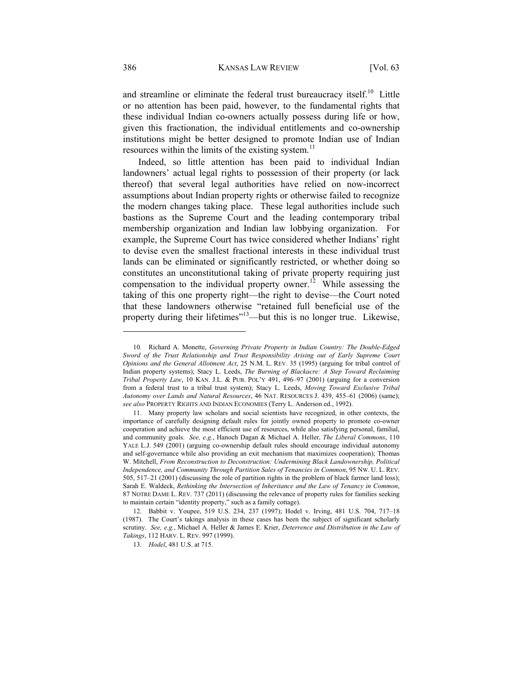and streamline or eliminate the federal trust bureaucracy itself.<sup>10</sup> Little or no attention has been paid, however, to the fundamental rights that these individual Indian co-owners actually possess during life or how, given this fractionation, the individual entitlements and co-ownership institutions might be better designed to promote Indian use of Indian resources within the limits of the existing system. $<sup>11</sup>$ </sup>

Indeed, so little attention has been paid to individual Indian landowners' actual legal rights to possession of their property (or lack thereof) that several legal authorities have relied on now-incorrect assumptions about Indian property rights or otherwise failed to recognize the modern changes taking place. These legal authorities include such bastions as the Supreme Court and the leading contemporary tribal membership organization and Indian law lobbying organization. For example, the Supreme Court has twice considered whether Indians' right to devise even the smallest fractional interests in these individual trust lands can be eliminated or significantly restricted, or whether doing so constitutes an unconstitutional taking of private property requiring just compensation to the individual property owner.<sup>12</sup> While assessing the taking of this one property right—the right to devise—the Court noted that these landowners otherwise "retained full beneficial use of the property during their lifetimes"13—but this is no longer true. Likewise,

<sup>10</sup>*.* Richard A. Monette, *Governing Private Property in Indian Country: The Double-Edged Sword of the Trust Relationship and Trust Responsibility Arising out of Early Supreme Court Opinions and the General Allotment Act*, 25 N.M. L. REV. 35 (1995) (arguing for tribal control of Indian property systems); Stacy L. Leeds, *The Burning of Blackacre: A Step Toward Reclaiming Tribal Property Law*, 10 KAN. J.L. & PUB. POL'Y 491, 496–97 (2001) (arguing for a conversion from a federal trust to a tribal trust system); Stacy L. Leeds, *Moving Toward Exclusive Tribal Autonomy over Lands and Natural Resources*, 46 NAT. RESOURCES J. 439, 455–61 (2006) (same); *see also* PROPERTY RIGHTS AND INDIAN ECONOMIES (Terry L. Anderson ed., 1992).

 <sup>11.</sup> Many property law scholars and social scientists have recognized, in other contexts, the importance of carefully designing default rules for jointly owned property to promote co-owner cooperation and achieve the most efficient use of resources, while also satisfying personal, familial, and community goals. *See, e.g.*, Hanoch Dagan & Michael A. Heller, *The Liberal Commons*, 110 YALE L.J. 549 (2001) (arguing co-ownership default rules should encourage individual autonomy and self-governance while also providing an exit mechanism that maximizes cooperation); Thomas W. Mitchell, *From Reconstruction to Deconstruction: Undermining Black Landownership, Political Independence, and Community Through Partition Sales of Tenancies in Common*, 95 NW. U. L. REV. 505, 517–21 (2001) (discussing the role of partition rights in the problem of black farmer land loss); Sarah E. Waldeck, *Rethinking the Intersection of Inheritance and the Law of Tenancy in Common*, 87 NOTRE DAME L. REV. 737 (2011) (discussing the relevance of property rules for families seeking to maintain certain "identity property," such as a family cottage).

 <sup>12.</sup> Babbit v. Youpee, 519 U.S. 234, 237 (1997); Hodel v. Irving, 481 U.S. 704, 717–18 (1987). The Court's takings analysis in these cases has been the subject of significant scholarly scrutiny. *See, e.g.*, Michael A. Heller & James E. Krier, *Deterrence and Distribution in the Law of Takings*, 112 HARV. L. REV. 997 (1999).

 <sup>13.</sup> *Hodel*, 481 U.S. at 715.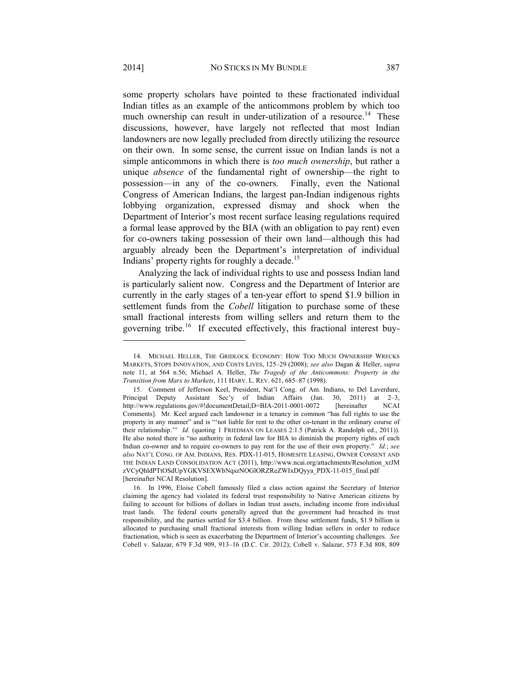some property scholars have pointed to these fractionated individual Indian titles as an example of the anticommons problem by which too much ownership can result in under-utilization of a resource.<sup>14</sup> These discussions, however, have largely not reflected that most Indian landowners are now legally precluded from directly utilizing the resource on their own. In some sense, the current issue on Indian lands is not a simple anticommons in which there is *too much ownership*, but rather a unique *absence* of the fundamental right of ownership—the right to possession—in any of the co-owners. Finally, even the National Congress of American Indians, the largest pan-Indian indigenous rights lobbying organization, expressed dismay and shock when the Department of Interior's most recent surface leasing regulations required a formal lease approved by the BIA (with an obligation to pay rent) even for co-owners taking possession of their own land—although this had arguably already been the Department's interpretation of individual Indians' property rights for roughly a decade.<sup>15</sup>

Analyzing the lack of individual rights to use and possess Indian land is particularly salient now. Congress and the Department of Interior are currently in the early stages of a ten-year effort to spend \$1.9 billion in settlement funds from the *Cobell* litigation to purchase some of these small fractional interests from willing sellers and return them to the governing tribe.<sup>16</sup> If executed effectively, this fractional interest buy-

 <sup>14.</sup> MICHAEL HELLER, THE GRIDLOCK ECONOMY: HOW TOO MUCH OWNERSHIP WRECKS MARKETS, STOPS INNOVATION, AND COSTS LIVES, 125–29 (2008); *see also* Dagan & Heller, *supra*  note 11, at 564 n.56; Michael A. Heller, *The Tragedy of the Anticommons: Property in the Transition from Marx to Markets*, 111 HARV. L. REV. 621, 685–87 (1998).

 <sup>15.</sup> Comment of Jefferson Keel, President, Nat'l Cong. of Am. Indians, to Del Laverdure, Principal Deputy Assistant Sec'y of Indian Affairs (Jan. 30, 2011) at 2–3, http://www.regulations.gov/#!documentDetail;D=BIA-2011-0001-0072 [hereinafter NCAI Comments]. Mr. Keel argued each landowner in a tenancy in common "has full rights to use the property in any manner" and is "'not liable for rent to the other co-tenant in the ordinary course of their relationship.'" *Id.* (quoting 1 FRIEDMAN ON LEASES 2:1.5 (Patrick A. Randolph ed., 2011)). He also noted there is "no authority in federal law for BIA to diminish the property rights of each Indian co-owner and to require co-owners to pay rent for the use of their own property." *Id.*; *see also* NAT'L CONG. OF AM. INDIANS, RES. PDX-11-015, HOMESITE LEASING, OWNER CONSENT AND THE INDIAN LAND CONSOLIDATION ACT (2011), http://www.ncai.org/attachments/Resolution\_xrJM zVCyQhldPTtOSdUpYGKVSEXWbNqszNOGlORZReZWIxDQyya\_PDX-11-015\_final.pdf [hereinafter NCAI Resolution].

 <sup>16.</sup> In 1996, Eloise Cobell famously filed a class action against the Secretary of Interior claiming the agency had violated its federal trust responsibility to Native American citizens by failing to account for billions of dollars in Indian trust assets, including income from individual trust lands. The federal courts generally agreed that the government had breached its trust responsibility, and the parties settled for \$3.4 billion. From these settlement funds, \$1.9 billion is allocated to purchasing small fractional interests from willing Indian sellers in order to reduce fractionation, which is seen as exacerbating the Department of Interior's accounting challenges. *See*  Cobell v. Salazar, 679 F.3d 909, 913–16 (D.C. Cir. 2012); Cobell v. Salazar, 573 F.3d 808, 809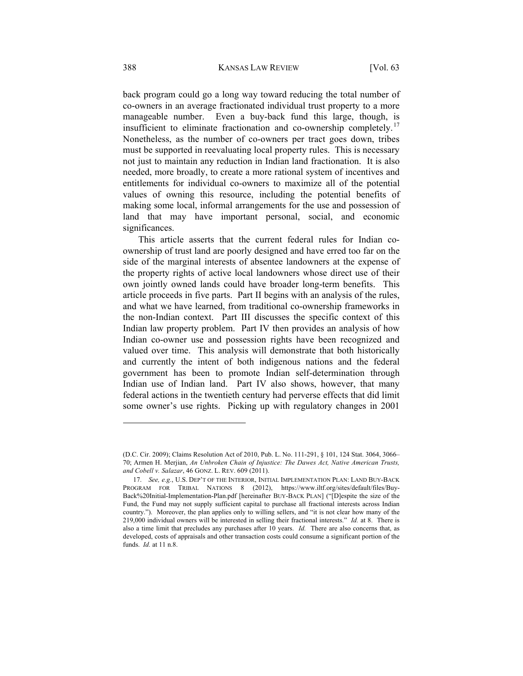back program could go a long way toward reducing the total number of co-owners in an average fractionated individual trust property to a more manageable number. Even a buy-back fund this large, though, is insufficient to eliminate fractionation and co-ownership completely.<sup>17</sup> Nonetheless, as the number of co-owners per tract goes down, tribes must be supported in reevaluating local property rules. This is necessary not just to maintain any reduction in Indian land fractionation. It is also needed, more broadly, to create a more rational system of incentives and entitlements for individual co-owners to maximize all of the potential values of owning this resource, including the potential benefits of making some local, informal arrangements for the use and possession of land that may have important personal, social, and economic significances.

This article asserts that the current federal rules for Indian coownership of trust land are poorly designed and have erred too far on the side of the marginal interests of absentee landowners at the expense of the property rights of active local landowners whose direct use of their own jointly owned lands could have broader long-term benefits. This article proceeds in five parts. Part II begins with an analysis of the rules, and what we have learned, from traditional co-ownership frameworks in the non-Indian context. Part III discusses the specific context of this Indian law property problem. Part IV then provides an analysis of how Indian co-owner use and possession rights have been recognized and valued over time. This analysis will demonstrate that both historically and currently the intent of both indigenous nations and the federal government has been to promote Indian self-determination through Indian use of Indian land. Part IV also shows, however, that many federal actions in the twentieth century had perverse effects that did limit some owner's use rights. Picking up with regulatory changes in 2001

<sup>(</sup>D.C. Cir. 2009); Claims Resolution Act of 2010, Pub. L. No. 111-291, § 101, 124 Stat. 3064, 3066– 70; Armen H. Merjian, *An Unbroken Chain of Injustice: The Dawes Act, Native American Trusts, and Cobell v. Salazar*, 46 GONZ. L. REV. 609 (2011).

 <sup>17.</sup> *See, e.g.*, U.S. DEP'T OF THE INTERIOR, INITIAL IMPLEMENTATION PLAN: LAND BUY-BACK PROGRAM FOR TRIBAL NATIONS 8 (2012), https://www.iltf.org/sites/default/files/Buy-Back%20Initial-Implementation-Plan.pdf [hereinafter BUY-BACK PLAN] ("[D]espite the size of the Fund, the Fund may not supply sufficient capital to purchase all fractional interests across Indian country."). Moreover, the plan applies only to willing sellers, and "it is not clear how many of the 219,000 individual owners will be interested in selling their fractional interests." *Id.* at 8. There is also a time limit that precludes any purchases after 10 years. *Id.* There are also concerns that, as developed, costs of appraisals and other transaction costs could consume a significant portion of the funds. *Id.* at 11 n.8.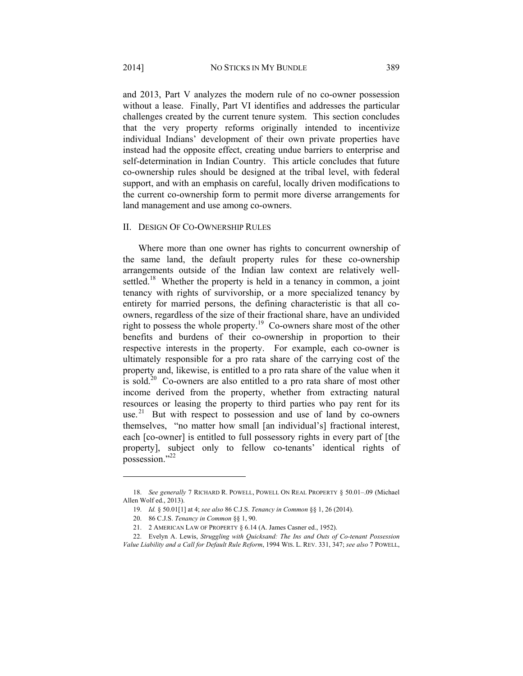and 2013, Part V analyzes the modern rule of no co-owner possession without a lease. Finally, Part VI identifies and addresses the particular challenges created by the current tenure system. This section concludes that the very property reforms originally intended to incentivize individual Indians' development of their own private properties have instead had the opposite effect, creating undue barriers to enterprise and self-determination in Indian Country. This article concludes that future co-ownership rules should be designed at the tribal level, with federal support, and with an emphasis on careful, locally driven modifications to the current co-ownership form to permit more diverse arrangements for land management and use among co-owners.

#### II. DESIGN OF CO-OWNERSHIP RULES

Where more than one owner has rights to concurrent ownership of the same land, the default property rules for these co-ownership arrangements outside of the Indian law context are relatively wellsettled.<sup>18</sup> Whether the property is held in a tenancy in common, a joint tenancy with rights of survivorship, or a more specialized tenancy by entirety for married persons, the defining characteristic is that all coowners, regardless of the size of their fractional share, have an undivided right to possess the whole property.<sup>19</sup> Co-owners share most of the other benefits and burdens of their co-ownership in proportion to their respective interests in the property. For example, each co-owner is ultimately responsible for a pro rata share of the carrying cost of the property and, likewise, is entitled to a pro rata share of the value when it is sold.<sup>20</sup> Co-owners are also entitled to a pro rata share of most other income derived from the property, whether from extracting natural resources or leasing the property to third parties who pay rent for its use. $21$  But with respect to possession and use of land by co-owners themselves, "no matter how small [an individual's] fractional interest, each [co-owner] is entitled to full possessory rights in every part of [the property], subject only to fellow co-tenants' identical rights of possession."<sup>22</sup>

 <sup>18.</sup> *See generally* 7 RICHARD R. POWELL, POWELL ON REAL PROPERTY § 50.01–.09 (Michael Allen Wolf ed., 2013).

 <sup>19.</sup> *Id.* § 50.01[1] at 4; *see also* 86 C.J.S. *Tenancy in Common* §§ 1, 26 (2014).

 <sup>20. 86</sup> C.J.S. *Tenancy in Common* §§ 1, 90.

 <sup>21. 2</sup> AMERICAN LAW OF PROPERTY § 6.14 (A. James Casner ed., 1952).

 <sup>22.</sup> Evelyn A. Lewis, *Struggling with Quicksand: The Ins and Outs of Co-tenant Possession Value Liability and a Call for Default Rule Reform*, 1994 WIS. L. REV. 331, 347; *see also* 7 POWELL,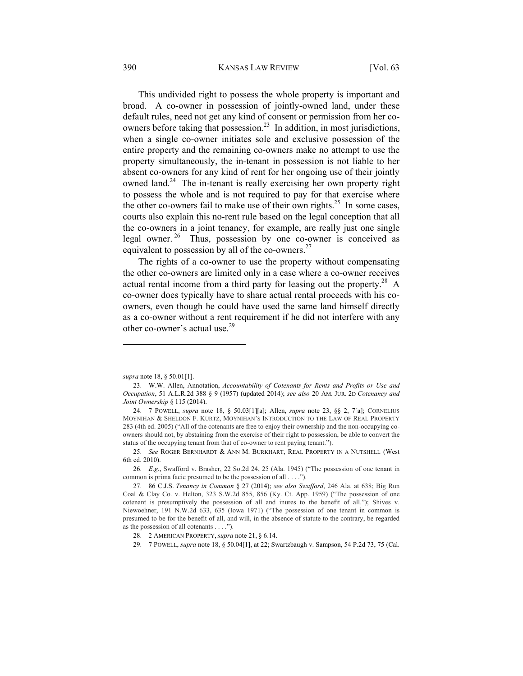This undivided right to possess the whole property is important and broad. A co-owner in possession of jointly-owned land, under these default rules, need not get any kind of consent or permission from her coowners before taking that possession.<sup>23</sup> In addition, in most jurisdictions, when a single co-owner initiates sole and exclusive possession of the entire property and the remaining co-owners make no attempt to use the property simultaneously, the in-tenant in possession is not liable to her absent co-owners for any kind of rent for her ongoing use of their jointly owned land.<sup>24</sup> The in-tenant is really exercising her own property right to possess the whole and is not required to pay for that exercise where the other co-owners fail to make use of their own rights.<sup>25</sup> In some cases, courts also explain this no-rent rule based on the legal conception that all the co-owners in a joint tenancy, for example, are really just one single legal owner. 26 Thus, possession by one co-owner is conceived as equivalent to possession by all of the co-owners. $27$ 

The rights of a co-owner to use the property without compensating the other co-owners are limited only in a case where a co-owner receives actual rental income from a third party for leasing out the property.<sup>28</sup> A co-owner does typically have to share actual rental proceeds with his coowners, even though he could have used the same land himself directly as a co-owner without a rent requirement if he did not interfere with any other co-owner's actual use.<sup>29</sup>

*supra* note 18, § 50.01[1].

 <sup>23.</sup> W.W. Allen, Annotation, *Accountability of Cotenants for Rents and Profits or Use and Occupation*, 51 A.L.R.2d 388 § 9 (1957) (updated 2014); *see also* 20 AM. JUR. 2D *Cotenancy and Joint Ownership* § 115 (2014).

 <sup>24. 7</sup> POWELL, *supra* note 18, § 50.03[1][a]; Allen, *supra* note 23, §§ 2, 7[a]; CORNELIUS MOYNIHAN & SHELDON F. KURTZ, MOYNIHAN'S INTRODUCTION TO THE LAW OF REAL PROPERTY 283 (4th ed. 2005) ("All of the cotenants are free to enjoy their ownership and the non-occupying coowners should not, by abstaining from the exercise of their right to possession, be able to convert the status of the occupying tenant from that of co-owner to rent paying tenant.").

 <sup>25.</sup> *See* ROGER BERNHARDT & ANN M. BURKHART, REAL PROPERTY IN A NUTSHELL (West 6th ed. 2010).

 <sup>26.</sup> *E.g.*, Swafford v. Brasher, 22 So.2d 24, 25 (Ala. 1945) ("The possession of one tenant in common is prima facie presumed to be the possession of all . . . .").

 <sup>27. 86</sup> C.J.S. *Tenancy in Common* § 27 (2014); *see also Swafford*, 246 Ala. at 638; Big Run Coal & Clay Co. v. Helton, 323 S.W.2d 855, 856 (Ky. Ct. App. 1959) ("The possession of one cotenant is presumptively the possession of all and inures to the benefit of all."); Shives v. Niewoehner, 191 N.W.2d 633, 635 (Iowa 1971) ("The possession of one tenant in common is presumed to be for the benefit of all, and will, in the absence of statute to the contrary, be regarded as the possession of all cotenants . . . .").

 <sup>28. 2</sup> AMERICAN PROPERTY, *supra* note 21, § 6.14.

 <sup>29. 7</sup> POWELL, *supra* note 18, § 50.04[1], at 22; Swartzbaugh v. Sampson, 54 P.2d 73, 75 (Cal.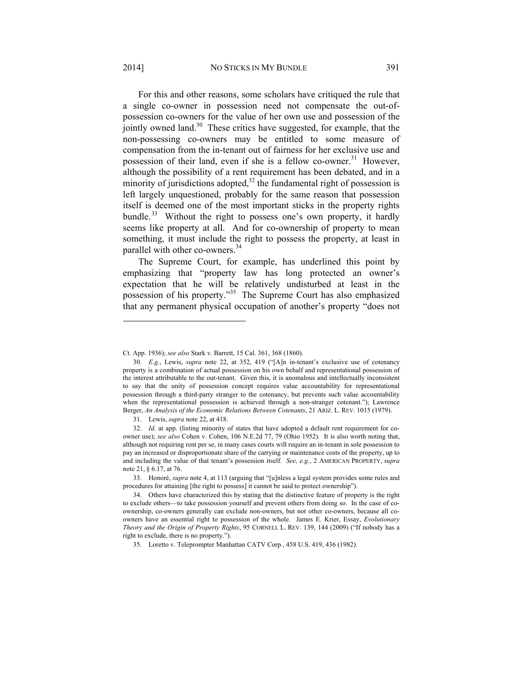For this and other reasons, some scholars have critiqued the rule that a single co-owner in possession need not compensate the out-ofpossession co-owners for the value of her own use and possession of the jointly owned land.<sup>30</sup> These critics have suggested, for example, that the non-possessing co-owners may be entitled to some measure of compensation from the in-tenant out of fairness for her exclusive use and possession of their land, even if she is a fellow co-owner.<sup>31</sup> However, although the possibility of a rent requirement has been debated, and in a minority of jurisdictions adopted, $32$  the fundamental right of possession is left largely unquestioned, probably for the same reason that possession itself is deemed one of the most important sticks in the property rights bundle.<sup>33</sup> Without the right to possess one's own property, it hardly seems like property at all. And for co-ownership of property to mean something, it must include the right to possess the property, at least in parallel with other co-owners.<sup>34</sup>

The Supreme Court, for example, has underlined this point by emphasizing that "property law has long protected an owner's expectation that he will be relatively undisturbed at least in the possession of his property."35 The Supreme Court has also emphasized that any permanent physical occupation of another's property "does not

Ct. App. 1936); *see also* Stark v. Barrett, 15 Cal. 361, 368 (1860).

 <sup>30.</sup> *E.g.*, Lewis, *supra* note 22, at 352, 419 ("[A]n in-tenant's exclusive use of cotenancy property is a combination of actual possession on his own behalf and representational possession of the interest attributable to the out-tenant. Given this, it is anomalous and intellectually inconsistent to say that the unity of possession concept requires value accountability for representational possession through a third-party stranger to the cotenancy, but prevents such value accountability when the representational possession is achieved through a non-stranger cotenant."); Lawrence Berger, *An Analysis of the Economic Relations Between Cotenants*, 21 ARIZ. L. REV. 1015 (1979).

 <sup>31.</sup> Lewis, *supra* note 22, at 418.

 <sup>32.</sup> *Id.* at app. (listing minority of states that have adopted a default rent requirement for coowner use); *see also* Cohen v. Cohen, 106 N.E.2d 77, 79 (Ohio 1952). It is also worth noting that, although not requiring rent per se, in many cases courts will require an in-tenant in sole possession to pay an increased or disproportionate share of the carrying or maintenance costs of the property, up to and including the value of that tenant's possession itself. *See, e.g.*, 2 AMERICAN PROPERTY, *supra*  note 21, § 6.17, at 76.

 <sup>33.</sup> Honoré, *supra* note 4, at 113 (arguing that "[u]nless a legal system provides some rules and procedures for attaining [the right to possess] it cannot be said to protect ownership").

 <sup>34.</sup> Others have characterized this by stating that the distinctive feature of property is the right to exclude others—to take possession yourself and prevent others from doing so. In the case of coownership, co-owners generally can exclude non-owners, but not other co-owners, because all coowners have an essential right to possession of the whole. James E. Krier, Essay, *Evolutionary Theory and the Origin of Property Rights*, 95 CORNELL L. REV. 139, 144 (2009) ("If nobody has a right to exclude, there is no property.").

 <sup>35.</sup> Loretto v. Teleprompter Manhattan CATV Corp*.*, 458 U.S. 419, 436 (1982).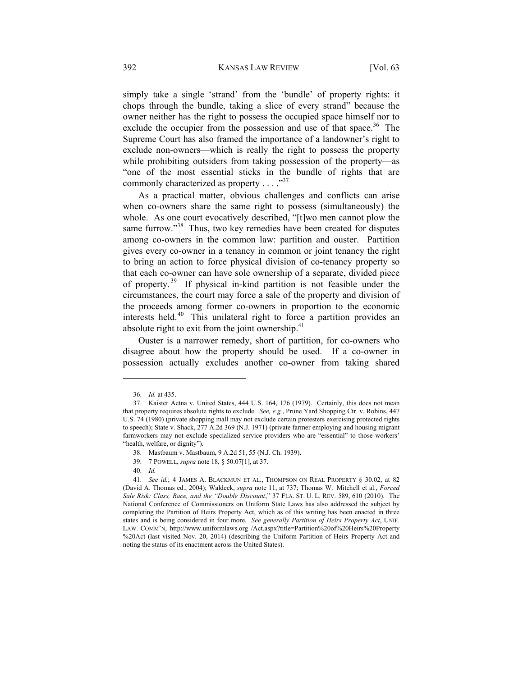simply take a single 'strand' from the 'bundle' of property rights: it chops through the bundle, taking a slice of every strand" because the owner neither has the right to possess the occupied space himself nor to exclude the occupier from the possession and use of that space.<sup>36</sup> The Supreme Court has also framed the importance of a landowner's right to exclude non-owners—which is really the right to possess the property while prohibiting outsiders from taking possession of the property—as "one of the most essential sticks in the bundle of rights that are commonly characterized as property  $\dots$ ."<sup>37</sup>

As a practical matter, obvious challenges and conflicts can arise when co-owners share the same right to possess (simultaneously) the whole. As one court evocatively described, "[t]wo men cannot plow the same furrow."<sup>38</sup> Thus, two key remedies have been created for disputes among co-owners in the common law: partition and ouster. Partition gives every co-owner in a tenancy in common or joint tenancy the right to bring an action to force physical division of co-tenancy property so that each co-owner can have sole ownership of a separate, divided piece of property. 39 If physical in-kind partition is not feasible under the circumstances, the court may force a sale of the property and division of the proceeds among former co-owners in proportion to the economic interests held.40 This unilateral right to force a partition provides an absolute right to exit from the joint ownership. $41$ 

Ouster is a narrower remedy, short of partition, for co-owners who disagree about how the property should be used. If a co-owner in possession actually excludes another co-owner from taking shared

 $\overline{\phantom{a}}$ 

40. *Id.*

 <sup>36.</sup> *Id.* at 435.

 <sup>37.</sup> Kaister Aetna v. United States, 444 U.S. 164, 176 (1979). Certainly, this does not mean that property requires absolute rights to exclude. *See, e.g.*, Prune Yard Shopping Ctr. v. Robins, 447 U.S. 74 (1980) (private shopping mall may not exclude certain protesters exercising protected rights to speech); State v. Shack, 277 A.2d 369 (N.J. 1971) (private farmer employing and housing migrant farmworkers may not exclude specialized service providers who are "essential" to those workers' "health, welfare, or dignity").

 <sup>38.</sup> Mastbaum v. Mastbaum, 9 A.2d 51, 55 (N.J. Ch. 1939).

 <sup>39. 7</sup> POWELL, *supra* note 18, § 50.07[1], at 37.

 <sup>41.</sup> *See id.*; 4 JAMES A. BLACKMUN ET AL., THOMPSON ON REAL PROPERTY § 30.02, at 82 (David A. Thomas ed., 2004); Waldeck, *supra* note 11, at 737; Thomas W. Mitchell et al., *Forced Sale Risk: Class, Race, and the "Double Discount*," 37 FLA. ST. U. L. REV. 589, 610 (2010). The National Conference of Commissioners on Uniform State Laws has also addressed the subject by completing the Partition of Heirs Property Act, which as of this writing has been enacted in three states and is being considered in four more. *See generally Partition of Heirs Property Act*, UNIF. LAW. COMM'N, http://www.uniformlaws.org /Act.aspx?title=Partition%20of%20Heirs%20Property %20Act (last visited Nov. 20, 2014) (describing the Uniform Partition of Heirs Property Act and noting the status of its enactment across the United States).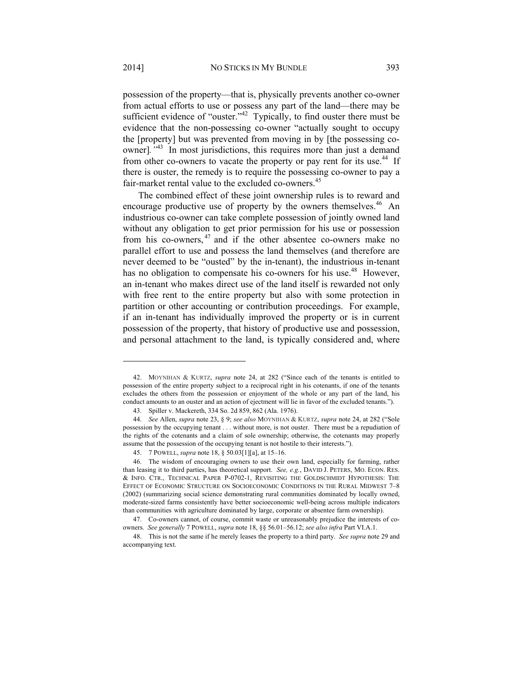possession of the property—that is, physically prevents another co-owner from actual efforts to use or possess any part of the land—there may be sufficient evidence of "ouster."<sup>42</sup> Typically, to find ouster there must be evidence that the non-possessing co-owner "actually sought to occupy the [property] but was prevented from moving in by [the possessing coowner]*."*43 In most jurisdictions, this requires more than just a demand from other co-owners to vacate the property or pay rent for its use.<sup>44</sup> If there is ouster, the remedy is to require the possessing co-owner to pay a fair-market rental value to the excluded co-owners.<sup>45</sup>

The combined effect of these joint ownership rules is to reward and encourage productive use of property by the owners themselves.<sup>46</sup> An industrious co-owner can take complete possession of jointly owned land without any obligation to get prior permission for his use or possession from his co-owners, 47 and if the other absentee co-owners make no parallel effort to use and possess the land themselves (and therefore are never deemed to be "ousted" by the in-tenant), the industrious in-tenant has no obligation to compensate his co-owners for his use.<sup>48</sup> However, an in-tenant who makes direct use of the land itself is rewarded not only with free rent to the entire property but also with some protection in partition or other accounting or contribution proceedings. For example, if an in-tenant has individually improved the property or is in current possession of the property, that history of productive use and possession, and personal attachment to the land, is typically considered and, where

 <sup>42.</sup> MOYNIHAN & KURTZ, *supra* note 24, at 282 ("Since each of the tenants is entitled to possession of the entire property subject to a reciprocal right in his cotenants, if one of the tenants excludes the others from the possession or enjoyment of the whole or any part of the land, his conduct amounts to an ouster and an action of ejectment will lie in favor of the excluded tenants.").

 <sup>43.</sup> Spiller v. Mackereth, 334 So. 2d 859, 862 (Ala. 1976).

 <sup>44.</sup> *See* Allen, *supra* note 23, § 9; *see also* MOYNIHAN & KURTZ, *supra* note 24, at 282 ("Sole possession by the occupying tenant . . . without more, is not ouster. There must be a repudiation of the rights of the cotenants and a claim of sole ownership; otherwise, the cotenants may properly assume that the possession of the occupying tenant is not hostile to their interests.").

 <sup>45. 7</sup> POWELL, *supra* note 18, § 50.03[1][a], at 15–16.

 <sup>46.</sup> The wisdom of encouraging owners to use their own land, especially for farming, rather than leasing it to third parties, has theoretical support. *See, e.g.*, DAVID J. PETERS, MO. ECON. RES. & INFO. CTR., TECHNICAL PAPER P-0702-1, REVISITING THE GOLDSCHMIDT HYPOTHESIS: THE EFFECT OF ECONOMIC STRUCTURE ON SOCIOECONOMIC CONDITIONS IN THE RURAL MIDWEST 7–8 (2002) (summarizing social science demonstrating rural communities dominated by locally owned, moderate-sized farms consistently have better socioeconomic well-being across multiple indicators than communities with agriculture dominated by large, corporate or absentee farm ownership).

 <sup>47.</sup> Co-owners cannot, of course, commit waste or unreasonably prejudice the interests of coowners. *See generally* 7 POWELL, *supra* note 18, §§ 56.01–56.12; *see also infra* Part VI.A.1.

 <sup>48.</sup> This is not the same if he merely leases the property to a third party. *See supra* note 29 and accompanying text.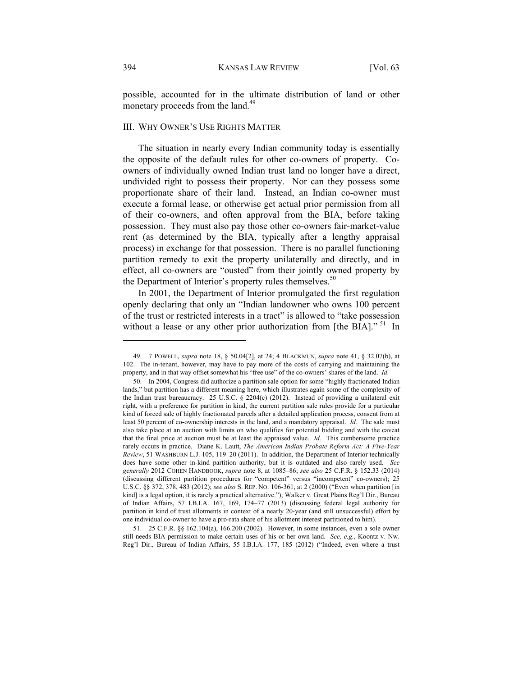possible, accounted for in the ultimate distribution of land or other monetary proceeds from the land.<sup>49</sup>

# III. WHY OWNER'S USE RIGHTS MATTER

The situation in nearly every Indian community today is essentially the opposite of the default rules for other co-owners of property. Coowners of individually owned Indian trust land no longer have a direct, undivided right to possess their property. Nor can they possess some proportionate share of their land. Instead, an Indian co-owner must execute a formal lease, or otherwise get actual prior permission from all of their co-owners, and often approval from the BIA, before taking possession. They must also pay those other co-owners fair-market-value rent (as determined by the BIA, typically after a lengthy appraisal process) in exchange for that possession. There is no parallel functioning partition remedy to exit the property unilaterally and directly, and in effect, all co-owners are "ousted" from their jointly owned property by the Department of Interior's property rules themselves.<sup>50</sup>

In 2001, the Department of Interior promulgated the first regulation openly declaring that only an "Indian landowner who owns 100 percent of the trust or restricted interests in a tract" is allowed to "take possession without a lease or any other prior authorization from [the BIA]." <sup>51</sup> In

 <sup>49. 7</sup> POWELL, *supra* note 18, § 50.04[2], at 24; 4 BLACKMUN, *supra* note 41, § 32.07(b), at 102. The in-tenant, however, may have to pay more of the costs of carrying and maintaining the property, and in that way offset somewhat his "free use" of the co-owners' shares of the land. *Id.* 

 <sup>50.</sup> In 2004, Congress did authorize a partition sale option for some "highly fractionated Indian lands," but partition has a different meaning here, which illustrates again some of the complexity of the Indian trust bureaucracy. 25 U.S.C. § 2204(c) (2012). Instead of providing a unilateral exit right, with a preference for partition in kind, the current partition sale rules provide for a particular kind of forced sale of highly fractionated parcels after a detailed application process, consent from at least 50 percent of co-ownership interests in the land, and a mandatory appraisal. *Id.* The sale must also take place at an auction with limits on who qualifies for potential bidding and with the caveat that the final price at auction must be at least the appraised value. *Id.* This cumbersome practice rarely occurs in practice. Diane K. Lautt, *The American Indian Probate Reform Act: A Five-Year Review*, 51 WASHBURN L.J. 105, 119–20 (2011). In addition, the Department of Interior technically does have some other in-kind partition authority, but it is outdated and also rarely used. *See generally* 2012 COHEN HANDBOOK, *supra* note 8, at 1085–86; *see also* 25 C.F.R. § 152.33 (2014) (discussing different partition procedures for "competent" versus "incompetent" co-owners); 25 U.S.C. §§ 372, 378, 483 (2012); *see also* S. REP. NO. 106-361, at 2 (2000) ("Even when partition [in kind] is a legal option, it is rarely a practical alternative."); Walker v. Great Plains Reg'l Dir., Bureau of Indian Affairs, 57 I.B.I.A. 167, 169, 174–77 (2013) (discussing federal legal authority for partition in kind of trust allotments in context of a nearly 20-year (and still unsuccessful) effort by one individual co-owner to have a pro-rata share of his allotment interest partitioned to him).

 <sup>51. 25</sup> C.F.R. §§ 162.104(a), 166.200 (2002). However, in some instances, even a sole owner still needs BIA permission to make certain uses of his or her own land. *See, e.g.*, Koontz v. Nw. Reg'l Dir., Bureau of Indian Affairs, 55 I.B.I.A. 177, 185 (2012) ("Indeed, even where a trust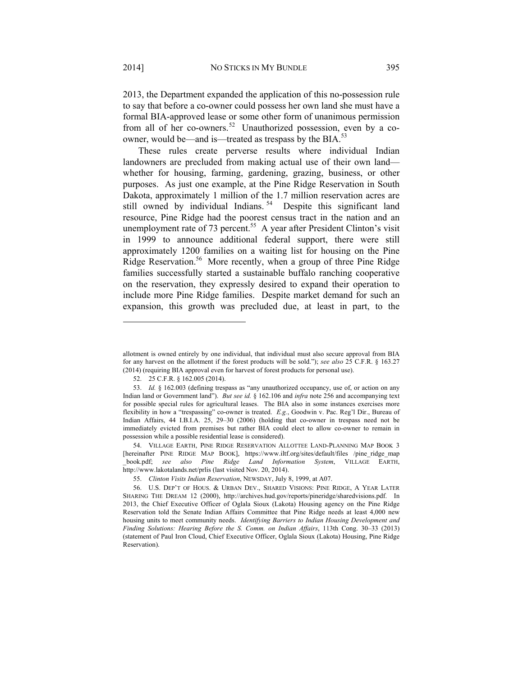2013, the Department expanded the application of this no-possession rule to say that before a co-owner could possess her own land she must have a formal BIA-approved lease or some other form of unanimous permission from all of her co-owners.<sup>52</sup> Unauthorized possession, even by a coowner, would be—and is—treated as trespass by the BIA.<sup>53</sup>

These rules create perverse results where individual Indian landowners are precluded from making actual use of their own land whether for housing, farming, gardening, grazing, business, or other purposes. As just one example, at the Pine Ridge Reservation in South Dakota, approximately 1 million of the 1.7 million reservation acres are still owned by individual Indians.<sup>54</sup> Despite this significant land resource, Pine Ridge had the poorest census tract in the nation and an unemployment rate of 73 percent.<sup>55</sup> A year after President Clinton's visit in 1999 to announce additional federal support, there were still approximately 1200 families on a waiting list for housing on the Pine Ridge Reservation.<sup>56</sup> More recently, when a group of three Pine Ridge families successfully started a sustainable buffalo ranching cooperative on the reservation, they expressly desired to expand their operation to include more Pine Ridge families. Despite market demand for such an expansion, this growth was precluded due, at least in part, to the

allotment is owned entirely by one individual, that individual must also secure approval from BIA for any harvest on the allotment if the forest products will be sold."); *see also* 25 C.F.R. § 163.27 (2014) (requiring BIA approval even for harvest of forest products for personal use).

 <sup>52. 25</sup> C.F.R. § 162.005 (2014).

 <sup>53.</sup> *Id.* § 162.003 (defining trespass as "any unauthorized occupancy, use of, or action on any Indian land or Government land"). *But see id.* § 162.106 and *infra* note 256 and accompanying text for possible special rules for agricultural leases. The BIA also in some instances exercises more flexibility in how a "trespassing" co-owner is treated. *E.g.*, Goodwin v. Pac. Reg'l Dir., Bureau of Indian Affairs, 44 I.B.I.A. 25, 29–30 (2006) (holding that co-owner in trespass need not be immediately evicted from premises but rather BIA could elect to allow co-owner to remain in possession while a possible residential lease is considered).

 <sup>54.</sup> VILLAGE EARTH, PINE RIDGE RESERVATION ALLOTTEE LAND-PLANNING MAP BOOK 3 [hereinafter PINE RIDGE MAP BOOK], https://www.iltf.org/sites/default/files /pine\_ridge\_map \_book.pdf; *see also Pine Ridge Land Information System*, VILLAGE EARTH, http://www.lakotalands.net/prlis (last visited Nov. 20, 2014).

 <sup>55.</sup> *Clinton Visits Indian Reservation*, NEWSDAY, July 8, 1999, at A07.

 <sup>56.</sup> U.S. DEP'T OF HOUS. & URBAN DEV., SHARED VISIONS: PINE RIDGE, A YEAR LATER SHARING THE DREAM 12 (2000), http://archives.hud.gov/reports/pineridge/sharedvisions.pdf. In 2013, the Chief Executive Officer of Oglala Sioux (Lakota) Housing agency on the Pine Ridge Reservation told the Senate Indian Affairs Committee that Pine Ridge needs at least 4,000 new housing units to meet community needs. *Identifying Barriers to Indian Housing Development and Finding Solutions: Hearing Before the S. Comm. on Indian Affairs*, 113th Cong. 30–33 (2013) (statement of Paul Iron Cloud, Chief Executive Officer, Oglala Sioux (Lakota) Housing, Pine Ridge Reservation).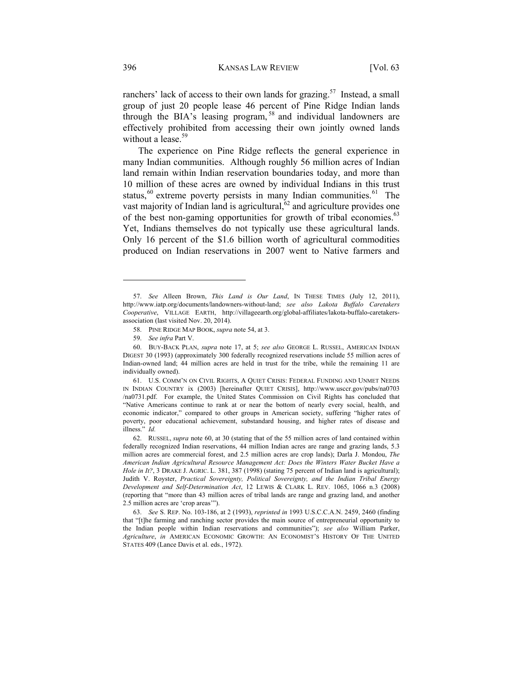ranchers' lack of access to their own lands for grazing.<sup>57</sup> Instead, a small group of just 20 people lease 46 percent of Pine Ridge Indian lands through the BIA's leasing program, 58 and individual landowners are effectively prohibited from accessing their own jointly owned lands without a lease.<sup>59</sup>

The experience on Pine Ridge reflects the general experience in many Indian communities. Although roughly 56 million acres of Indian land remain within Indian reservation boundaries today, and more than 10 million of these acres are owned by individual Indians in this trust status, $60$  extreme poverty persists in many Indian communities. $61$  The vast majority of Indian land is agricultural, $62$  and agriculture provides one of the best non-gaming opportunities for growth of tribal economies.<sup>63</sup> Yet, Indians themselves do not typically use these agricultural lands. Only 16 percent of the \$1.6 billion worth of agricultural commodities produced on Indian reservations in 2007 went to Native farmers and

 <sup>57.</sup> *See* Alleen Brown, *This Land is Our Land*, IN THESE TIMES (July 12, 2011), http://www.iatp.org/documents/landowners-without-land; *see also Lakota Buffalo Caretakers Cooperative*, VILLAGE EARTH, http://villageearth.org/global-affiliates/lakota-buffalo-caretakersassociation (last visited Nov. 20, 2014).

 <sup>58.</sup> PINE RIDGE MAP BOOK, *supra* note 54, at 3.

 <sup>59.</sup> *See infra* Part V.

 <sup>60.</sup> BUY-BACK PLAN, *supra* note 17, at 5; *see also* GEORGE L. RUSSEL, AMERICAN INDIAN DIGEST 30 (1993) (approximately 300 federally recognized reservations include 55 million acres of Indian-owned land; 44 million acres are held in trust for the tribe, while the remaining 11 are individually owned).

 <sup>61.</sup> U.S. COMM'N ON CIVIL RIGHTS, A QUIET CRISIS: FEDERAL FUNDING AND UNMET NEEDS IN INDIAN COUNTRY ix (2003) [hereinafter QUIET CRISIS], http://www.usccr.gov/pubs/na0703 /na0731.pdf. For example, the United States Commission on Civil Rights has concluded that "Native Americans continue to rank at or near the bottom of nearly every social, health, and economic indicator," compared to other groups in American society, suffering "higher rates of poverty, poor educational achievement, substandard housing, and higher rates of disease and illness." *Id.* 

 <sup>62.</sup> RUSSEL, *supra* note 60, at 30 (stating that of the 55 million acres of land contained within federally recognized Indian reservations, 44 million Indian acres are range and grazing lands, 5.3 million acres are commercial forest, and 2.5 million acres are crop lands); Darla J. Mondou, *The American Indian Agricultural Resource Management Act: Does the Winters Water Bucket Have a Hole in It?*, 3 DRAKE J. AGRIC. L. 381, 387 (1998) (stating 75 percent of Indian land is agricultural); Judith V. Royster, *Practical Sovereignty, Political Sovereignty, and the Indian Tribal Energy Development and Self-Determination Act*, 12 LEWIS & CLARK L. REV. 1065, 1066 n.3 (2008) (reporting that "more than 43 million acres of tribal lands are range and grazing land, and another 2.5 million acres are 'crop areas'").

 <sup>63.</sup> *See* S. REP. No. 103-186, at 2 (1993), *reprinted in* 1993 U.S.C.C.A.N. 2459, 2460 (finding that "[t]he farming and ranching sector provides the main source of entrepreneurial opportunity to the Indian people within Indian reservations and communities"); *see also* William Parker, *Agriculture*, *in* AMERICAN ECONOMIC GROWTH: AN ECONOMIST'S HISTORY OF THE UNITED STATES 409 (Lance Davis et al. eds., 1972).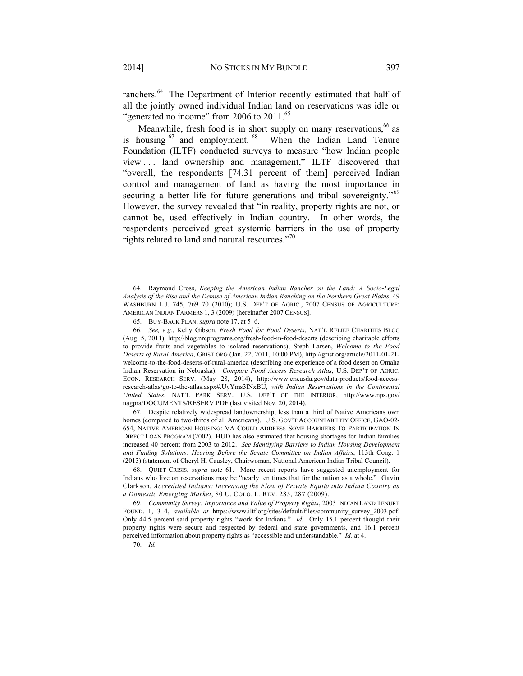ranchers.<sup>64</sup> The Department of Interior recently estimated that half of all the jointly owned individual Indian land on reservations was idle or "generated no income" from 2006 to  $2011$ .<sup>65</sup>

Meanwhile, fresh food is in short supply on many reservations, 66 as is housing  $67$  and employment.  $68$  When the Indian Land Tenure Foundation (ILTF) conducted surveys to measure "how Indian people view . . . land ownership and management," ILTF discovered that "overall, the respondents [74.31 percent of them] perceived Indian control and management of land as having the most importance in securing a better life for future generations and tribal sovereignty."<sup>69</sup> However, the survey revealed that "in reality, property rights are not, or cannot be, used effectively in Indian country. In other words, the respondents perceived great systemic barriers in the use of property rights related to land and natural resources."<sup>70</sup>

 67. Despite relatively widespread landownership, less than a third of Native Americans own homes (compared to two-thirds of all Americans). U.S. GOV'T ACCOUNTABILITY OFFICE, GAO-02- 654, NATIVE AMERICAN HOUSING: VA COULD ADDRESS SOME BARRIERS TO PARTICIPATION IN DIRECT LOAN PROGRAM (2002). HUD has also estimated that housing shortages for Indian families increased 40 percent from 2003 to 2012. *See Identifying Barriers to Indian Housing Development and Finding Solutions: Hearing Before the Senate Committee on Indian Affairs*, 113th Cong. 1 (2013) (statement of Cheryl H. Causley, Chairwoman, National American Indian Tribal Council).

 <sup>64.</sup> Raymond Cross, *Keeping the American Indian Rancher on the Land: A Socio-Legal Analysis of the Rise and the Demise of American Indian Ranching on the Northern Great Plains*, 49 WASHBURN L.J. 745, 769–70 (2010); U.S. DEP'T OF AGRIC., 2007 CENSUS OF AGRICULTURE: AMERICAN INDIAN FARMERS 1, 3 (2009) [hereinafter 2007 CENSUS].

 <sup>65.</sup> BUY-BACK PLAN, *supra* note 17, at 5–6.

 <sup>66.</sup> *See, e.g.*, Kelly Gibson, *Fresh Food for Food Deserts*, NAT'L RELIEF CHARITIES BLOG (Aug. 5, 2011), http://blog.nrcprograms.org/fresh-food-in-food-deserts (describing charitable efforts to provide fruits and vegetables to isolated reservations); Steph Larsen, *Welcome to the Food Deserts of Rural America*, GRIST.ORG (Jan. 22, 2011, 10:00 PM), http://grist.org/article/2011-01-21 welcome-to-the-food-deserts-of-rural-america (describing one experience of a food desert on Omaha Indian Reservation in Nebraska). *Compare Food Access Research Atlas*, U.S. DEP'T OF AGRIC. ECON. RESEARCH SERV. (May 28, 2014), http://www.ers.usda.gov/data-products/food-accessresearch-atlas/go-to-the-atlas.aspx#.UyYms3lNxBU, *with Indian Reservations in the Continental United States*, NAT'L PARK SERV., U.S. DEP'T OF THE INTERIOR, http://www.nps.gov/ nagpra/DOCUMENTS/RESERV.PDF (last visited Nov. 20, 2014).

 <sup>68.</sup> QUIET CRISIS, *supra* note 61. More recent reports have suggested unemployment for Indians who live on reservations may be "nearly ten times that for the nation as a whole." Gavin Clarkson, *Accredited Indians: Increasing the Flow of Private Equity into Indian Country as a Domestic Emerging Market*, 80 U. COLO. L. REV. 285, 287 (2009).

 <sup>69.</sup> *Community Survey: Importance and Value of Property Rights*, 2003 INDIAN LAND TENURE FOUND. 1, 3–4, *available at* https://www.iltf.org/sites/default/files/community\_survey\_2003.pdf. Only 44.5 percent said property rights "work for Indians." *Id.* Only 15.1 percent thought their property rights were secure and respected by federal and state governments, and 16.1 percent perceived information about property rights as "accessible and understandable." *Id.* at 4.

 <sup>70.</sup> *Id.*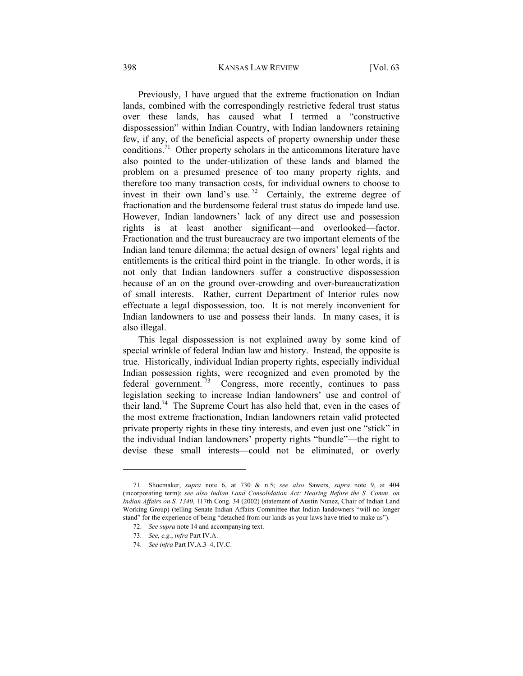Previously, I have argued that the extreme fractionation on Indian lands, combined with the correspondingly restrictive federal trust status over these lands, has caused what I termed a "constructive dispossession" within Indian Country, with Indian landowners retaining few, if any, of the beneficial aspects of property ownership under these conditions.<sup>71</sup> Other property scholars in the anticommons literature have also pointed to the under-utilization of these lands and blamed the problem on a presumed presence of too many property rights, and therefore too many transaction costs, for individual owners to choose to invest in their own land's use.<sup>72</sup> Certainly, the extreme degree of fractionation and the burdensome federal trust status do impede land use. However, Indian landowners' lack of any direct use and possession rights is at least another significant—and overlooked—factor. Fractionation and the trust bureaucracy are two important elements of the Indian land tenure dilemma; the actual design of owners' legal rights and entitlements is the critical third point in the triangle. In other words, it is not only that Indian landowners suffer a constructive dispossession because of an on the ground over-crowding and over-bureaucratization of small interests. Rather, current Department of Interior rules now effectuate a legal dispossession, too. It is not merely inconvenient for Indian landowners to use and possess their lands. In many cases, it is also illegal.

This legal dispossession is not explained away by some kind of special wrinkle of federal Indian law and history. Instead, the opposite is true. Historically, individual Indian property rights, especially individual Indian possession rights, were recognized and even promoted by the federal government.<sup>73</sup> Congress, more recently, continues to pass legislation seeking to increase Indian landowners' use and control of their land.<sup>74</sup> The Supreme Court has also held that, even in the cases of the most extreme fractionation, Indian landowners retain valid protected private property rights in these tiny interests, and even just one "stick" in the individual Indian landowners' property rights "bundle"—the right to devise these small interests—could not be eliminated, or overly

 <sup>71.</sup> Shoemaker, *supra* note 6, at 730 & n.5; *see also* Sawers, *supra* note 9, at 404 (incorporating term); *see also Indian Land Consolidation Act: Hearing Before the S. Comm. on Indian Affairs on S. 1340*, 117th Cong. 34 (2002) (statement of Austin Nunez, Chair of Indian Land Working Group) (telling Senate Indian Affairs Committee that Indian landowners "will no longer stand" for the experience of being "detached from our lands as your laws have tried to make us").

 <sup>72.</sup> *See supra* note 14 and accompanying text.

 <sup>73.</sup> *See, e.g.*, *infra* Part IV.A.

 <sup>74.</sup> *See infra* Part IV.A.3–4, IV.C.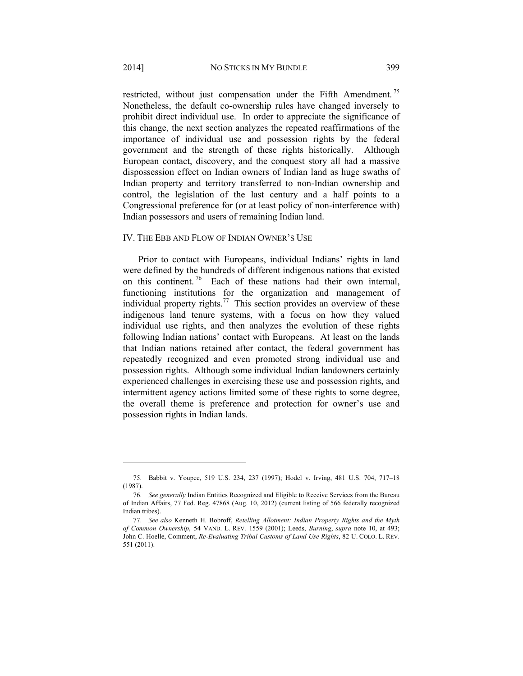restricted, without just compensation under the Fifth Amendment.<sup>75</sup> Nonetheless, the default co-ownership rules have changed inversely to prohibit direct individual use. In order to appreciate the significance of this change, the next section analyzes the repeated reaffirmations of the importance of individual use and possession rights by the federal government and the strength of these rights historically. Although European contact, discovery, and the conquest story all had a massive dispossession effect on Indian owners of Indian land as huge swaths of Indian property and territory transferred to non-Indian ownership and control, the legislation of the last century and a half points to a Congressional preference for (or at least policy of non-interference with) Indian possessors and users of remaining Indian land.

#### IV. THE EBB AND FLOW OF INDIAN OWNER'S USE

Prior to contact with Europeans, individual Indians' rights in land were defined by the hundreds of different indigenous nations that existed on this continent.<sup>76</sup> Each of these nations had their own internal, functioning institutions for the organization and management of individual property rights.<sup>77</sup> This section provides an overview of these indigenous land tenure systems, with a focus on how they valued individual use rights, and then analyzes the evolution of these rights following Indian nations' contact with Europeans. At least on the lands that Indian nations retained after contact, the federal government has repeatedly recognized and even promoted strong individual use and possession rights. Although some individual Indian landowners certainly experienced challenges in exercising these use and possession rights, and intermittent agency actions limited some of these rights to some degree, the overall theme is preference and protection for owner's use and possession rights in Indian lands.

 <sup>75.</sup> Babbit v. Youpee, 519 U.S. 234, 237 (1997); Hodel v. Irving, 481 U.S. 704, 717–18 (1987).

 <sup>76.</sup> *See generally* Indian Entities Recognized and Eligible to Receive Services from the Bureau of Indian Affairs, 77 Fed. Reg. 47868 (Aug. 10, 2012) (current listing of 566 federally recognized Indian tribes).

 <sup>77.</sup> *See also* Kenneth H. Bobroff, *Retelling Allotment: Indian Property Rights and the Myth of Common Ownership*, 54 VAND. L. REV. 1559 (2001); Leeds, *Burning*, *supra* note 10, at 493; John C. Hoelle, Comment, *Re-Evaluating Tribal Customs of Land Use Rights*, 82 U. COLO. L. REV. 551 (2011).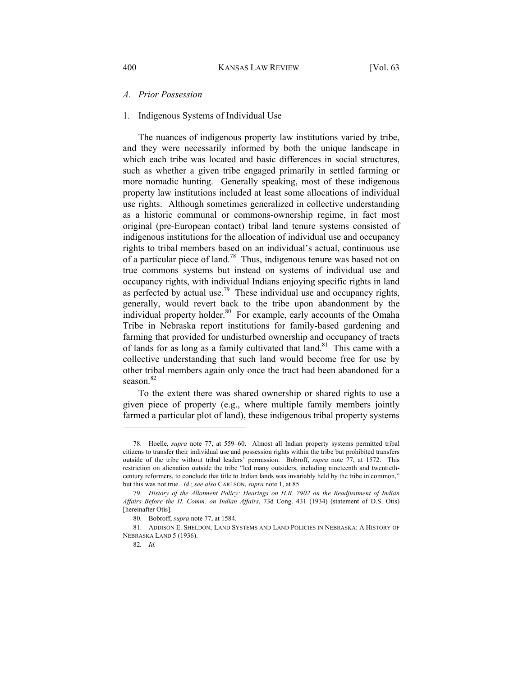#### *A. Prior Possession*

#### 1. Indigenous Systems of Individual Use

The nuances of indigenous property law institutions varied by tribe, and they were necessarily informed by both the unique landscape in which each tribe was located and basic differences in social structures, such as whether a given tribe engaged primarily in settled farming or more nomadic hunting. Generally speaking, most of these indigenous property law institutions included at least some allocations of individual use rights. Although sometimes generalized in collective understanding as a historic communal or commons-ownership regime, in fact most original (pre-European contact) tribal land tenure systems consisted of indigenous institutions for the allocation of individual use and occupancy rights to tribal members based on an individual's actual, continuous use of a particular piece of land.<sup>78</sup> Thus, indigenous tenure was based not on true commons systems but instead on systems of individual use and occupancy rights, with individual Indians enjoying specific rights in land as perfected by actual use.<sup>79</sup> These individual use and occupancy rights, generally, would revert back to the tribe upon abandonment by the individual property holder.<sup>80</sup> For example, early accounts of the Omaha Tribe in Nebraska report institutions for family-based gardening and farming that provided for undisturbed ownership and occupancy of tracts of lands for as long as a family cultivated that  $\text{land}^{\text{81}}$ . This came with a collective understanding that such land would become free for use by other tribal members again only once the tract had been abandoned for a season.<sup>82</sup>

To the extent there was shared ownership or shared rights to use a given piece of property (e.g., where multiple family members jointly farmed a particular plot of land), these indigenous tribal property systems

 <sup>78.</sup> Hoelle, *supra* note 77, at 559–60. Almost all Indian property systems permitted tribal citizens to transfer their individual use and possession rights within the tribe but prohibited transfers outside of the tribe without tribal leaders' permission. Bobroff, *supra* note 77, at 1572. This restriction on alienation outside the tribe "led many outsiders, including nineteenth and twentiethcentury reformers, to conclude that title to Indian lands was invariably held by the tribe in common," but this was not true. *Id.*; *see also* CARLSON, *supra* note 1, at 85.

 <sup>79.</sup> *History of the Allotment Policy: Hearings on H.R. 7902 on the Readjustment of Indian Affairs Before the H. Comm. on Indian Affairs*, 73d Cong. 431 (1934) (statement of D.S. Otis) [hereinafter Otis].

 <sup>80.</sup> Bobroff, *supra* note 77, at 1584.

 <sup>81.</sup> ADDISON E. SHELDON, LAND SYSTEMS AND LAND POLICIES IN NEBRASKA: A HISTORY OF NEBRASKA LAND 5 (1936).

<sup>82</sup>*. Id.*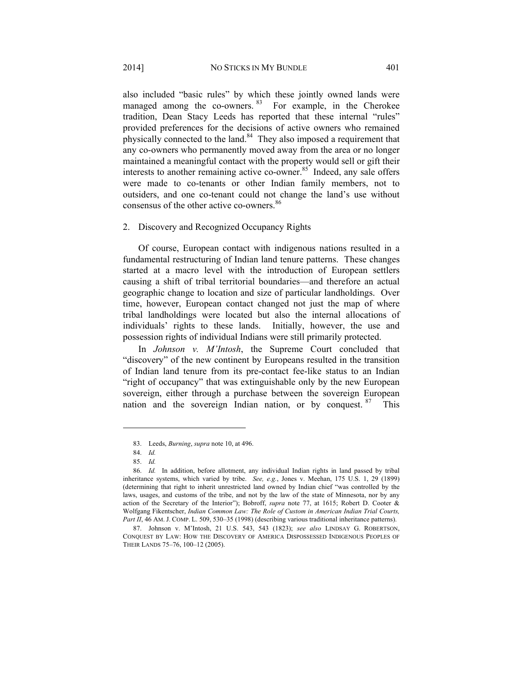also included "basic rules" by which these jointly owned lands were managed among the co-owners. <sup>83</sup> For example, in the Cherokee tradition, Dean Stacy Leeds has reported that these internal "rules" provided preferences for the decisions of active owners who remained physically connected to the land. $84$  They also imposed a requirement that any co-owners who permanently moved away from the area or no longer maintained a meaningful contact with the property would sell or gift their interests to another remaining active co-owner.<sup>85</sup> Indeed, any sale offers were made to co-tenants or other Indian family members, not to outsiders, and one co-tenant could not change the land's use without consensus of the other active co-owners.<sup>86</sup>

#### 2. Discovery and Recognized Occupancy Rights

Of course, European contact with indigenous nations resulted in a fundamental restructuring of Indian land tenure patterns. These changes started at a macro level with the introduction of European settlers causing a shift of tribal territorial boundaries—and therefore an actual geographic change to location and size of particular landholdings. Over time, however, European contact changed not just the map of where tribal landholdings were located but also the internal allocations of individuals' rights to these lands. Initially, however, the use and possession rights of individual Indians were still primarily protected.

In *Johnson v. M'Intosh*, the Supreme Court concluded that "discovery" of the new continent by Europeans resulted in the transition of Indian land tenure from its pre-contact fee-like status to an Indian "right of occupancy" that was extinguishable only by the new European sovereign, either through a purchase between the sovereign European nation and the sovereign Indian nation, or by conquest.  $87$  This

 <sup>83.</sup> Leeds, *Burning*, *supra* note 10, at 496.

 <sup>84.</sup> *Id.* 

 <sup>85.</sup> *Id.*

 <sup>86.</sup> *Id.* In addition, before allotment, any individual Indian rights in land passed by tribal inheritance systems, which varied by tribe. *See, e.g.*, Jones v. Meehan, 175 U.S. 1, 29 (1899) (determining that right to inherit unrestricted land owned by Indian chief "was controlled by the laws, usages, and customs of the tribe, and not by the law of the state of Minnesota, nor by any action of the Secretary of the Interior"); Bobroff, *supra* note 77, at 1615; Robert D. Cooter & Wolfgang Fikentscher, *Indian Common Law: The Role of Custom in American Indian Trial Courts, Part II*, 46 AM. J. COMP. L. 509, 530–35 (1998) (describing various traditional inheritance patterns).

 <sup>87.</sup> Johnson v. M'Intosh, 21 U.S. 543, 543 (1823); *see also* LINDSAY G. ROBERTSON, CONQUEST BY LAW: HOW THE DISCOVERY OF AMERICA DISPOSSESSED INDIGENOUS PEOPLES OF THEIR LANDS 75–76, 100–12 (2005).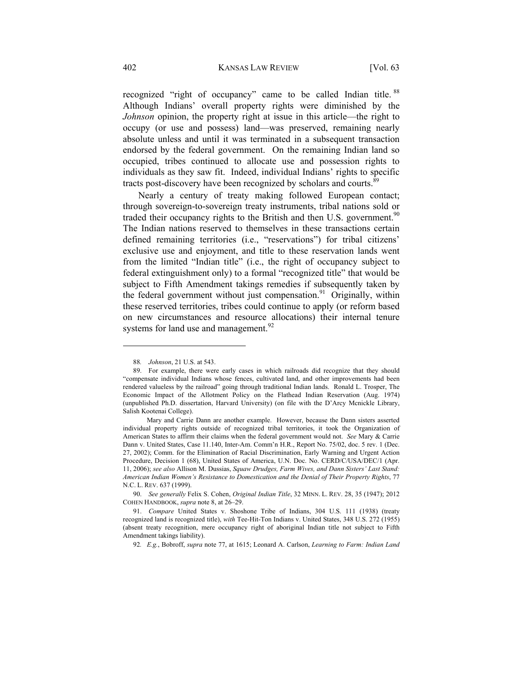recognized "right of occupancy" came to be called Indian title. <sup>88</sup> Although Indians' overall property rights were diminished by the *Johnson* opinion, the property right at issue in this article—the right to occupy (or use and possess) land—was preserved, remaining nearly absolute unless and until it was terminated in a subsequent transaction endorsed by the federal government. On the remaining Indian land so occupied, tribes continued to allocate use and possession rights to individuals as they saw fit. Indeed, individual Indians' rights to specific tracts post-discovery have been recognized by scholars and courts.<sup>89</sup>

Nearly a century of treaty making followed European contact; through sovereign-to-sovereign treaty instruments, tribal nations sold or traded their occupancy rights to the British and then U.S. government.<sup>90</sup> The Indian nations reserved to themselves in these transactions certain defined remaining territories (i.e., "reservations") for tribal citizens' exclusive use and enjoyment, and title to these reservation lands went from the limited "Indian title" (i.e., the right of occupancy subject to federal extinguishment only) to a formal "recognized title" that would be subject to Fifth Amendment takings remedies if subsequently taken by the federal government without just compensation.<sup>91</sup> Originally, within these reserved territories, tribes could continue to apply (or reform based on new circumstances and resource allocations) their internal tenure systems for land use and management.<sup>92</sup>

<sup>88</sup>*. Johnson*, 21 U.S. at 543.

 <sup>89.</sup> For example, there were early cases in which railroads did recognize that they should "compensate individual Indians whose fences, cultivated land, and other improvements had been rendered valueless by the railroad" going through traditional Indian lands. Ronald L. Trosper, The Economic Impact of the Allotment Policy on the Flathead Indian Reservation (Aug. 1974) (unpublished Ph.D. dissertation, Harvard University) (on file with the D'Arcy Mcnickle Library, Salish Kootenai College).

Mary and Carrie Dann are another example. However, because the Dann sisters asserted individual property rights outside of recognized tribal territories, it took the Organization of American States to affirm their claims when the federal government would not. *See* Mary & Carrie Dann v. United States, Case 11.140, Inter-Am. Comm'n H.R., Report No. 75/02, doc. 5 rev. 1 (Dec. 27, 2002); Comm. for the Elimination of Racial Discrimination, Early Warning and Urgent Action Procedure, Decision 1 (68), United States of America, U.N. Doc. No. CERD/C/USA/DEC/1 (Apr. 11, 2006); *see also* Allison M. Dussias, *Squaw Drudges, Farm Wives, and Dann Sisters' Last Stand: American Indian Women's Resistance to Domestication and the Denial of Their Property Rights*, 77 N.C. L. REV. 637 (1999).

 <sup>90.</sup> *See generally* Felix S. Cohen, *Original Indian Title*, 32 MINN. L. REV. 28, 35 (1947); 2012 COHEN HANDBOOK, *supra* note 8, at 26–29.

 <sup>91.</sup> *Compare* United States v. Shoshone Tribe of Indians, 304 U.S. 111 (1938) (treaty recognized land is recognized title), *with* Tee-Hit-Ton Indians v. United States, 348 U.S. 272 (1955) (absent treaty recognition, mere occupancy right of aboriginal Indian title not subject to Fifth Amendment takings liability).

<sup>92</sup>*. E.g.*, Bobroff, *supra* note 77, at 1615; Leonard A. Carlson, *Learning to Farm: Indian Land*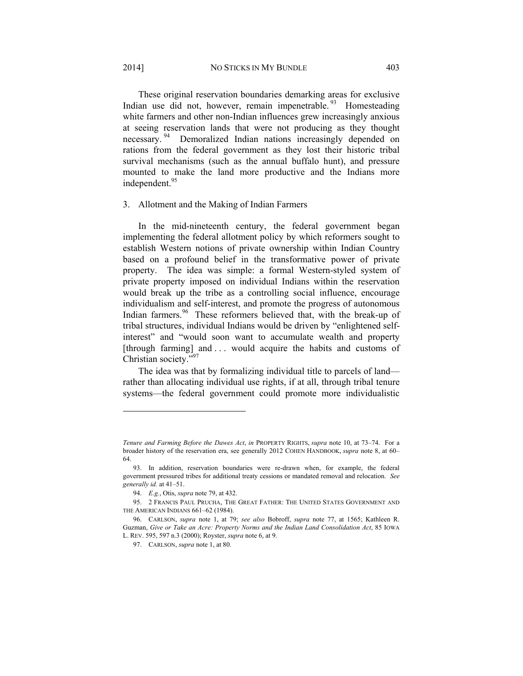These original reservation boundaries demarking areas for exclusive Indian use did not, however, remain impenetrable.<sup>93</sup> Homesteading white farmers and other non-Indian influences grew increasingly anxious at seeing reservation lands that were not producing as they thought necessary.<sup>94</sup> Demoralized Indian nations increasingly depended on rations from the federal government as they lost their historic tribal survival mechanisms (such as the annual buffalo hunt), and pressure mounted to make the land more productive and the Indians more independent.<sup>95</sup>

#### 3. Allotment and the Making of Indian Farmers

In the mid-nineteenth century, the federal government began implementing the federal allotment policy by which reformers sought to establish Western notions of private ownership within Indian Country based on a profound belief in the transformative power of private property. The idea was simple: a formal Western-styled system of private property imposed on individual Indians within the reservation would break up the tribe as a controlling social influence, encourage individualism and self-interest, and promote the progress of autonomous Indian farmers.<sup>96</sup> These reformers believed that, with the break-up of tribal structures, individual Indians would be driven by "enlightened selfinterest" and "would soon want to accumulate wealth and property [through farming] and ... would acquire the habits and customs of Christian society."97

The idea was that by formalizing individual title to parcels of land rather than allocating individual use rights, if at all, through tribal tenure systems—the federal government could promote more individualistic

*Tenure and Farming Before the Dawes Act*, *in* PROPERTY RIGHTS, *supra* note 10, at 73–74. For a broader history of the reservation era, see generally 2012 COHEN HANDBOOK, *supra* note 8, at 60– 64.

 <sup>93.</sup> In addition, reservation boundaries were re-drawn when, for example, the federal government pressured tribes for additional treaty cessions or mandated removal and relocation. *See generally id.* at 41–51.

 <sup>94.</sup> *E.g.*, Otis, *supra* note 79, at 432.

 <sup>95. 2</sup> FRANCIS PAUL PRUCHA, THE GREAT FATHER: THE UNITED STATES GOVERNMENT AND THE AMERICAN INDIANS 661–62 (1984).

 <sup>96.</sup> CARLSON, *supra* note 1, at 79; *see also* Bobroff, *supra* note 77, at 1565; Kathleen R. Guzman, *Give or Take an Acre: Property Norms and the Indian Land Consolidation Act*, 85 IOWA L. REV. 595, 597 n.3 (2000); Royster, *supra* note 6, at 9.

 <sup>97.</sup> CARLSON, *supra* note 1, at 80.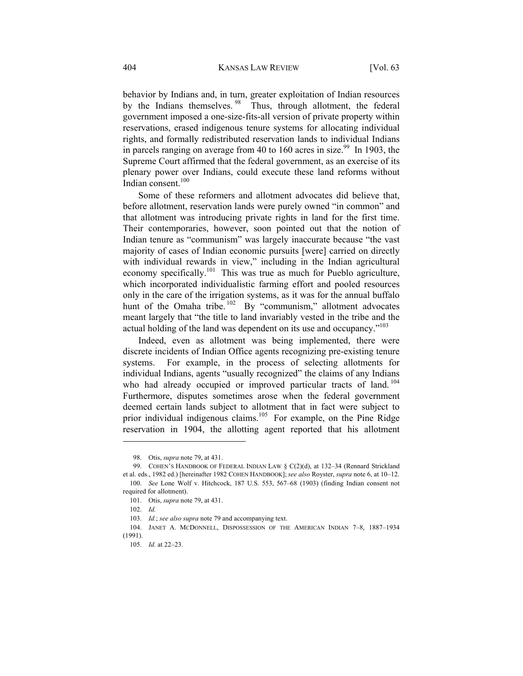behavior by Indians and, in turn, greater exploitation of Indian resources by the Indians themselves. <sup>98</sup> Thus, through allotment, the federal government imposed a one-size-fits-all version of private property within reservations, erased indigenous tenure systems for allocating individual rights, and formally redistributed reservation lands to individual Indians in parcels ranging on average from 40 to 160 acres in size.<sup>99</sup> In 1903, the Supreme Court affirmed that the federal government, as an exercise of its plenary power over Indians, could execute these land reforms without Indian consent. $100$ 

Some of these reformers and allotment advocates did believe that, before allotment, reservation lands were purely owned "in common" and that allotment was introducing private rights in land for the first time. Their contemporaries, however, soon pointed out that the notion of Indian tenure as "communism" was largely inaccurate because "the vast majority of cases of Indian economic pursuits [were] carried on directly with individual rewards in view," including in the Indian agricultural economy specifically.<sup>101</sup> This was true as much for Pueblo agriculture, which incorporated individualistic farming effort and pooled resources only in the care of the irrigation systems, as it was for the annual buffalo hunt of the Omaha tribe. <sup>102</sup> By "communism," allotment advocates meant largely that "the title to land invariably vested in the tribe and the actual holding of the land was dependent on its use and occupancy."103

Indeed, even as allotment was being implemented, there were discrete incidents of Indian Office agents recognizing pre-existing tenure systems. For example, in the process of selecting allotments for individual Indians, agents "usually recognized" the claims of any Indians who had already occupied or improved particular tracts of land.<sup>104</sup> Furthermore, disputes sometimes arose when the federal government deemed certain lands subject to allotment that in fact were subject to prior individual indigenous claims.<sup>105</sup> For example, on the Pine Ridge reservation in 1904, the allotting agent reported that his allotment

 <sup>98.</sup> Otis, *supra* note 79, at 431.

<sup>99.</sup> COHEN'S HANDBOOK OF FEDERAL INDIAN LAW § C(2)(d), at 132-34 (Rennard Strickland et al. eds., 1982 ed.) [hereinafter 1982 COHEN HANDBOOK]; *see also* Royster, *supra* note 6, at 10–12. 100. *See* Lone Wolf v. Hitchcock, 187 U.S. 553, 567–68 (1903) (finding Indian consent not required for allotment).

 <sup>101.</sup> Otis, *supra* note 79, at 431.

 <sup>102.</sup> *Id.*

 <sup>103.</sup> *Id.*; *see also supra* note 79 and accompanying text.

 <sup>104.</sup> JANET A. MCDONNELL, DISPOSSESSION OF THE AMERICAN INDIAN 7–8, 1887–1934 (1991).

 <sup>105.</sup> *Id.* at 22–23.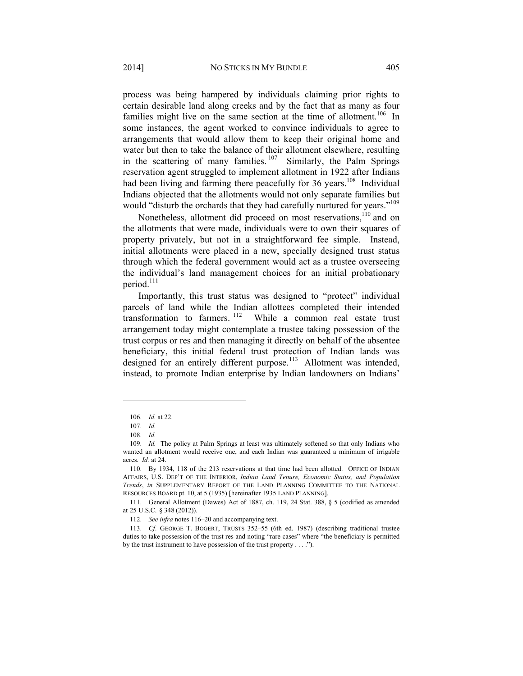process was being hampered by individuals claiming prior rights to certain desirable land along creeks and by the fact that as many as four families might live on the same section at the time of allotment.<sup>106</sup> In some instances, the agent worked to convince individuals to agree to arrangements that would allow them to keep their original home and water but then to take the balance of their allotment elsewhere, resulting in the scattering of many families.  $107$  Similarly, the Palm Springs reservation agent struggled to implement allotment in 1922 after Indians had been living and farming there peacefully for 36 years.<sup>108</sup> Individual Indians objected that the allotments would not only separate families but would "disturb the orchards that they had carefully nurtured for years."<sup>109</sup>

Nonetheless, allotment did proceed on most reservations,<sup>110</sup> and on the allotments that were made, individuals were to own their squares of property privately, but not in a straightforward fee simple. Instead, initial allotments were placed in a new, specially designed trust status through which the federal government would act as a trustee overseeing the individual's land management choices for an initial probationary period.111

Importantly, this trust status was designed to "protect" individual parcels of land while the Indian allottees completed their intended transformation to farmers. 112 While a common real estate trust arrangement today might contemplate a trustee taking possession of the trust corpus or res and then managing it directly on behalf of the absentee beneficiary, this initial federal trust protection of Indian lands was designed for an entirely different purpose.<sup>113</sup> Allotment was intended, instead, to promote Indian enterprise by Indian landowners on Indians'

 <sup>106.</sup> *Id.* at 22.

 <sup>107.</sup> *Id.*

 <sup>108.</sup> *Id.*

 <sup>109.</sup> *Id.* The policy at Palm Springs at least was ultimately softened so that only Indians who wanted an allotment would receive one, and each Indian was guaranteed a minimum of irrigable acres. *Id.* at 24.

 <sup>110.</sup> By 1934, 118 of the 213 reservations at that time had been allotted. OFFICE OF INDIAN AFFAIRS, U.S. DEP'T OF THE INTERIOR, *Indian Land Tenure, Economic Status, and Population Trends*, *in* SUPPLEMENTARY REPORT OF THE LAND PLANNING COMMITTEE TO THE NATIONAL RESOURCES BOARD pt. 10, at 5 (1935) [hereinafter 1935 LAND PLANNING].

 <sup>111.</sup> General Allotment (Dawes) Act of 1887, ch. 119, 24 Stat. 388, § 5 (codified as amended at 25 U.S.C. § 348 (2012)).

 <sup>112.</sup> *See infra* notes 116–20 and accompanying text.

 <sup>113.</sup> *Cf*. GEORGE T. BOGERT, TRUSTS 352–55 (6th ed. 1987) (describing traditional trustee duties to take possession of the trust res and noting "rare cases" where "the beneficiary is permitted by the trust instrument to have possession of the trust property . . . .").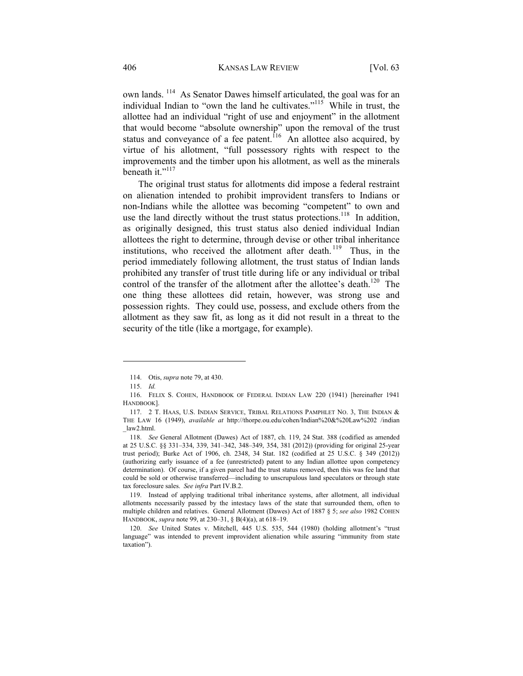own lands. 114 As Senator Dawes himself articulated, the goal was for an individual Indian to "own the land he cultivates."<sup> $115$ </sup> While in trust, the allottee had an individual "right of use and enjoyment" in the allotment that would become "absolute ownership" upon the removal of the trust status and conveyance of a fee patent.<sup>116</sup> An allottee also acquired, by virtue of his allotment, "full possessory rights with respect to the improvements and the timber upon his allotment, as well as the minerals beneath it."<sup>117</sup>

The original trust status for allotments did impose a federal restraint on alienation intended to prohibit improvident transfers to Indians or non-Indians while the allottee was becoming "competent" to own and use the land directly without the trust status protections.<sup>118</sup> In addition, as originally designed, this trust status also denied individual Indian allottees the right to determine, through devise or other tribal inheritance institutions, who received the allotment after death. <sup>119</sup> Thus, in the period immediately following allotment, the trust status of Indian lands prohibited any transfer of trust title during life or any individual or tribal control of the transfer of the allotment after the allottee's death.<sup>120</sup> The one thing these allottees did retain, however, was strong use and possession rights. They could use, possess, and exclude others from the allotment as they saw fit, as long as it did not result in a threat to the security of the title (like a mortgage, for example).

 <sup>114.</sup> Otis, *supra* note 79, at 430.

 <sup>115.</sup> *Id.*

 <sup>116.</sup> FELIX S. COHEN, HANDBOOK OF FEDERAL INDIAN LAW 220 (1941) [hereinafter 1941 HANDBOOK].

 <sup>117. 2</sup> T. HAAS, U.S. INDIAN SERVICE, TRIBAL RELATIONS PAMPHLET NO. 3, THE INDIAN & THE LAW 16 (1949), *available at* http://thorpe.ou.edu/cohen/Indian%20&%20Law%202 /indian \_law2.html.

 <sup>118.</sup> *See* General Allotment (Dawes) Act of 1887, ch. 119, 24 Stat. 388 (codified as amended at 25 U.S.C. §§ 331–334, 339, 341–342, 348–349, 354, 381 (2012)) (providing for original 25-year trust period); Burke Act of 1906, ch. 2348, 34 Stat. 182 (codified at 25 U.S.C. § 349 (2012)) (authorizing early issuance of a fee (unrestricted) patent to any Indian allottee upon competency determination). Of course, if a given parcel had the trust status removed, then this was fee land that could be sold or otherwise transferred—including to unscrupulous land speculators or through state tax foreclosure sales. *See infra* Part IV.B.2.

 <sup>119.</sup> Instead of applying traditional tribal inheritance systems, after allotment, all individual allotments necessarily passed by the intestacy laws of the state that surrounded them, often to multiple children and relatives. General Allotment (Dawes) Act of 1887 § 5; *see also* 1982 COHEN HANDBOOK, *supra* note 99, at 230–31, § B(4)(a), at 618–19.

 <sup>120.</sup> *See* United States v. Mitchell, 445 U.S. 535, 544 (1980) (holding allotment's "trust language" was intended to prevent improvident alienation while assuring "immunity from state taxation").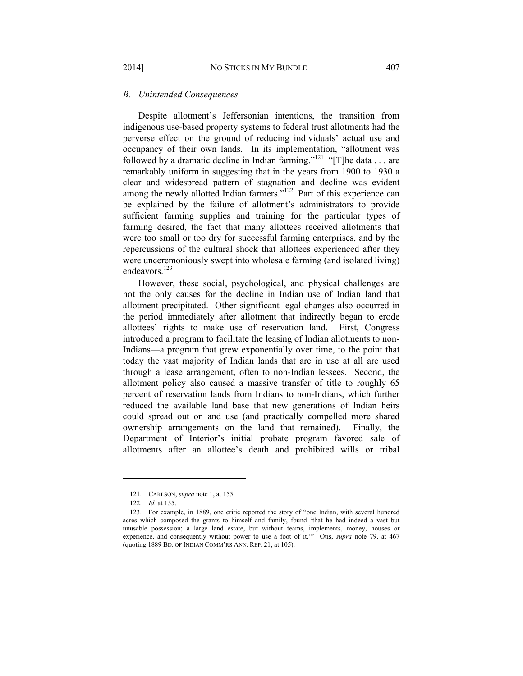#### *B. Unintended Consequences*

Despite allotment's Jeffersonian intentions, the transition from indigenous use-based property systems to federal trust allotments had the perverse effect on the ground of reducing individuals' actual use and occupancy of their own lands. In its implementation, "allotment was followed by a dramatic decline in Indian farming."<sup>121</sup> "[T]he data . . . are remarkably uniform in suggesting that in the years from 1900 to 1930 a clear and widespread pattern of stagnation and decline was evident among the newly allotted Indian farmers."<sup>122</sup> Part of this experience can be explained by the failure of allotment's administrators to provide sufficient farming supplies and training for the particular types of farming desired, the fact that many allottees received allotments that were too small or too dry for successful farming enterprises, and by the repercussions of the cultural shock that allottees experienced after they were unceremoniously swept into wholesale farming (and isolated living) endeavors<sup>123</sup>

However, these social, psychological, and physical challenges are not the only causes for the decline in Indian use of Indian land that allotment precipitated. Other significant legal changes also occurred in the period immediately after allotment that indirectly began to erode allottees' rights to make use of reservation land. First, Congress introduced a program to facilitate the leasing of Indian allotments to non-Indians—a program that grew exponentially over time, to the point that today the vast majority of Indian lands that are in use at all are used through a lease arrangement, often to non-Indian lessees. Second, the allotment policy also caused a massive transfer of title to roughly 65 percent of reservation lands from Indians to non-Indians, which further reduced the available land base that new generations of Indian heirs could spread out on and use (and practically compelled more shared ownership arrangements on the land that remained). Finally, the Department of Interior's initial probate program favored sale of allotments after an allottee's death and prohibited wills or tribal

 <sup>121.</sup> CARLSON, *supra* note 1, at 155.

 <sup>122.</sup> *Id.* at 155.

 <sup>123.</sup> For example, in 1889, one critic reported the story of "one Indian, with several hundred acres which composed the grants to himself and family, found 'that he had indeed a vast but unusable possession; a large land estate, but without teams, implements, money, houses or experience, and consequently without power to use a foot of it.'" Otis, *supra* note 79, at 467 (quoting 1889 BD. OF INDIAN COMM'RS ANN. REP. 21, at 105).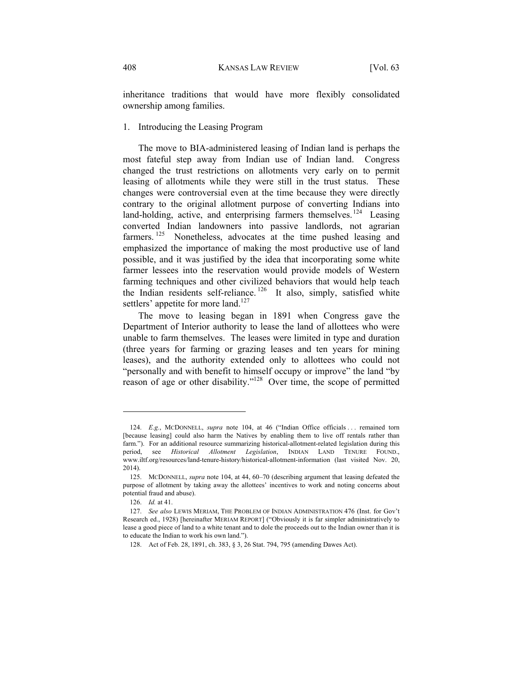inheritance traditions that would have more flexibly consolidated ownership among families.

## 1. Introducing the Leasing Program

The move to BIA-administered leasing of Indian land is perhaps the most fateful step away from Indian use of Indian land. Congress changed the trust restrictions on allotments very early on to permit leasing of allotments while they were still in the trust status. These changes were controversial even at the time because they were directly contrary to the original allotment purpose of converting Indians into land-holding, active, and enterprising farmers themselves.<sup>124</sup> Leasing converted Indian landowners into passive landlords, not agrarian farmers.<sup>125</sup> Nonetheless, advocates at the time pushed leasing and emphasized the importance of making the most productive use of land possible, and it was justified by the idea that incorporating some white farmer lessees into the reservation would provide models of Western farming techniques and other civilized behaviors that would help teach the Indian residents self-reliance.<sup>126</sup> It also, simply, satisfied white settlers' appetite for more land.<sup>127</sup>

The move to leasing began in 1891 when Congress gave the Department of Interior authority to lease the land of allottees who were unable to farm themselves. The leases were limited in type and duration (three years for farming or grazing leases and ten years for mining leases), and the authority extended only to allottees who could not "personally and with benefit to himself occupy or improve" the land "by reason of age or other disability."128 Over time, the scope of permitted

 <sup>124.</sup> *E.g.*, MCDONNELL, *supra* note 104, at 46 ("Indian Office officials . . . remained torn [because leasing] could also harm the Natives by enabling them to live off rentals rather than farm."). For an additional resource summarizing historical-allotment-related legislation during this period, see *Historical Allotment Legislation*, INDIAN LAND TENURE FOUND., www.iltf.org/resources/land-tenure-history/historical-allotment-information (last visited Nov. 20, 2014).

 <sup>125.</sup> MCDONNELL, *supra* note 104, at 44, 60–70 (describing argument that leasing defeated the purpose of allotment by taking away the allottees' incentives to work and noting concerns about potential fraud and abuse).

 <sup>126.</sup> *Id.* at 41.

 <sup>127.</sup> *See also* LEWIS MERIAM, THE PROBLEM OF INDIAN ADMINISTRATION 476 (Inst. for Gov't Research ed., 1928) [hereinafter MERIAM REPORT] ("Obviously it is far simpler administratively to lease a good piece of land to a white tenant and to dole the proceeds out to the Indian owner than it is to educate the Indian to work his own land.").

 <sup>128.</sup> Act of Feb. 28, 1891, ch. 383, § 3, 26 Stat. 794, 795 (amending Dawes Act).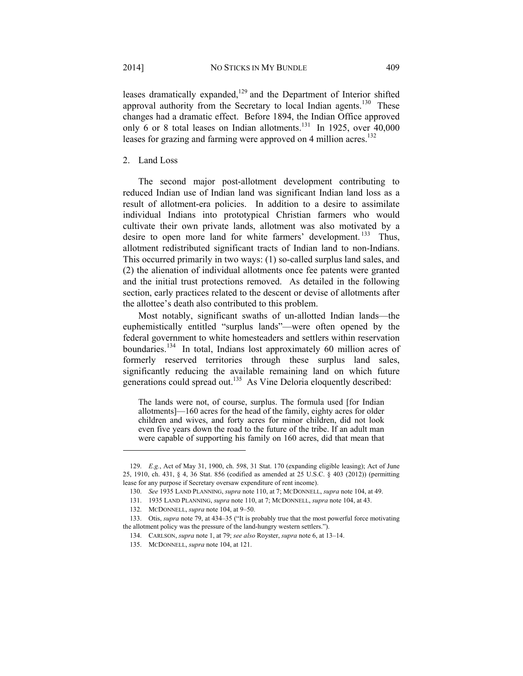leases dramatically expanded, $129$  and the Department of Interior shifted approval authority from the Secretary to local Indian agents.<sup>130</sup> These changes had a dramatic effect. Before 1894, the Indian Office approved only 6 or 8 total leases on Indian allotments.<sup>131</sup> In 1925, over  $40,000$ leases for grazing and farming were approved on 4 million acres.<sup>132</sup>

## 2. Land Loss

The second major post-allotment development contributing to reduced Indian use of Indian land was significant Indian land loss as a result of allotment-era policies. In addition to a desire to assimilate individual Indians into prototypical Christian farmers who would cultivate their own private lands, allotment was also motivated by a desire to open more land for white farmers' development.<sup>133</sup> Thus, allotment redistributed significant tracts of Indian land to non-Indians. This occurred primarily in two ways: (1) so-called surplus land sales, and (2) the alienation of individual allotments once fee patents were granted and the initial trust protections removed. As detailed in the following section, early practices related to the descent or devise of allotments after the allottee's death also contributed to this problem.

Most notably, significant swaths of un-allotted Indian lands—the euphemistically entitled "surplus lands"—were often opened by the federal government to white homesteaders and settlers within reservation boundaries.<sup>134</sup> In total, Indians lost approximately 60 million acres of formerly reserved territories through these surplus land sales, significantly reducing the available remaining land on which future generations could spread out.<sup>135</sup> As Vine Deloria eloquently described:

The lands were not, of course, surplus. The formula used [for Indian allotments]—160 acres for the head of the family, eighty acres for older children and wives, and forty acres for minor children, did not look even five years down the road to the future of the tribe. If an adult man were capable of supporting his family on 160 acres, did that mean that

 <sup>129.</sup> *E.g.*, Act of May 31, 1900, ch. 598, 31 Stat. 170 (expanding eligible leasing); Act of June 25, 1910, ch. 431, § 4, 36 Stat. 856 (codified as amended at 25 U.S.C. § 403 (2012)) (permitting lease for any purpose if Secretary oversaw expenditure of rent income).

 <sup>130.</sup> *See* 1935 LAND PLANNING, *supra* note 110, at 7; MCDONNELL, *supra* note 104, at 49.

 <sup>131. 1935</sup> LAND PLANNING, *supra* note 110, at 7; MCDONNELL, *supra* note 104, at 43.

 <sup>132.</sup> MCDONNELL, *supra* note 104, at 9–50.

 <sup>133.</sup> Otis, *supra* note 79, at 434–35 ("It is probably true that the most powerful force motivating the allotment policy was the pressure of the land-hungry western settlers.").

 <sup>134.</sup> CARLSON, *supra* note 1, at 79; *see also* Royster, *supra* note 6, at 13–14.

 <sup>135.</sup> MCDONNELL, *supra* note 104, at 121.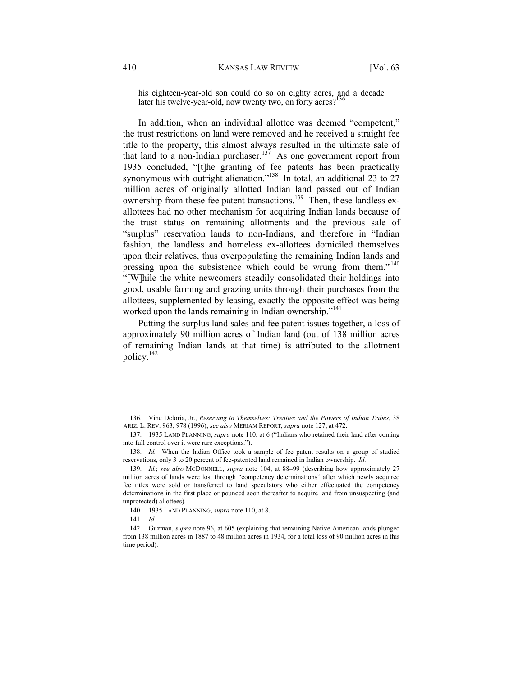his eighteen-year-old son could do so on eighty acres, and a decade later his twelve-year-old, now twenty two, on forty acres?

In addition, when an individual allottee was deemed "competent," the trust restrictions on land were removed and he received a straight fee title to the property, this almost always resulted in the ultimate sale of that land to a non-Indian purchaser.<sup>137</sup> As one government report from 1935 concluded, "[t]he granting of fee patents has been practically synonymous with outright alienation."<sup>138</sup> In total, an additional 23 to 27 million acres of originally allotted Indian land passed out of Indian ownership from these fee patent transactions.<sup>139</sup> Then, these landless exallottees had no other mechanism for acquiring Indian lands because of the trust status on remaining allotments and the previous sale of "surplus" reservation lands to non-Indians, and therefore in "Indian fashion, the landless and homeless ex-allottees domiciled themselves upon their relatives, thus overpopulating the remaining Indian lands and pressing upon the subsistence which could be wrung from them."<sup>140</sup> "[W]hile the white newcomers steadily consolidated their holdings into good, usable farming and grazing units through their purchases from the allottees, supplemented by leasing, exactly the opposite effect was being worked upon the lands remaining in Indian ownership."<sup>141</sup>

Putting the surplus land sales and fee patent issues together, a loss of approximately 90 million acres of Indian land (out of 138 million acres of remaining Indian lands at that time) is attributed to the allotment policy.142

 <sup>136.</sup> Vine Deloria, Jr., *Reserving to Themselves: Treaties and the Powers of Indian Tribes*, 38 ARIZ. L. REV. 963, 978 (1996); *see also* MERIAM REPORT, *supra* note 127, at 472.

 <sup>137. 1935</sup> LAND PLANNING, *supra* note 110, at 6 ("Indians who retained their land after coming into full control over it were rare exceptions.").

 <sup>138.</sup> *Id.* When the Indian Office took a sample of fee patent results on a group of studied reservations, only 3 to 20 percent of fee-patented land remained in Indian ownership. *Id.*

 <sup>139.</sup> *Id.*; *see also* MCDONNELL, *supra* note 104, at 88–99 (describing how approximately 27 million acres of lands were lost through "competency determinations" after which newly acquired fee titles were sold or transferred to land speculators who either effectuated the competency determinations in the first place or pounced soon thereafter to acquire land from unsuspecting (and unprotected) allottees).

 <sup>140. 1935</sup> LAND PLANNING, *supra* note 110, at 8.

 <sup>141.</sup> *Id.*

 <sup>142.</sup> Guzman, *supra* note 96, at 605 (explaining that remaining Native American lands plunged from 138 million acres in 1887 to 48 million acres in 1934, for a total loss of 90 million acres in this time period).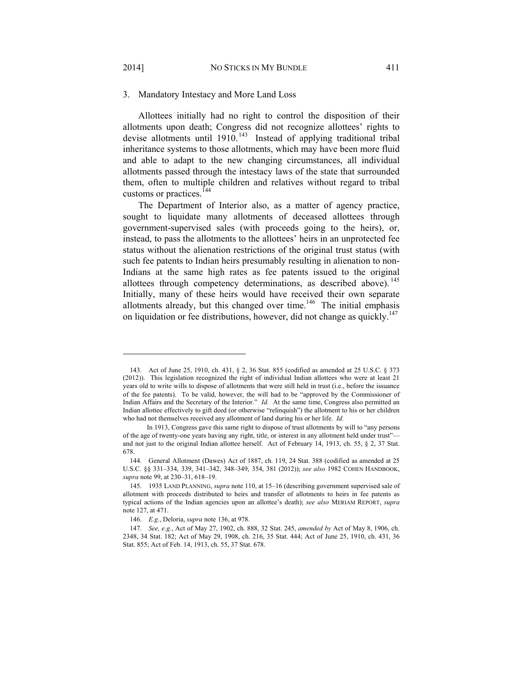#### 3. Mandatory Intestacy and More Land Loss

Allottees initially had no right to control the disposition of their allotments upon death; Congress did not recognize allottees' rights to devise allotments until  $1910$ .<sup>143</sup> Instead of applying traditional tribal inheritance systems to those allotments, which may have been more fluid and able to adapt to the new changing circumstances, all individual allotments passed through the intestacy laws of the state that surrounded them, often to multiple children and relatives without regard to tribal customs or practices.<sup>144</sup>

The Department of Interior also, as a matter of agency practice, sought to liquidate many allotments of deceased allottees through government-supervised sales (with proceeds going to the heirs), or, instead, to pass the allotments to the allottees' heirs in an unprotected fee status without the alienation restrictions of the original trust status (with such fee patents to Indian heirs presumably resulting in alienation to non-Indians at the same high rates as fee patents issued to the original allottees through competency determinations, as described above).<sup>145</sup> Initially, many of these heirs would have received their own separate allotments already, but this changed over time.<sup>146</sup> The initial emphasis on liquidation or fee distributions, however, did not change as quickly.<sup>147</sup>

 <sup>143.</sup> Act of June 25, 1910, ch. 431, § 2, 36 Stat. 855 (codified as amended at 25 U.S.C. § 373 (2012)). This legislation recognized the right of individual Indian allottees who were at least 21 years old to write wills to dispose of allotments that were still held in trust (i.e., before the issuance of the fee patents). To be valid, however, the will had to be "approved by the Commissioner of Indian Affairs and the Secretary of the Interior." *Id.* At the same time, Congress also permitted an Indian allottee effectively to gift deed (or otherwise "relinquish") the allotment to his or her children who had not themselves received any allotment of land during his or her life. *Id.*

In 1913, Congress gave this same right to dispose of trust allotments by will to "any persons of the age of twenty-one years having any right, title, or interest in any allotment held under trust" and not just to the original Indian allottee herself. Act of February 14, 1913, ch. 55, § 2, 37 Stat. 678.

 <sup>144.</sup> General Allotment (Dawes) Act of 1887, ch. 119, 24 Stat. 388 (codified as amended at 25 U.S.C. §§ 331–334, 339, 341–342, 348–349, 354, 381 (2012)); *see also* 1982 COHEN HANDBOOK, *supra* note 99, at 230–31, 618–19.

 <sup>145. 1935</sup> LAND PLANNING, *supra* note 110, at 15–16 (describing government supervised sale of allotment with proceeds distributed to heirs and transfer of allotments to heirs in fee patents as typical actions of the Indian agencies upon an allottee's death); *see also* MERIAM REPORT, *supra*  note 127, at 471.

 <sup>146.</sup> *E.g.*, Deloria, *supra* note 136, at 978.

 <sup>147.</sup> *See, e.g.*, Act of May 27, 1902, ch. 888, 32 Stat. 245, *amended by* Act of May 8, 1906, ch. 2348, 34 Stat. 182; Act of May 29, 1908, ch. 216, 35 Stat. 444; Act of June 25, 1910, ch. 431, 36 Stat. 855; Act of Feb. 14, 1913, ch. 55, 37 Stat. 678.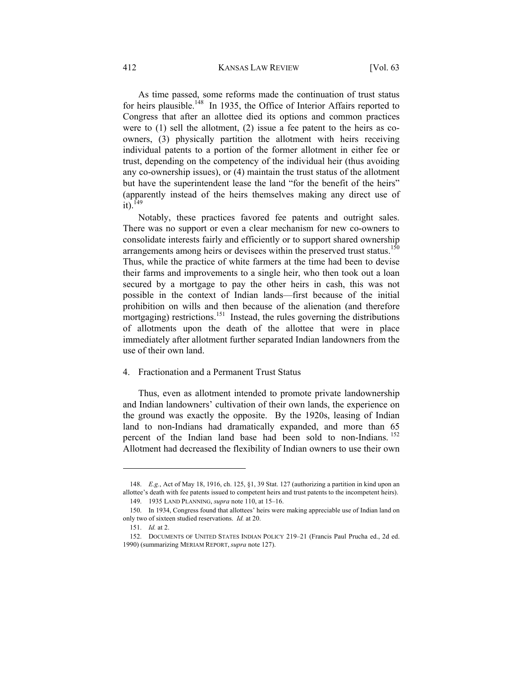As time passed, some reforms made the continuation of trust status for heirs plausible.<sup>148</sup> In 1935, the Office of Interior Affairs reported to Congress that after an allottee died its options and common practices were to (1) sell the allotment, (2) issue a fee patent to the heirs as coowners, (3) physically partition the allotment with heirs receiving individual patents to a portion of the former allotment in either fee or trust, depending on the competency of the individual heir (thus avoiding any co-ownership issues), or (4) maintain the trust status of the allotment but have the superintendent lease the land "for the benefit of the heirs" (apparently instead of the heirs themselves making any direct use of  $it)$ <sup>149</sup>

Notably, these practices favored fee patents and outright sales. There was no support or even a clear mechanism for new co-owners to consolidate interests fairly and efficiently or to support shared ownership arrangements among heirs or devisees within the preserved trust status.<sup>150</sup> Thus, while the practice of white farmers at the time had been to devise their farms and improvements to a single heir, who then took out a loan secured by a mortgage to pay the other heirs in cash, this was not possible in the context of Indian lands—first because of the initial prohibition on wills and then because of the alienation (and therefore mortgaging) restrictions.<sup>151</sup> Instead, the rules governing the distributions of allotments upon the death of the allottee that were in place immediately after allotment further separated Indian landowners from the use of their own land.

#### 4. Fractionation and a Permanent Trust Status

Thus, even as allotment intended to promote private landownership and Indian landowners' cultivation of their own lands, the experience on the ground was exactly the opposite. By the 1920s, leasing of Indian land to non-Indians had dramatically expanded, and more than 65 percent of the Indian land base had been sold to non-Indians. 152 Allotment had decreased the flexibility of Indian owners to use their own

 <sup>148.</sup> *E.g.*, Act of May 18, 1916, ch. 125, §1, 39 Stat. 127 (authorizing a partition in kind upon an allottee's death with fee patents issued to competent heirs and trust patents to the incompetent heirs).

 <sup>149. 1935</sup> LAND PLANNING, *supra* note 110, at 15–16.

 <sup>150.</sup> In 1934, Congress found that allottees' heirs were making appreciable use of Indian land on only two of sixteen studied reservations. *Id.* at 20.

 <sup>151.</sup> *Id.* at 2.

 <sup>152.</sup> DOCUMENTS OF UNITED STATES INDIAN POLICY 219–21 (Francis Paul Prucha ed., 2d ed. 1990) (summarizing MERIAM REPORT, *supra* note 127).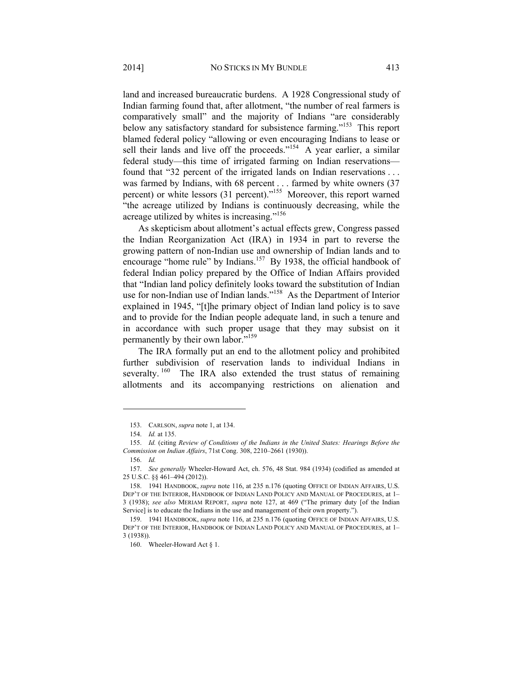land and increased bureaucratic burdens. A 1928 Congressional study of Indian farming found that, after allotment, "the number of real farmers is comparatively small" and the majority of Indians "are considerably below any satisfactory standard for subsistence farming."<sup>153</sup> This report blamed federal policy "allowing or even encouraging Indians to lease or sell their lands and live off the proceeds."<sup>154</sup> A year earlier, a similar federal study—this time of irrigated farming on Indian reservations found that "32 percent of the irrigated lands on Indian reservations . . . was farmed by Indians, with 68 percent . . . farmed by white owners (37 percent) or white lessors (31 percent)."155 Moreover, this report warned "the acreage utilized by Indians is continuously decreasing, while the acreage utilized by whites is increasing."<sup>156</sup>

As skepticism about allotment's actual effects grew, Congress passed the Indian Reorganization Act (IRA) in 1934 in part to reverse the growing pattern of non-Indian use and ownership of Indian lands and to encourage "home rule" by Indians.<sup>157</sup> By 1938, the official handbook of federal Indian policy prepared by the Office of Indian Affairs provided that "Indian land policy definitely looks toward the substitution of Indian use for non-Indian use of Indian lands."<sup>158</sup> As the Department of Interior explained in 1945, "[t]he primary object of Indian land policy is to save and to provide for the Indian people adequate land, in such a tenure and in accordance with such proper usage that they may subsist on it permanently by their own labor."<sup>159</sup>

The IRA formally put an end to the allotment policy and prohibited further subdivision of reservation lands to individual Indians in severalty.<sup>160</sup> The IRA also extended the trust status of remaining allotments and its accompanying restrictions on alienation and

 <sup>153.</sup> CARLSON, *supra* note 1, at 134.

 <sup>154.</sup> *Id.* at 135.

 <sup>155.</sup> *Id.* (citing *Review of Conditions of the Indians in the United States: Hearings Before the Commission on Indian Affairs*, 71st Cong. 308, 2210–2661 (1930)).

 <sup>156.</sup> *Id.*

 <sup>157.</sup> *See generally* Wheeler-Howard Act, ch. 576, 48 Stat. 984 (1934) (codified as amended at 25 U.S.C. §§ 461–494 (2012)).

 <sup>158. 1941</sup> HANDBOOK, *supra* note 116, at 235 n.176 (quoting OFFICE OF INDIAN AFFAIRS, U.S. DEP'T OF THE INTERIOR, HANDBOOK OF INDIAN LAND POLICY AND MANUAL OF PROCEDURES, at 1– 3 (1938); *see also* MERIAM REPORT, *supra* note 127, at 469 ("The primary duty [of the Indian Service] is to educate the Indians in the use and management of their own property.").

 <sup>159. 1941</sup> HANDBOOK, *supra* note 116, at 235 n.176 (quoting OFFICE OF INDIAN AFFAIRS, U.S. DEP'T OF THE INTERIOR, HANDBOOK OF INDIAN LAND POLICY AND MANUAL OF PROCEDURES, at 1– 3 (1938)).

 <sup>160.</sup> Wheeler-Howard Act § 1.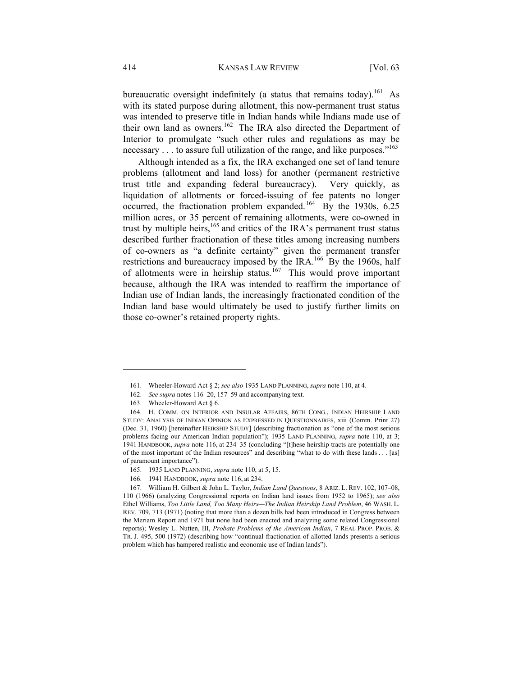bureaucratic oversight indefinitely (a status that remains today).<sup>161</sup> As with its stated purpose during allotment, this now-permanent trust status was intended to preserve title in Indian hands while Indians made use of their own land as owners.<sup>162</sup> The IRA also directed the Department of Interior to promulgate "such other rules and regulations as may be necessary  $\ldots$  to assure full utilization of the range, and like purposes."<sup>163</sup>

Although intended as a fix, the IRA exchanged one set of land tenure problems (allotment and land loss) for another (permanent restrictive trust title and expanding federal bureaucracy). Very quickly, as liquidation of allotments or forced-issuing of fee patents no longer occurred, the fractionation problem expanded.<sup>164</sup> By the 1930s, 6.25 million acres, or 35 percent of remaining allotments, were co-owned in trust by multiple heirs, $165$  and critics of the IRA's permanent trust status described further fractionation of these titles among increasing numbers of co-owners as "a definite certainty" given the permanent transfer restrictions and bureaucracy imposed by the IRA.<sup>166</sup> By the 1960s, half of allotments were in heirship status.<sup>167</sup> This would prove important because, although the IRA was intended to reaffirm the importance of Indian use of Indian lands, the increasingly fractionated condition of the Indian land base would ultimately be used to justify further limits on those co-owner's retained property rights.

 <sup>161.</sup> Wheeler-Howard Act § 2; *see also* 1935 LAND PLANNING, *supra* note 110, at 4.

 <sup>162.</sup> *See supra* notes 116–20, 157–59 and accompanying text.

 <sup>163.</sup> Wheeler-Howard Act § 6.

 <sup>164.</sup> H. COMM. ON INTERIOR AND INSULAR AFFAIRS, 86TH CONG., INDIAN HEIRSHIP LAND STUDY: ANALYSIS OF INDIAN OPINION AS EXPRESSED IN QUESTIONNAIRES, xiii (Comm. Print 27) (Dec. 31, 1960) [hereinafter HEIRSHIP STUDY] (describing fractionation as "one of the most serious problems facing our American Indian population"); 1935 LAND PLANNING, *supra* note 110, at 3; 1941 HANDBOOK, *supra* note 116, at 234–35 (concluding "[t]hese heirship tracts are potentially one of the most important of the Indian resources" and describing "what to do with these lands . . . [as] of paramount importance").

 <sup>165. 1935</sup> LAND PLANNING, *supra* note 110, at 5, 15.

 <sup>166. 1941</sup> HANDBOOK, *supra* note 116, at 234.

 <sup>167.</sup> William H. Gilbert & John L. Taylor, *Indian Land Questions*, 8 ARIZ. L. REV. 102, 107–08, 110 (1966) (analyzing Congressional reports on Indian land issues from 1952 to 1965); *see also*  Ethel Williams, *Too Little Land, Too Many Heirs—The Indian Heirship Land Problem*, 46 WASH. L. REV. 709, 713 (1971) (noting that more than a dozen bills had been introduced in Congress between the Meriam Report and 1971 but none had been enacted and analyzing some related Congressional reports); Wesley L. Nutten, III, *Probate Problems of the American Indian*, 7 REAL PROP. PROB. & TR. J. 495, 500 (1972) (describing how "continual fractionation of allotted lands presents a serious problem which has hampered realistic and economic use of Indian lands").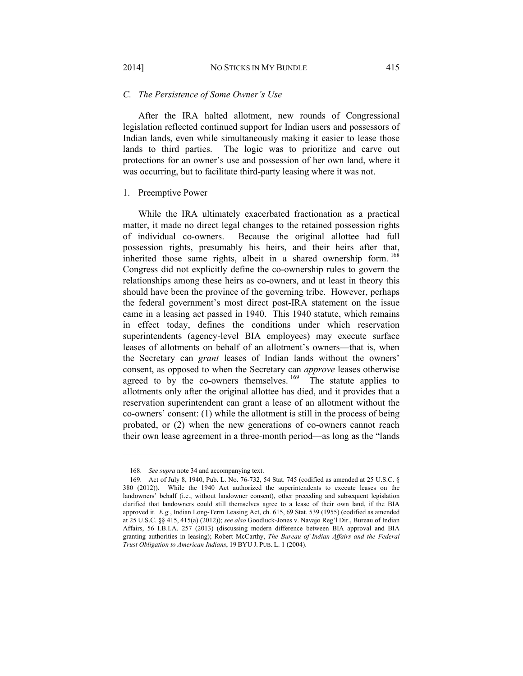#### *C. The Persistence of Some Owner's Use*

After the IRA halted allotment, new rounds of Congressional legislation reflected continued support for Indian users and possessors of Indian lands, even while simultaneously making it easier to lease those lands to third parties. The logic was to prioritize and carve out protections for an owner's use and possession of her own land, where it was occurring, but to facilitate third-party leasing where it was not.

## 1. Preemptive Power

While the IRA ultimately exacerbated fractionation as a practical matter, it made no direct legal changes to the retained possession rights of individual co-owners. Because the original allottee had full possession rights, presumably his heirs, and their heirs after that, inherited those same rights, albeit in a shared ownership form. <sup>168</sup> Congress did not explicitly define the co-ownership rules to govern the relationships among these heirs as co-owners, and at least in theory this should have been the province of the governing tribe. However, perhaps the federal government's most direct post-IRA statement on the issue came in a leasing act passed in 1940. This 1940 statute, which remains in effect today, defines the conditions under which reservation superintendents (agency-level BIA employees) may execute surface leases of allotments on behalf of an allotment's owners—that is, when the Secretary can *grant* leases of Indian lands without the owners' consent, as opposed to when the Secretary can *approve* leases otherwise agreed to by the co-owners themselves.  $169$  The statute applies to allotments only after the original allottee has died, and it provides that a reservation superintendent can grant a lease of an allotment without the co-owners' consent: (1) while the allotment is still in the process of being probated, or (2) when the new generations of co-owners cannot reach their own lease agreement in a three-month period—as long as the "lands

 <sup>168.</sup> *See supra* note 34 and accompanying text.

 <sup>169.</sup> Act of July 8, 1940, Pub. L. No. 76-732, 54 Stat. 745 (codified as amended at 25 U.S.C. § 380 (2012)). While the 1940 Act authorized the superintendents to execute leases on the landowners' behalf (i.e., without landowner consent), other preceding and subsequent legislation clarified that landowners could still themselves agree to a lease of their own land, if the BIA approved it. *E.g.*, Indian Long-Term Leasing Act, ch. 615, 69 Stat. 539 (1955) (codified as amended at 25 U.S.C. §§ 415, 415(a) (2012)); *see also* Goodluck-Jones v. Navajo Reg'l Dir., Bureau of Indian Affairs, 56 I.B.I.A. 257 (2013) (discussing modern difference between BIA approval and BIA granting authorities in leasing); Robert McCarthy, *The Bureau of Indian Affairs and the Federal Trust Obligation to American Indians*, 19 BYU J. PUB. L. 1 (2004).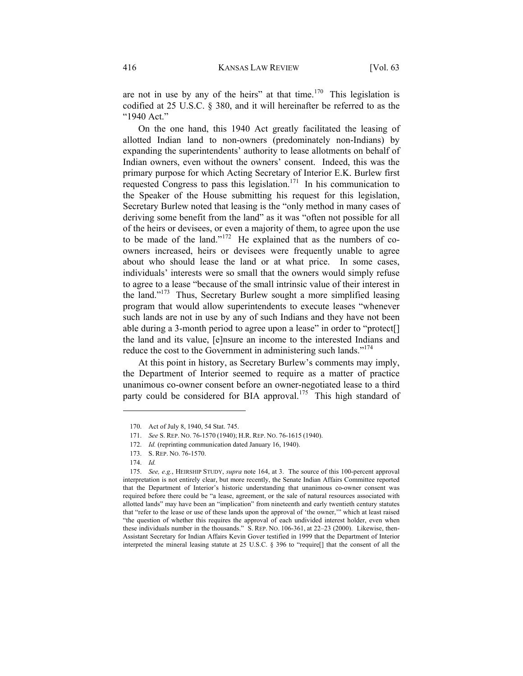are not in use by any of the heirs" at that time.<sup>170</sup> This legislation is codified at 25 U.S.C. § 380, and it will hereinafter be referred to as the "1940 Act."

On the one hand, this 1940 Act greatly facilitated the leasing of allotted Indian land to non-owners (predominately non-Indians) by expanding the superintendents' authority to lease allotments on behalf of Indian owners, even without the owners' consent. Indeed, this was the primary purpose for which Acting Secretary of Interior E.K. Burlew first requested Congress to pass this legislation.<sup>171</sup> In his communication to the Speaker of the House submitting his request for this legislation, Secretary Burlew noted that leasing is the "only method in many cases of deriving some benefit from the land" as it was "often not possible for all of the heirs or devisees, or even a majority of them, to agree upon the use to be made of the land."172 He explained that as the numbers of coowners increased, heirs or devisees were frequently unable to agree about who should lease the land or at what price. In some cases, individuals' interests were so small that the owners would simply refuse to agree to a lease "because of the small intrinsic value of their interest in the land."<sup>173</sup> Thus, Secretary Burlew sought a more simplified leasing program that would allow superintendents to execute leases "whenever such lands are not in use by any of such Indians and they have not been able during a 3-month period to agree upon a lease" in order to "protect[] the land and its value, [e]nsure an income to the interested Indians and reduce the cost to the Government in administering such lands."<sup>174</sup>

At this point in history, as Secretary Burlew's comments may imply, the Department of Interior seemed to require as a matter of practice unanimous co-owner consent before an owner-negotiated lease to a third party could be considered for BIA approval.<sup>175</sup> This high standard of

 <sup>170.</sup> Act of July 8, 1940, 54 Stat. 745.

 <sup>171.</sup> *See* S. REP. NO. 76-1570 (1940); H.R. REP. NO. 76-1615 (1940).

<sup>172.</sup> *Id.* (reprinting communication dated January 16, 1940).

 <sup>173.</sup> S. REP. NO. 76-1570.

 <sup>174.</sup> *Id.*

 <sup>175.</sup> *See, e.g.*, HEIRSHIP STUDY, *supra* note 164, at 3. The source of this 100-percent approval interpretation is not entirely clear, but more recently, the Senate Indian Affairs Committee reported that the Department of Interior's historic understanding that unanimous co-owner consent was required before there could be "a lease, agreement, or the sale of natural resources associated with allotted lands" may have been an "implication" from nineteenth and early twentieth century statutes that "refer to the lease or use of these lands upon the approval of 'the owner,'" which at least raised "the question of whether this requires the approval of each undivided interest holder, even when these individuals number in the thousands." S. REP. NO. 106-361, at 22–23 (2000). Likewise, then-Assistant Secretary for Indian Affairs Kevin Gover testified in 1999 that the Department of Interior interpreted the mineral leasing statute at 25 U.S.C. § 396 to "require[] that the consent of all the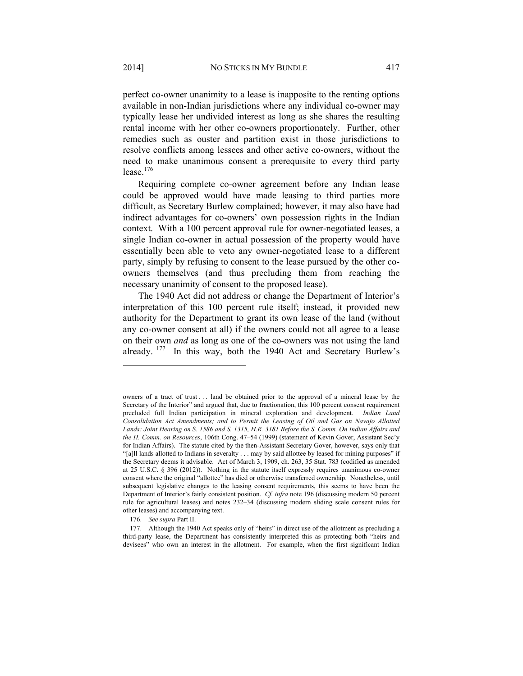perfect co-owner unanimity to a lease is inapposite to the renting options available in non-Indian jurisdictions where any individual co-owner may typically lease her undivided interest as long as she shares the resulting rental income with her other co-owners proportionately. Further, other remedies such as ouster and partition exist in those jurisdictions to resolve conflicts among lessees and other active co-owners, without the need to make unanimous consent a prerequisite to every third party lease  $176$ 

Requiring complete co-owner agreement before any Indian lease could be approved would have made leasing to third parties more difficult, as Secretary Burlew complained; however, it may also have had indirect advantages for co-owners' own possession rights in the Indian context. With a 100 percent approval rule for owner-negotiated leases, a single Indian co-owner in actual possession of the property would have essentially been able to veto any owner-negotiated lease to a different party, simply by refusing to consent to the lease pursued by the other coowners themselves (and thus precluding them from reaching the necessary unanimity of consent to the proposed lease).

The 1940 Act did not address or change the Department of Interior's interpretation of this 100 percent rule itself; instead, it provided new authority for the Department to grant its own lease of the land (without any co-owner consent at all) if the owners could not all agree to a lease on their own *and* as long as one of the co-owners was not using the land already. 177 In this way, both the 1940 Act and Secretary Burlew's

owners of a tract of trust . . . land be obtained prior to the approval of a mineral lease by the Secretary of the Interior" and argued that, due to fractionation, this 100 percent consent requirement precluded full Indian participation in mineral exploration and development. *Indian Land Consolidation Act Amendments; and to Permit the Leasing of Oil and Gas on Navajo Allotted*  Lands: Joint Hearing on S. 1586 and S. 1315, H.R. 3181 Before the S. Comm. On Indian Affairs and *the H. Comm. on Resources*, 106th Cong. 47–54 (1999) (statement of Kevin Gover, Assistant Sec'y for Indian Affairs). The statute cited by the then-Assistant Secretary Gover, however, says only that "[a]ll lands allotted to Indians in severalty . . . may by said allottee by leased for mining purposes" if the Secretary deems it advisable. Act of March 3, 1909, ch. 263, 35 Stat. 783 (codified as amended at 25 U.S.C. § 396 (2012)). Nothing in the statute itself expressly requires unanimous co-owner consent where the original "allottee" has died or otherwise transferred ownership. Nonetheless, until subsequent legislative changes to the leasing consent requirements, this seems to have been the Department of Interior's fairly consistent position. *Cf. infra* note 196 (discussing modern 50 percent rule for agricultural leases) and notes 232–34 (discussing modern sliding scale consent rules for other leases) and accompanying text.

 <sup>176.</sup> *See supra* Part II.

 <sup>177.</sup> Although the 1940 Act speaks only of "heirs" in direct use of the allotment as precluding a third-party lease, the Department has consistently interpreted this as protecting both "heirs and devisees" who own an interest in the allotment. For example, when the first significant Indian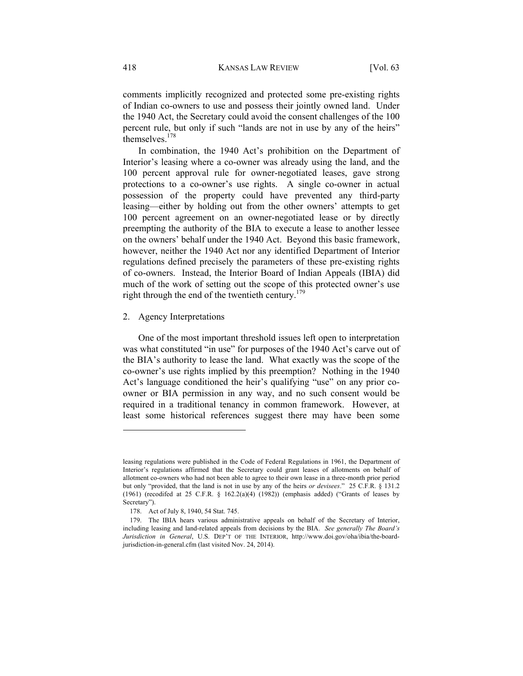comments implicitly recognized and protected some pre-existing rights of Indian co-owners to use and possess their jointly owned land. Under the 1940 Act, the Secretary could avoid the consent challenges of the 100 percent rule, but only if such "lands are not in use by any of the heirs" themselves.<sup>178</sup>

In combination, the 1940 Act's prohibition on the Department of Interior's leasing where a co-owner was already using the land, and the 100 percent approval rule for owner-negotiated leases, gave strong protections to a co-owner's use rights. A single co-owner in actual possession of the property could have prevented any third-party leasing—either by holding out from the other owners' attempts to get 100 percent agreement on an owner-negotiated lease or by directly preempting the authority of the BIA to execute a lease to another lessee on the owners' behalf under the 1940 Act. Beyond this basic framework, however, neither the 1940 Act nor any identified Department of Interior regulations defined precisely the parameters of these pre-existing rights of co-owners. Instead, the Interior Board of Indian Appeals (IBIA) did much of the work of setting out the scope of this protected owner's use right through the end of the twentieth century.<sup>179</sup>

#### 2. Agency Interpretations

l

One of the most important threshold issues left open to interpretation was what constituted "in use" for purposes of the 1940 Act's carve out of the BIA's authority to lease the land. What exactly was the scope of the co-owner's use rights implied by this preemption? Nothing in the 1940 Act's language conditioned the heir's qualifying "use" on any prior coowner or BIA permission in any way, and no such consent would be required in a traditional tenancy in common framework. However, at least some historical references suggest there may have been some

leasing regulations were published in the Code of Federal Regulations in 1961, the Department of Interior's regulations affirmed that the Secretary could grant leases of allotments on behalf of allotment co-owners who had not been able to agree to their own lease in a three-month prior period but only "provided, that the land is not in use by any of the heirs *or devisees*." 25 C.F.R. § 131.2 (1961) (recodifed at 25 C.F.R. § 162.2(a)(4) (1982)) (emphasis added) ("Grants of leases by Secretary").

 <sup>178.</sup> Act of July 8, 1940, 54 Stat. 745.

 <sup>179.</sup> The IBIA hears various administrative appeals on behalf of the Secretary of Interior, including leasing and land-related appeals from decisions by the BIA. *See generally The Board's Jurisdiction in General*, U.S. DEP'T OF THE INTERIOR, http://www.doi.gov/oha/ibia/the-boardjurisdiction-in-general.cfm (last visited Nov. 24, 2014).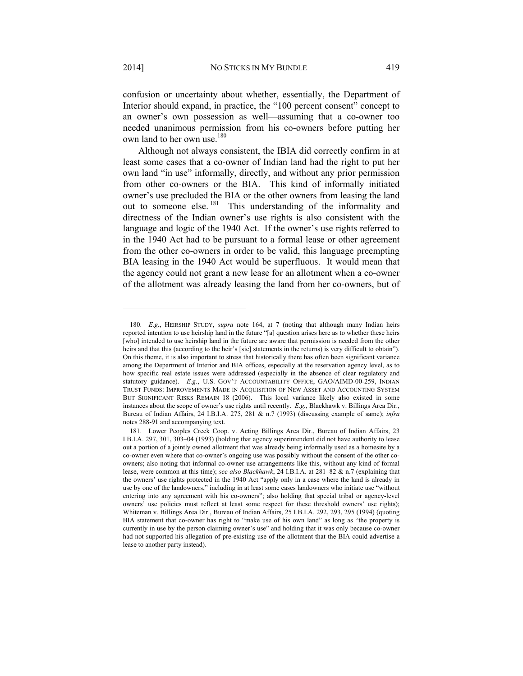confusion or uncertainty about whether, essentially, the Department of Interior should expand, in practice, the "100 percent consent" concept to an owner's own possession as well—assuming that a co-owner too needed unanimous permission from his co-owners before putting her own land to her own use.<sup>180</sup>

Although not always consistent, the IBIA did correctly confirm in at least some cases that a co-owner of Indian land had the right to put her own land "in use" informally, directly, and without any prior permission from other co-owners or the BIA. This kind of informally initiated owner's use precluded the BIA or the other owners from leasing the land out to someone else.<sup>181</sup> This understanding of the informality and directness of the Indian owner's use rights is also consistent with the language and logic of the 1940 Act. If the owner's use rights referred to in the 1940 Act had to be pursuant to a formal lease or other agreement from the other co-owners in order to be valid, this language preempting BIA leasing in the 1940 Act would be superfluous. It would mean that the agency could not grant a new lease for an allotment when a co-owner of the allotment was already leasing the land from her co-owners, but of

 <sup>180.</sup> *E.g.*, HEIRSHIP STUDY, *supra* note 164, at 7 (noting that although many Indian heirs reported intention to use heirship land in the future "[a] question arises here as to whether these heirs [who] intended to use heirship land in the future are aware that permission is needed from the other heirs and that this (according to the heir's [sic] statements in the returns) is very difficult to obtain"). On this theme, it is also important to stress that historically there has often been significant variance among the Department of Interior and BIA offices, especially at the reservation agency level, as to how specific real estate issues were addressed (especially in the absence of clear regulatory and statutory guidance). *E.g.*, U.S. GOV'T ACCOUNTABILITY OFFICE, GAO/AIMD-00-259, INDIAN TRUST FUNDS: IMPROVEMENTS MADE IN ACQUISITION OF NEW ASSET AND ACCOUNTING SYSTEM BUT SIGNIFICANT RISKS REMAIN 18 (2006). This local variance likely also existed in some instances about the scope of owner's use rights until recently. *E.g.*, Blackhawk v. Billings Area Dir., Bureau of Indian Affairs, 24 I.B.I.A. 275, 281 & n.7 (1993) (discussing example of same); *infra*  notes 288-91 and accompanying text.

 <sup>181.</sup> Lower Peoples Creek Coop. v. Acting Billings Area Dir., Bureau of Indian Affairs, 23 I.B.I.A. 297, 301, 303–04 (1993) (holding that agency superintendent did not have authority to lease out a portion of a jointly owned allotment that was already being informally used as a homesite by a co-owner even where that co-owner's ongoing use was possibly without the consent of the other coowners; also noting that informal co-owner use arrangements like this, without any kind of formal lease, were common at this time); *see also Blackhawk*, 24 I.B.I.A. at 281–82 & n.7 (explaining that the owners' use rights protected in the 1940 Act "apply only in a case where the land is already in use by one of the landowners," including in at least some cases landowners who initiate use "without entering into any agreement with his co-owners"; also holding that special tribal or agency-level owners' use policies must reflect at least some respect for these threshold owners' use rights); Whiteman v. Billings Area Dir., Bureau of Indian Affairs, 25 I.B.I.A. 292, 293, 295 (1994) (quoting BIA statement that co-owner has right to "make use of his own land" as long as "the property is currently in use by the person claiming owner's use" and holding that it was only because co-owner had not supported his allegation of pre-existing use of the allotment that the BIA could advertise a lease to another party instead).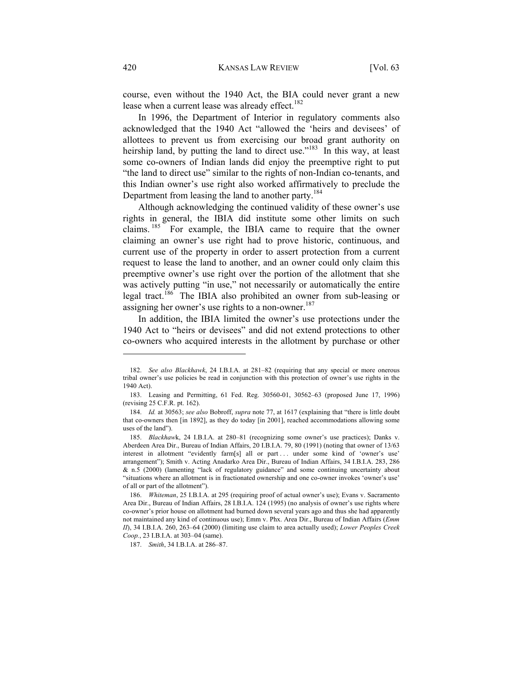course, even without the 1940 Act, the BIA could never grant a new lease when a current lease was already effect.<sup>182</sup>

In 1996, the Department of Interior in regulatory comments also acknowledged that the 1940 Act "allowed the 'heirs and devisees' of allottees to prevent us from exercising our broad grant authority on heirship land, by putting the land to direct use."<sup>183</sup> In this way, at least some co-owners of Indian lands did enjoy the preemptive right to put "the land to direct use" similar to the rights of non-Indian co-tenants, and this Indian owner's use right also worked affirmatively to preclude the Department from leasing the land to another party.<sup>184</sup>

Although acknowledging the continued validity of these owner's use rights in general, the IBIA did institute some other limits on such claims. 185 For example, the IBIA came to require that the owner claiming an owner's use right had to prove historic, continuous, and current use of the property in order to assert protection from a current request to lease the land to another, and an owner could only claim this preemptive owner's use right over the portion of the allotment that she was actively putting "in use," not necessarily or automatically the entire legal tract.<sup>186</sup> The IBIA also prohibited an owner from sub-leasing or assigning her owner's use rights to a non-owner.<sup>187</sup>

In addition, the IBIA limited the owner's use protections under the 1940 Act to "heirs or devisees" and did not extend protections to other co-owners who acquired interests in the allotment by purchase or other

 <sup>182.</sup> *See also Blackhawk*, 24 I.B.I.A. at 281–82 (requiring that any special or more onerous tribal owner's use policies be read in conjunction with this protection of owner's use rights in the 1940 Act).

 <sup>183.</sup> Leasing and Permitting, 61 Fed. Reg. 30560-01, 30562–63 (proposed June 17, 1996) (revising 25 C.F.R. pt. 162).

 <sup>184.</sup> *Id.* at 30563; *see also* Bobroff, *supra* note 77, at 1617 (explaining that "there is little doubt that co-owners then [in 1892], as they do today [in 2001], reached accommodations allowing some uses of the land").

 <sup>185.</sup> *Blackhaw*k, 24 I.B.I.A. at 280–81 (recognizing some owner's use practices); Danks v. Aberdeen Area Dir., Bureau of Indian Affairs, 20 I.B.I.A. 79, 80 (1991) (noting that owner of 13/63 interest in allotment "evidently farm[s] all or part . . . under some kind of 'owner's use' arrangement"); Smith v. Acting Anadarko Area Dir., Bureau of Indian Affairs, 34 I.B.I.A. 283, 286 & n.5 (2000) (lamenting "lack of regulatory guidance" and some continuing uncertainty about "situations where an allotment is in fractionated ownership and one co-owner invokes 'owner's use' of all or part of the allotment").

 <sup>186.</sup> *Whiteman*, 25 I.B.I.A. at 295 (requiring proof of actual owner's use); Evans v. Sacramento Area Dir., Bureau of Indian Affairs, 28 I.B.I.A. 124 (1995) (no analysis of owner's use rights where co-owner's prior house on allotment had burned down several years ago and thus she had apparently not maintained any kind of continuous use); Emm v. Phx. Area Dir., Bureau of Indian Affairs (*Emm II*), 34 I.B.I.A. 260, 263–64 (2000) (limiting use claim to area actually used); *Lower Peoples Creek Coop.*, 23 I.B.I.A. at 303–04 (same).

 <sup>187.</sup> *Smith*, 34 I.B.I.A. at 286–87.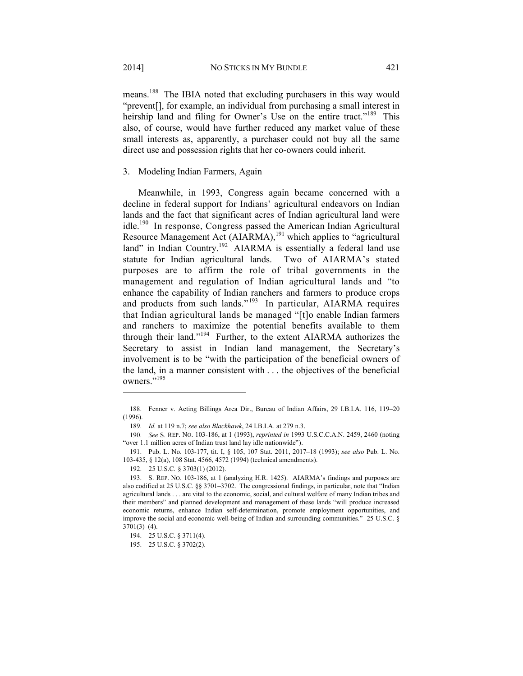means.188 The IBIA noted that excluding purchasers in this way would "prevent[], for example, an individual from purchasing a small interest in heirship land and filing for Owner's Use on the entire tract."<sup>189</sup> This also, of course, would have further reduced any market value of these small interests as, apparently, a purchaser could not buy all the same direct use and possession rights that her co-owners could inherit.

#### 3. Modeling Indian Farmers, Again

Meanwhile, in 1993, Congress again became concerned with a decline in federal support for Indians' agricultural endeavors on Indian lands and the fact that significant acres of Indian agricultural land were idle.190 In response, Congress passed the American Indian Agricultural Resource Management Act (AIARMA),<sup>191</sup> which applies to "agricultural land" in Indian Country.<sup>192</sup> AIARMA is essentially a federal land use statute for Indian agricultural lands. Two of AIARMA's stated purposes are to affirm the role of tribal governments in the management and regulation of Indian agricultural lands and "to enhance the capability of Indian ranchers and farmers to produce crops and products from such lands."<sup>193</sup> In particular, AIARMA requires that Indian agricultural lands be managed "[t]o enable Indian farmers and ranchers to maximize the potential benefits available to them through their land."194 Further, to the extent AIARMA authorizes the Secretary to assist in Indian land management, the Secretary's involvement is to be "with the participation of the beneficial owners of the land, in a manner consistent with . . . the objectives of the beneficial owners."<sup>195</sup>

 <sup>188.</sup> Fenner v. Acting Billings Area Dir., Bureau of Indian Affairs, 29 I.B.I.A. 116, 119–20 (1996).

 <sup>189.</sup> *Id.* at 119 n.7; *see also Blackhawk*, 24 I.B.I.A. at 279 n.3.

 <sup>190.</sup> *See* S. REP. NO. 103-186, at 1 (1993), *reprinted in* 1993 U.S.C.C.A.N. 2459, 2460 (noting "over 1.1 million acres of Indian trust land lay idle nationwide").

 <sup>191.</sup> Pub. L. No. 103-177, tit. I, § 105, 107 Stat. 2011, 2017–18 (1993); *see also* Pub. L. No. 103-435, § 12(a), 108 Stat. 4566, 4572 (1994) (technical amendments).

 <sup>192. 25</sup> U.S.C. § 3703(1) (2012).

 <sup>193.</sup> S. REP. NO. 103-186, at 1 (analyzing H.R. 1425). AIARMA's findings and purposes are also codified at 25 U.S.C. §§ 3701–3702. The congressional findings, in particular, note that "Indian agricultural lands . . . are vital to the economic, social, and cultural welfare of many Indian tribes and their members" and planned development and management of these lands "will produce increased economic returns, enhance Indian self-determination, promote employment opportunities, and improve the social and economic well-being of Indian and surrounding communities." 25 U.S.C. §  $3701(3)–(4)$ .

 <sup>194. 25</sup> U.S.C. § 3711(4).

 <sup>195. 25</sup> U.S.C. § 3702(2).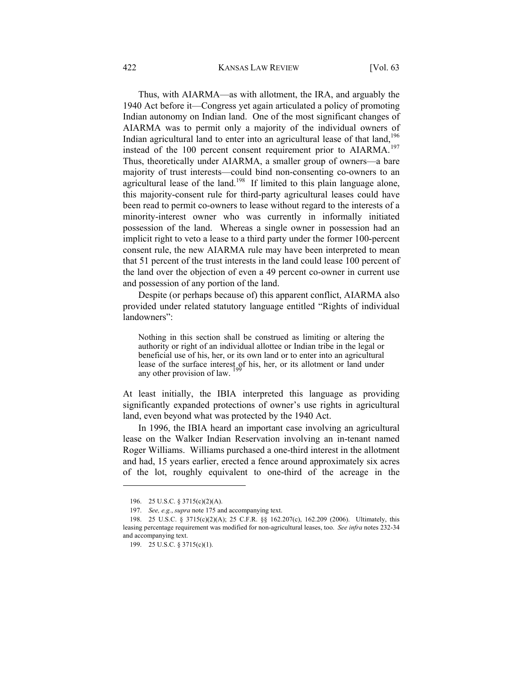#### 422 KANSAS LAW REVIEW [Vol. 63

Thus, with AIARMA—as with allotment, the IRA, and arguably the 1940 Act before it—Congress yet again articulated a policy of promoting Indian autonomy on Indian land. One of the most significant changes of AIARMA was to permit only a majority of the individual owners of Indian agricultural land to enter into an agricultural lease of that  $\text{land}$ ,  $\frac{196}{100}$ instead of the 100 percent consent requirement prior to AIARMA.<sup>197</sup> Thus, theoretically under AIARMA, a smaller group of owners—a bare majority of trust interests—could bind non-consenting co-owners to an agricultural lease of the land.<sup>198</sup> If limited to this plain language alone, this majority-consent rule for third-party agricultural leases could have been read to permit co-owners to lease without regard to the interests of a minority-interest owner who was currently in informally initiated possession of the land. Whereas a single owner in possession had an implicit right to veto a lease to a third party under the former 100-percent consent rule, the new AIARMA rule may have been interpreted to mean that 51 percent of the trust interests in the land could lease 100 percent of the land over the objection of even a 49 percent co-owner in current use and possession of any portion of the land.

Despite (or perhaps because of) this apparent conflict, AIARMA also provided under related statutory language entitled "Rights of individual landowners":

Nothing in this section shall be construed as limiting or altering the authority or right of an individual allottee or Indian tribe in the legal or beneficial use of his, her, or its own land or to enter into an agricultural lease of the surface interest of his, her, or its allotment or land under any other provision of law.

At least initially, the IBIA interpreted this language as providing significantly expanded protections of owner's use rights in agricultural land, even beyond what was protected by the 1940 Act.

In 1996, the IBIA heard an important case involving an agricultural lease on the Walker Indian Reservation involving an in-tenant named Roger Williams. Williams purchased a one-third interest in the allotment and had, 15 years earlier, erected a fence around approximately six acres of the lot, roughly equivalent to one-third of the acreage in the

 <sup>196. 25</sup> U.S.C. § 3715(c)(2)(A).

 <sup>197.</sup> *See, e.g.*, *supra* note 175 and accompanying text.

 <sup>198. 25</sup> U.S.C. § 3715(c)(2)(A); 25 C.F.R. §§ 162.207(c), 162.209 (2006). Ultimately, this leasing percentage requirement was modified for non-agricultural leases, too. *See infra* notes 232-34 and accompanying text.

 <sup>199. 25</sup> U.S.C. § 3715(c)(1).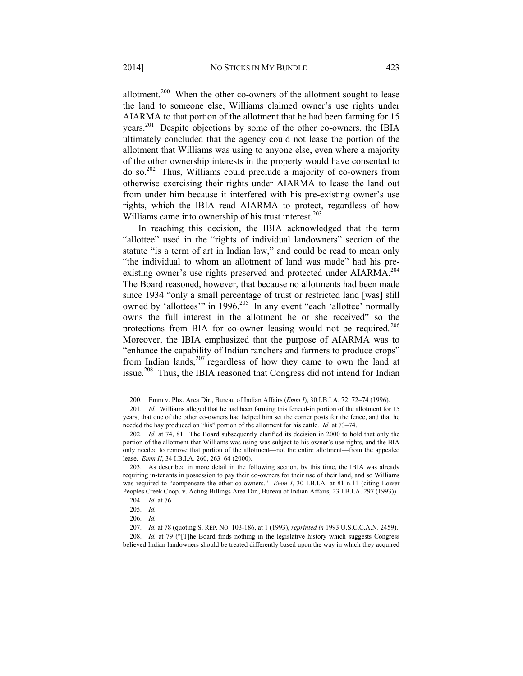allotment.<sup>200</sup> When the other co-owners of the allotment sought to lease the land to someone else, Williams claimed owner's use rights under AIARMA to that portion of the allotment that he had been farming for 15 years.201 Despite objections by some of the other co-owners, the IBIA ultimately concluded that the agency could not lease the portion of the allotment that Williams was using to anyone else, even where a majority of the other ownership interests in the property would have consented to do so.202 Thus, Williams could preclude a majority of co-owners from otherwise exercising their rights under AIARMA to lease the land out from under him because it interfered with his pre-existing owner's use rights, which the IBIA read AIARMA to protect, regardless of how Williams came into ownership of his trust interest.<sup>203</sup>

In reaching this decision, the IBIA acknowledged that the term "allottee" used in the "rights of individual landowners" section of the statute "is a term of art in Indian law," and could be read to mean only "the individual to whom an allotment of land was made" had his preexisting owner's use rights preserved and protected under AIARMA.<sup>204</sup> The Board reasoned, however, that because no allotments had been made since 1934 "only a small percentage of trust or restricted land [was] still owned by 'allottees'" in 1996.<sup>205</sup> In any event "each 'allottee' normally owns the full interest in the allotment he or she received" so the protections from BIA for co-owner leasing would not be required.<sup>206</sup> Moreover, the IBIA emphasized that the purpose of AIARMA was to "enhance the capability of Indian ranchers and farmers to produce crops" from Indian lands, $207$  regardless of how they came to own the land at issue.<sup>208</sup> Thus, the IBIA reasoned that Congress did not intend for Indian

 <sup>200.</sup> Emm v. Phx. Area Dir., Bureau of Indian Affairs (*Emm I*), 30 I.B.I.A. 72, 72–74 (1996).

 <sup>201.</sup> *Id.* Williams alleged that he had been farming this fenced-in portion of the allotment for 15 years, that one of the other co-owners had helped him set the corner posts for the fence, and that he needed the hay produced on "his" portion of the allotment for his cattle. *Id.* at 73–74.

<sup>202.</sup> *Id.* at 74, 81. The Board subsequently clarified its decision in 2000 to hold that only the portion of the allotment that Williams was using was subject to his owner's use rights, and the BIA only needed to remove that portion of the allotment—not the entire allotment—from the appealed lease. *Emm II*, 34 I.B.I.A. 260, 263–64 (2000).

 <sup>203.</sup> As described in more detail in the following section, by this time, the IBIA was already requiring in-tenants in possession to pay their co-owners for their use of their land, and so Williams was required to "compensate the other co-owners." *Emm I*, 30 I.B.I.A. at 81 n.11 (citing Lower Peoples Creek Coop. v. Acting Billings Area Dir., Bureau of Indian Affairs, 23 I.B.I.A. 297 (1993)).

 <sup>204.</sup> *Id.* at 76.

 <sup>205.</sup> *Id.* 

 <sup>206.</sup> *Id.*

 <sup>207.</sup> *Id.* at 78 (quoting S. REP. NO. 103-186, at 1 (1993), *reprinted in* 1993 U.S.C.C.A.N. 2459).

 <sup>208.</sup> *Id.* at 79 ("[T]he Board finds nothing in the legislative history which suggests Congress believed Indian landowners should be treated differently based upon the way in which they acquired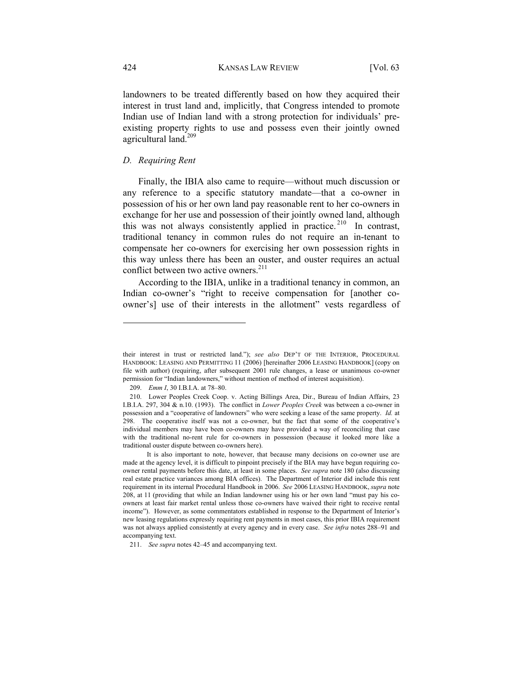landowners to be treated differently based on how they acquired their interest in trust land and, implicitly, that Congress intended to promote Indian use of Indian land with a strong protection for individuals' preexisting property rights to use and possess even their jointly owned agricultural land.<sup>209</sup>

# *D. Requiring Rent*

Finally, the IBIA also came to require—without much discussion or any reference to a specific statutory mandate—that a co-owner in possession of his or her own land pay reasonable rent to her co-owners in exchange for her use and possession of their jointly owned land, although this was not always consistently applied in practice.<sup>210</sup> In contrast, traditional tenancy in common rules do not require an in-tenant to compensate her co-owners for exercising her own possession rights in this way unless there has been an ouster, and ouster requires an actual conflict between two active owners.<sup>211</sup>

According to the IBIA, unlike in a traditional tenancy in common, an Indian co-owner's "right to receive compensation for [another coowner's] use of their interests in the allotment" vests regardless of

their interest in trust or restricted land."); *see also* DEP'T OF THE INTERIOR, PROCEDURAL HANDBOOK: LEASING AND PERMITTING 11 (2006) [hereinafter 2006 LEASING HANDBOOK] (copy on file with author) (requiring, after subsequent 2001 rule changes, a lease or unanimous co-owner permission for "Indian landowners," without mention of method of interest acquisition).

 <sup>209.</sup> *Emm I*, 30 I.B.I.A. at 78–80.

 <sup>210.</sup> Lower Peoples Creek Coop. v. Acting Billings Area, Dir., Bureau of Indian Affairs, 23 I.B.I.A. 297, 304 & n.10. (1993). The conflict in *Lower Peoples Creek* was between a co-owner in possession and a "cooperative of landowners" who were seeking a lease of the same property. *Id.* at 298. The cooperative itself was not a co-owner, but the fact that some of the cooperative's individual members may have been co-owners may have provided a way of reconciling that case with the traditional no-rent rule for co-owners in possession (because it looked more like a traditional ouster dispute between co-owners here).

It is also important to note, however, that because many decisions on co-owner use are made at the agency level, it is difficult to pinpoint precisely if the BIA may have begun requiring coowner rental payments before this date, at least in some places. *See supra* note 180 (also discussing real estate practice variances among BIA offices). The Department of Interior did include this rent requirement in its internal Procedural Handbook in 2006. *See* 2006 LEASING HANDBOOK, *supra* note 208, at 11 (providing that while an Indian landowner using his or her own land "must pay his coowners at least fair market rental unless those co-owners have waived their right to receive rental income"). However, as some commentators established in response to the Department of Interior's new leasing regulations expressly requiring rent payments in most cases, this prior IBIA requirement was not always applied consistently at every agency and in every case. *See infra* notes 288–91 and accompanying text.

 <sup>211.</sup> *See supra* notes 42–45 and accompanying text.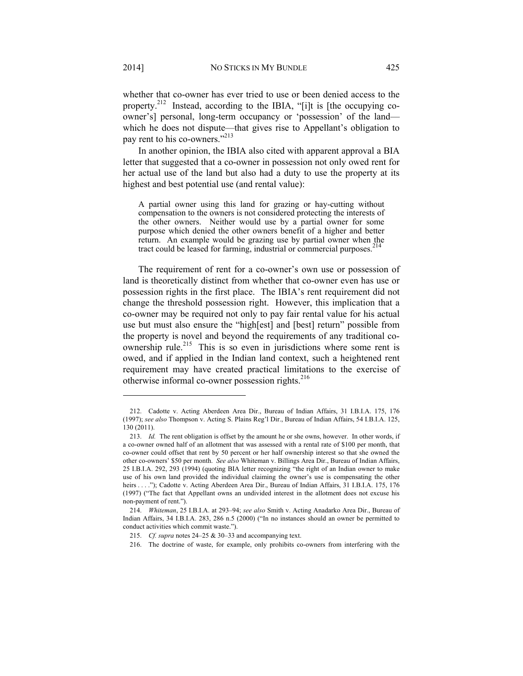whether that co-owner has ever tried to use or been denied access to the property.<sup>212</sup> Instead, according to the IBIA, "[i]t is [the occupying coowner's] personal, long-term occupancy or 'possession' of the land which he does not dispute—that gives rise to Appellant's obligation to pay rent to his co-owners."<sup>213</sup>

In another opinion, the IBIA also cited with apparent approval a BIA letter that suggested that a co-owner in possession not only owed rent for her actual use of the land but also had a duty to use the property at its highest and best potential use (and rental value):

A partial owner using this land for grazing or hay-cutting without compensation to the owners is not considered protecting the interests of the other owners. Neither would use by a partial owner for some purpose which denied the other owners benefit of a higher and better return. An example would be grazing use by partial owner when the tract could be leased for farming, industrial or commercial purposes.<sup>2</sup>

The requirement of rent for a co-owner's own use or possession of land is theoretically distinct from whether that co-owner even has use or possession rights in the first place. The IBIA's rent requirement did not change the threshold possession right. However, this implication that a co-owner may be required not only to pay fair rental value for his actual use but must also ensure the "high[est] and [best] return" possible from the property is novel and beyond the requirements of any traditional coownership rule.<sup>215</sup> This is so even in jurisdictions where some rent is owed, and if applied in the Indian land context, such a heightened rent requirement may have created practical limitations to the exercise of otherwise informal co-owner possession rights.<sup>216</sup>

 <sup>212.</sup> Cadotte v. Acting Aberdeen Area Dir., Bureau of Indian Affairs, 31 I.B.I.A. 175, 176 (1997); *see also* Thompson v. Acting S. Plains Reg'l Dir., Bureau of Indian Affairs, 54 I.B.I.A. 125, 130 (2011).

 <sup>213.</sup> *Id.* The rent obligation is offset by the amount he or she owns, however. In other words, if a co-owner owned half of an allotment that was assessed with a rental rate of \$100 per month, that co-owner could offset that rent by 50 percent or her half ownership interest so that she owned the other co-owners' \$50 per month. *See also* Whiteman v. Billings Area Dir., Bureau of Indian Affairs, 25 I.B.I.A. 292, 293 (1994) (quoting BIA letter recognizing "the right of an Indian owner to make use of his own land provided the individual claiming the owner's use is compensating the other heirs . . . ."); Cadotte v. Acting Aberdeen Area Dir., Bureau of Indian Affairs, 31 I.B.I.A. 175, 176 (1997) ("The fact that Appellant owns an undivided interest in the allotment does not excuse his non-payment of rent.").

 <sup>214.</sup> *Whiteman*, 25 I.B.I.A. at 293–94; *see also* Smith v. Acting Anadarko Area Dir., Bureau of Indian Affairs, 34 I.B.I.A. 283, 286 n.5 (2000) ("In no instances should an owner be permitted to conduct activities which commit waste.").

 <sup>215.</sup> *Cf. supra* notes 24–25 & 30–33 and accompanying text.

 <sup>216.</sup> The doctrine of waste, for example, only prohibits co-owners from interfering with the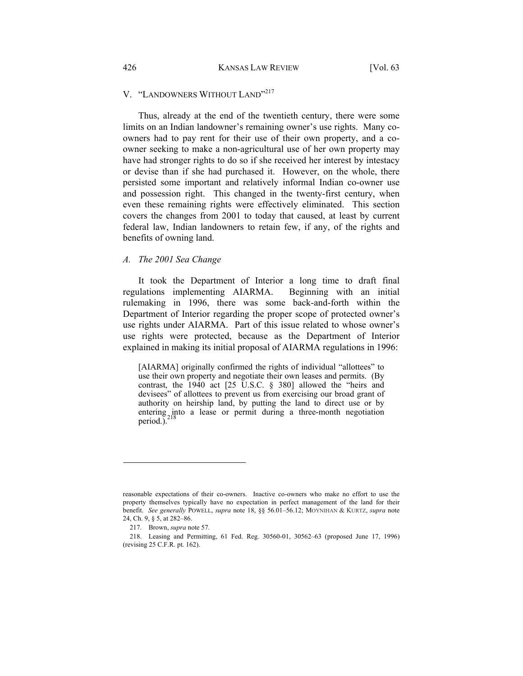# V. "LANDOWNERS WITHOUT LAND"<sup>217</sup>

Thus, already at the end of the twentieth century, there were some limits on an Indian landowner's remaining owner's use rights. Many coowners had to pay rent for their use of their own property, and a coowner seeking to make a non-agricultural use of her own property may have had stronger rights to do so if she received her interest by intestacy or devise than if she had purchased it. However, on the whole, there persisted some important and relatively informal Indian co-owner use and possession right. This changed in the twenty-first century, when even these remaining rights were effectively eliminated. This section covers the changes from 2001 to today that caused, at least by current federal law, Indian landowners to retain few, if any, of the rights and benefits of owning land.

## *A. The 2001 Sea Change*

It took the Department of Interior a long time to draft final regulations implementing AIARMA. Beginning with an initial rulemaking in 1996, there was some back-and-forth within the Department of Interior regarding the proper scope of protected owner's use rights under AIARMA. Part of this issue related to whose owner's use rights were protected, because as the Department of Interior explained in making its initial proposal of AIARMA regulations in 1996:

[AIARMA] originally confirmed the rights of individual "allottees" to use their own property and negotiate their own leases and permits. (By contrast, the 1940 act [25 U.S.C. § 380] allowed the "heirs and devisees" of allottees to prevent us from exercising our broad grant of authority on heirship land, by putting the land to direct use or by entering into a lease or permit during a three-month negotiation period.).<sup>2</sup>

reasonable expectations of their co-owners. Inactive co-owners who make no effort to use the property themselves typically have no expectation in perfect management of the land for their benefit. *See generally* POWELL, *supra* note 18, §§ 56.01–56.12; MOYNIHAN & KURTZ, *supra* note 24, Ch. 9, § 5, at 282–86.

 <sup>217.</sup> Brown, *supra* note 57.

 <sup>218.</sup> Leasing and Permitting, 61 Fed. Reg. 30560-01, 30562–63 (proposed June 17, 1996) (revising 25 C.F.R. pt. 162).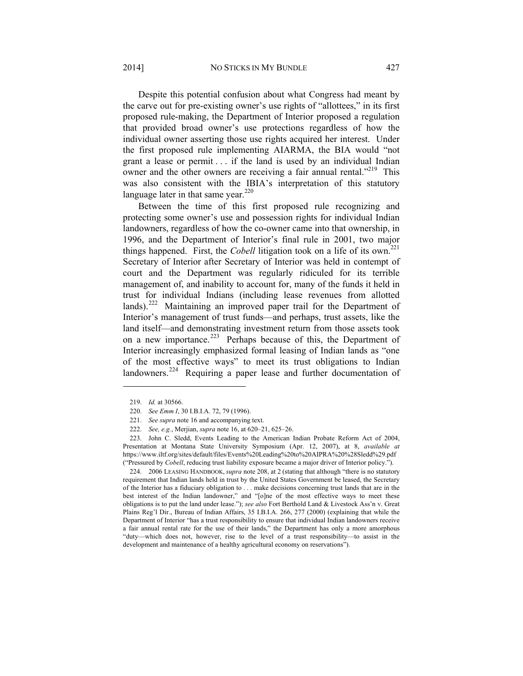Despite this potential confusion about what Congress had meant by the carve out for pre-existing owner's use rights of "allottees," in its first proposed rule-making, the Department of Interior proposed a regulation that provided broad owner's use protections regardless of how the individual owner asserting those use rights acquired her interest. Under the first proposed rule implementing AIARMA, the BIA would "not grant a lease or permit . . . if the land is used by an individual Indian owner and the other owners are receiving a fair annual rental."<sup>219</sup> This was also consistent with the IBIA's interpretation of this statutory language later in that same year. $220$ 

Between the time of this first proposed rule recognizing and protecting some owner's use and possession rights for individual Indian landowners, regardless of how the co-owner came into that ownership, in 1996, and the Department of Interior's final rule in 2001, two major things happened. First, the *Cobell* litigation took on a life of its own.<sup>221</sup> Secretary of Interior after Secretary of Interior was held in contempt of court and the Department was regularly ridiculed for its terrible management of, and inability to account for, many of the funds it held in trust for individual Indians (including lease revenues from allotted lands).<sup>222</sup> Maintaining an improved paper trail for the Department of Interior's management of trust funds—and perhaps, trust assets, like the land itself—and demonstrating investment return from those assets took on a new importance.<sup>223</sup> Perhaps because of this, the Department of Interior increasingly emphasized formal leasing of Indian lands as "one of the most effective ways" to meet its trust obligations to Indian landowners.<sup>224</sup> Requiring a paper lease and further documentation of

l

 223. John C. Sledd, Events Leading to the American Indian Probate Reform Act of 2004, Presentation at Montana State University Symposium (Apr. 12, 2007), at 8, *available at* https://www.iltf.org/sites/default/files/Events%20Leading%20to%20AIPRA%20%28Sledd%29.pdf ("Pressured by *Cobell*, reducing trust liability exposure became a major driver of Interior policy.").

 224. 2006 LEASING HANDBOOK, *supra* note 208, at 2 (stating that although "there is no statutory requirement that Indian lands held in trust by the United States Government be leased, the Secretary of the Interior has a fiduciary obligation to . . . make decisions concerning trust lands that are in the best interest of the Indian landowner," and "[o]ne of the most effective ways to meet these obligations is to put the land under lease."); *see also* Fort Berthold Land & Livestock Ass'n v. Great Plains Reg'l Dir., Bureau of Indian Affairs, 35 I.B.I.A. 266, 277 (2000) (explaining that while the Department of Interior "has a trust responsibility to ensure that individual Indian landowners receive a fair annual rental rate for the use of their lands," the Department has only a more amorphous "duty—which does not, however, rise to the level of a trust responsibility—to assist in the development and maintenance of a healthy agricultural economy on reservations").

 <sup>219.</sup> *Id.* at 30566.

 <sup>220.</sup> *See Emm I*, 30 I.B.I.A. 72, 79 (1996).

 <sup>221.</sup> *See supra* note 16 and accompanying text.

 <sup>222.</sup> *See, e.g.*, Merjian, *supra* note 16, at 620–21, 625–26.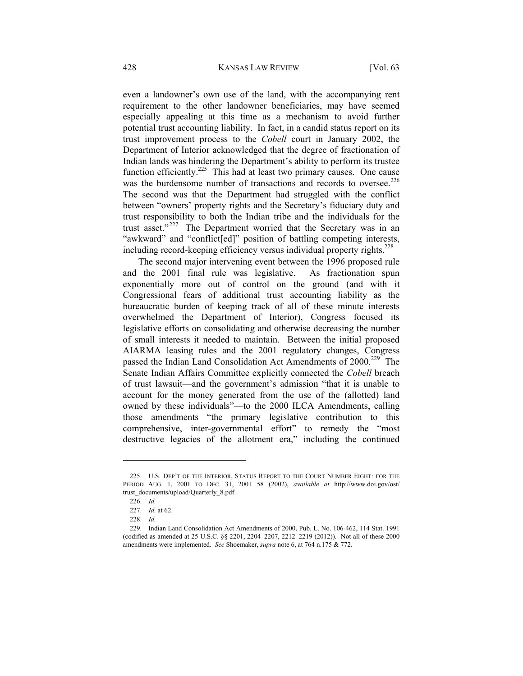even a landowner's own use of the land, with the accompanying rent requirement to the other landowner beneficiaries, may have seemed especially appealing at this time as a mechanism to avoid further potential trust accounting liability. In fact, in a candid status report on its trust improvement process to the *Cobell* court in January 2002, the Department of Interior acknowledged that the degree of fractionation of Indian lands was hindering the Department's ability to perform its trustee function efficiently.<sup>225</sup> This had at least two primary causes. One cause was the burdensome number of transactions and records to oversee.<sup>226</sup> The second was that the Department had struggled with the conflict between "owners' property rights and the Secretary's fiduciary duty and trust responsibility to both the Indian tribe and the individuals for the trust asset."227 The Department worried that the Secretary was in an "awkward" and "conflict[ed]" position of battling competing interests, including record-keeping efficiency versus individual property rights.<sup>228</sup>

The second major intervening event between the 1996 proposed rule and the 2001 final rule was legislative. As fractionation spun exponentially more out of control on the ground (and with it Congressional fears of additional trust accounting liability as the bureaucratic burden of keeping track of all of these minute interests overwhelmed the Department of Interior), Congress focused its legislative efforts on consolidating and otherwise decreasing the number of small interests it needed to maintain. Between the initial proposed AIARMA leasing rules and the 2001 regulatory changes, Congress passed the Indian Land Consolidation Act Amendments of 2000.<sup>229</sup> The Senate Indian Affairs Committee explicitly connected the *Cobell* breach of trust lawsuit—and the government's admission "that it is unable to account for the money generated from the use of the (allotted) land owned by these individuals"—to the 2000 ILCA Amendments, calling those amendments "the primary legislative contribution to this comprehensive, inter-governmental effort" to remedy the "most destructive legacies of the allotment era," including the continued

 <sup>225.</sup> U.S. DEP'T OF THE INTERIOR, STATUS REPORT TO THE COURT NUMBER EIGHT: FOR THE PERIOD AUG. 1, 2001 TO DEC. 31, 2001 58 (2002), *available at* http://www.doi.gov/ost/ trust\_documents/upload/Quarterly\_8.pdf.

 <sup>226.</sup> *Id.*

 <sup>227.</sup> *Id.* at 62.

 <sup>228.</sup> *Id.*

 <sup>229.</sup> Indian Land Consolidation Act Amendments of 2000, Pub. L. No. 106-462, 114 Stat. 1991 (codified as amended at 25 U.S.C. §§ 2201, 2204–2207, 2212–2219 (2012)). Not all of these 2000 amendments were implemented. *See* Shoemaker, *supra* note 6, at 764 n.175 & 772.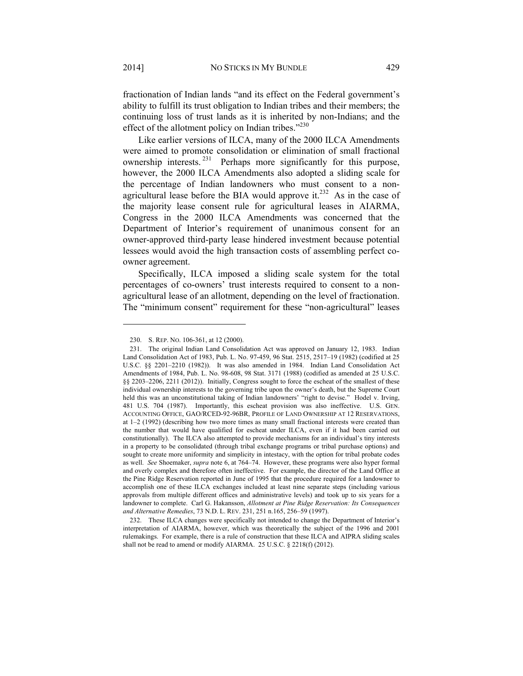fractionation of Indian lands "and its effect on the Federal government's ability to fulfill its trust obligation to Indian tribes and their members; the continuing loss of trust lands as it is inherited by non-Indians; and the effect of the allotment policy on Indian tribes."<sup>230</sup>

Like earlier versions of ILCA, many of the 2000 ILCA Amendments were aimed to promote consolidation or elimination of small fractional ownership interests. 231 Perhaps more significantly for this purpose, however, the 2000 ILCA Amendments also adopted a sliding scale for the percentage of Indian landowners who must consent to a nonagricultural lease before the BIA would approve it. $^{232}$  As in the case of the majority lease consent rule for agricultural leases in AIARMA, Congress in the 2000 ILCA Amendments was concerned that the Department of Interior's requirement of unanimous consent for an owner-approved third-party lease hindered investment because potential lessees would avoid the high transaction costs of assembling perfect coowner agreement.

Specifically, ILCA imposed a sliding scale system for the total percentages of co-owners' trust interests required to consent to a nonagricultural lease of an allotment, depending on the level of fractionation. The "minimum consent" requirement for these "non-agricultural" leases

 <sup>230.</sup> S. REP. NO. 106-361, at 12 (2000).

 <sup>231.</sup> The original Indian Land Consolidation Act was approved on January 12, 1983. Indian Land Consolidation Act of 1983, Pub. L. No. 97-459, 96 Stat. 2515, 2517–19 (1982) (codified at 25 U.S.C. §§ 2201–2210 (1982)). It was also amended in 1984. Indian Land Consolidation Act Amendments of 1984, Pub. L. No. 98-608, 98 Stat. 3171 (1988) (codified as amended at 25 U.S.C. §§ 2203–2206, 2211 (2012)). Initially, Congress sought to force the escheat of the smallest of these individual ownership interests to the governing tribe upon the owner's death, but the Supreme Court held this was an unconstitutional taking of Indian landowners' "right to devise." Hodel v. Irving, 481 U.S. 704 (1987). Importantly, this escheat provision was also ineffective. U.S. GEN. ACCOUNTING OFFICE, GAO/RCED-92-96BR, PROFILE OF LAND OWNERSHIP AT 12 RESERVATIONS, at 1–2 (1992) (describing how two more times as many small fractional interests were created than the number that would have qualified for escheat under ILCA, even if it had been carried out constitutionally). The ILCA also attempted to provide mechanisms for an individual's tiny interests in a property to be consolidated (through tribal exchange programs or tribal purchase options) and sought to create more uniformity and simplicity in intestacy, with the option for tribal probate codes as well. *See* Shoemaker, *supra* note 6, at 764–74. However, these programs were also hyper formal and overly complex and therefore often ineffective. For example, the director of the Land Office at the Pine Ridge Reservation reported in June of 1995 that the procedure required for a landowner to accomplish one of these ILCA exchanges included at least nine separate steps (including various approvals from multiple different offices and administrative levels) and took up to six years for a landowner to complete. Carl G. Hakansson, *Allotment at Pine Ridge Reservation: Its Consequences and Alternative Remedies*, 73 N.D. L. REV. 231, 251 n.165, 256–59 (1997).

 <sup>232.</sup> These ILCA changes were specifically not intended to change the Department of Interior's interpretation of AIARMA, however, which was theoretically the subject of the 1996 and 2001 rulemakings. For example, there is a rule of construction that these ILCA and AIPRA sliding scales shall not be read to amend or modify AIARMA. 25 U.S.C. § 2218(f) (2012).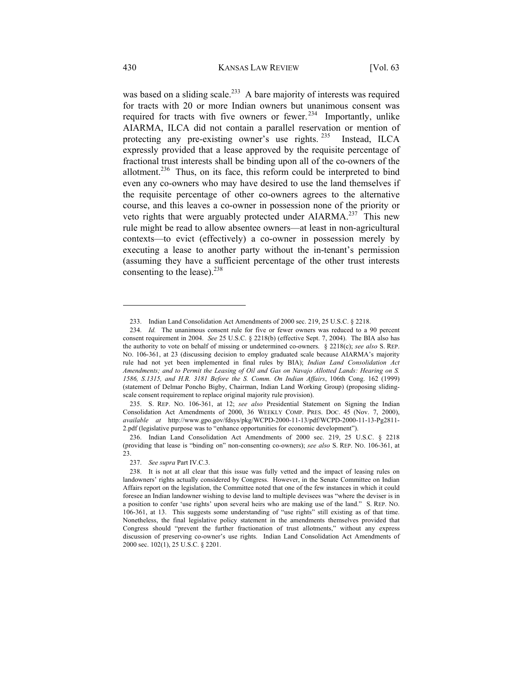was based on a sliding scale.<sup>233</sup> A bare majority of interests was required for tracts with 20 or more Indian owners but unanimous consent was required for tracts with five owners or fewer.<sup>234</sup> Importantly, unlike AIARMA, ILCA did not contain a parallel reservation or mention of protecting any pre-existing owner's use rights. <sup>235</sup> Instead, ILCA expressly provided that a lease approved by the requisite percentage of fractional trust interests shall be binding upon all of the co-owners of the allotment.<sup>236</sup> Thus, on its face, this reform could be interpreted to bind even any co-owners who may have desired to use the land themselves if the requisite percentage of other co-owners agrees to the alternative course, and this leaves a co-owner in possession none of the priority or veto rights that were arguably protected under AIARMA.<sup>237</sup> This new rule might be read to allow absentee owners—at least in non-agricultural contexts—to evict (effectively) a co-owner in possession merely by executing a lease to another party without the in-tenant's permission (assuming they have a sufficient percentage of the other trust interests consenting to the lease). $^{238}$ 

 <sup>233.</sup> Indian Land Consolidation Act Amendments of 2000 sec. 219, 25 U.S.C. § 2218.

 <sup>234.</sup> *Id.* The unanimous consent rule for five or fewer owners was reduced to a 90 percent consent requirement in 2004. *See* 25 U.S.C. § 2218(b) (effective Sept. 7, 2004). The BIA also has the authority to vote on behalf of missing or undetermined co-owners. § 2218(c); *see also* S. REP. NO. 106-361, at 23 (discussing decision to employ graduated scale because AIARMA's majority rule had not yet been implemented in final rules by BIA); *Indian Land Consolidation Act Amendments; and to Permit the Leasing of Oil and Gas on Navajo Allotted Lands: Hearing on S. 1586, S.1315, and H.R. 3181 Before the S. Comm. On Indian Affairs*, 106th Cong. 162 (1999) (statement of Delmar Poncho Bigby, Chairman, Indian Land Working Group) (proposing slidingscale consent requirement to replace original majority rule provision).

 <sup>235.</sup> S. REP. NO. 106-361, at 12; *see also* Presidential Statement on Signing the Indian Consolidation Act Amendments of 2000, 36 WEEKLY COMP. PRES. DOC. 45 (Nov. 7, 2000), *available at* http://www.gpo.gov/fdsys/pkg/WCPD-2000-11-13/pdf/WCPD-2000-11-13-Pg2811- 2.pdf (legislative purpose was to "enhance opportunities for economic development").

 <sup>236.</sup> Indian Land Consolidation Act Amendments of 2000 sec. 219, 25 U.S.C. § 2218 (providing that lease is "binding on" non-consenting co-owners); *see also* S. REP. NO. 106-361, at 23.

 <sup>237.</sup> *See supra* Part IV.C.3.

 <sup>238.</sup> It is not at all clear that this issue was fully vetted and the impact of leasing rules on landowners' rights actually considered by Congress. However, in the Senate Committee on Indian Affairs report on the legislation, the Committee noted that one of the few instances in which it could foresee an Indian landowner wishing to devise land to multiple devisees was "where the deviser is in a position to confer 'use rights' upon several heirs who are making use of the land." S. REP. NO. 106-361, at 13. This suggests some understanding of "use rights" still existing as of that time. Nonetheless, the final legislative policy statement in the amendments themselves provided that Congress should "prevent the further fractionation of trust allotments," without any express discussion of preserving co-owner's use rights. Indian Land Consolidation Act Amendments of 2000 sec. 102(1), 25 U.S.C. § 2201.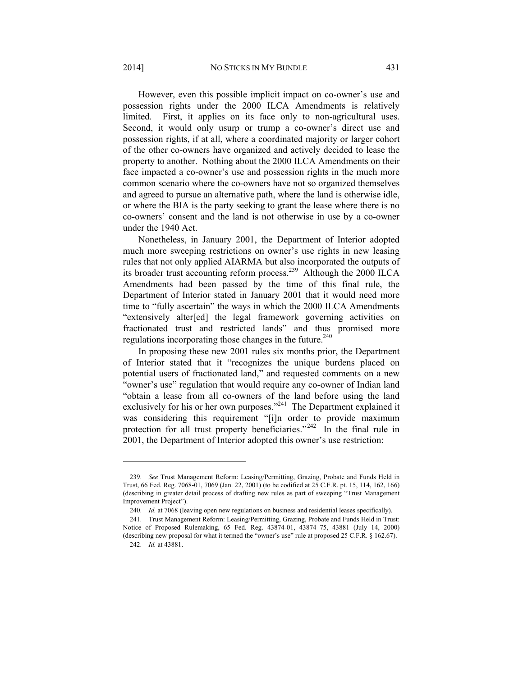2014] NO STICKS IN MY BUNDLE 431

However, even this possible implicit impact on co-owner's use and possession rights under the 2000 ILCA Amendments is relatively limited. First, it applies on its face only to non-agricultural uses. Second, it would only usurp or trump a co-owner's direct use and possession rights, if at all, where a coordinated majority or larger cohort of the other co-owners have organized and actively decided to lease the property to another. Nothing about the 2000 ILCA Amendments on their face impacted a co-owner's use and possession rights in the much more common scenario where the co-owners have not so organized themselves and agreed to pursue an alternative path, where the land is otherwise idle, or where the BIA is the party seeking to grant the lease where there is no co-owners' consent and the land is not otherwise in use by a co-owner under the 1940 Act.

Nonetheless, in January 2001, the Department of Interior adopted much more sweeping restrictions on owner's use rights in new leasing rules that not only applied AIARMA but also incorporated the outputs of its broader trust accounting reform process.239 Although the 2000 ILCA Amendments had been passed by the time of this final rule, the Department of Interior stated in January 2001 that it would need more time to "fully ascertain" the ways in which the 2000 ILCA Amendments "extensively alter[ed] the legal framework governing activities on fractionated trust and restricted lands" and thus promised more regulations incorporating those changes in the future.<sup>240</sup>

In proposing these new 2001 rules six months prior, the Department of Interior stated that it "recognizes the unique burdens placed on potential users of fractionated land," and requested comments on a new "owner's use" regulation that would require any co-owner of Indian land "obtain a lease from all co-owners of the land before using the land exclusively for his or her own purposes."<sup>241</sup> The Department explained it was considering this requirement "[i]n order to provide maximum protection for all trust property beneficiaries."<sup>242</sup> In the final rule in 2001, the Department of Interior adopted this owner's use restriction:

 <sup>239.</sup> *See* Trust Management Reform: Leasing/Permitting, Grazing, Probate and Funds Held in Trust, 66 Fed. Reg. 7068-01, 7069 (Jan. 22, 2001) (to be codified at 25 C.F.R. pt. 15, 114, 162, 166) (describing in greater detail process of drafting new rules as part of sweeping "Trust Management Improvement Project").

<sup>240.</sup> *Id.* at 7068 (leaving open new regulations on business and residential leases specifically).

 <sup>241.</sup> Trust Management Reform: Leasing/Permitting, Grazing, Probate and Funds Held in Trust: Notice of Proposed Rulemaking, 65 Fed. Reg. 43874-01, 43874–75, 43881 (July 14, 2000) (describing new proposal for what it termed the "owner's use" rule at proposed 25 C.F.R. § 162.67). 242. *Id.* at 43881.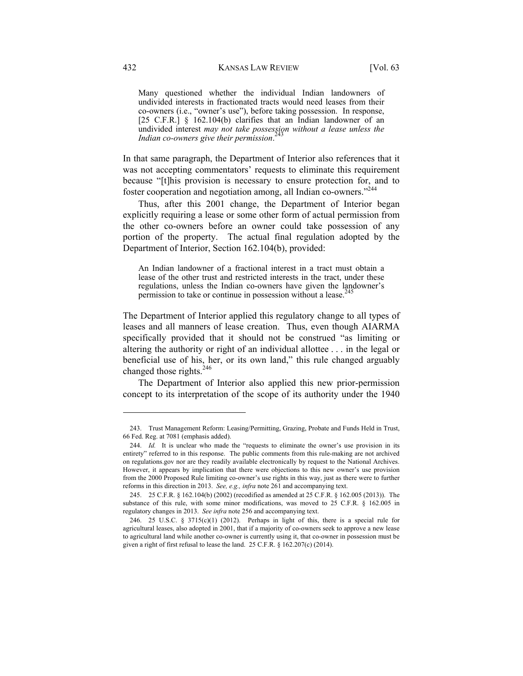Many questioned whether the individual Indian landowners of undivided interests in fractionated tracts would need leases from their co-owners (i.e., "owner's use"), before taking possession. In response, [25 C.F.R.] § 162.104(b) clarifies that an Indian landowner of an undivided interest *may not take possession without a lease unless the Indian co-owners give their permission*.

In that same paragraph, the Department of Interior also references that it was not accepting commentators' requests to eliminate this requirement because "[t]his provision is necessary to ensure protection for, and to foster cooperation and negotiation among, all Indian co-owners."<sup>244</sup>

Thus, after this 2001 change, the Department of Interior began explicitly requiring a lease or some other form of actual permission from the other co-owners before an owner could take possession of any portion of the property. The actual final regulation adopted by the Department of Interior, Section 162.104(b), provided:

An Indian landowner of a fractional interest in a tract must obtain a lease of the other trust and restricted interests in the tract, under these regulations, unless the Indian co-owners have given the landowner's permission to take or continue in possession without a lease.<sup>245</sup>

The Department of Interior applied this regulatory change to all types of leases and all manners of lease creation. Thus, even though AIARMA specifically provided that it should not be construed "as limiting or altering the authority or right of an individual allottee . . . in the legal or beneficial use of his, her, or its own land," this rule changed arguably changed those rights.<sup>246</sup>

The Department of Interior also applied this new prior-permission concept to its interpretation of the scope of its authority under the 1940

 <sup>243.</sup> Trust Management Reform: Leasing/Permitting, Grazing, Probate and Funds Held in Trust, 66 Fed. Reg. at 7081 (emphasis added).

 <sup>244.</sup> *Id.* It is unclear who made the "requests to eliminate the owner's use provision in its entirety" referred to in this response. The public comments from this rule-making are not archived on regulations.gov nor are they readily available electronically by request to the National Archives. However, it appears by implication that there were objections to this new owner's use provision from the 2000 Proposed Rule limiting co-owner's use rights in this way, just as there were to further reforms in this direction in 2013. *See, e.g., infra* note 261 and accompanying text.

 <sup>245. 25</sup> C.F.R. § 162.104(b) (2002) (recodified as amended at 25 C.F.R. § 162.005 (2013)). The substance of this rule, with some minor modifications, was moved to 25 C.F.R. § 162.005 in regulatory changes in 2013. *See infra* note 256 and accompanying text.

 <sup>246. 25</sup> U.S.C. § 3715(c)(1) (2012). Perhaps in light of this, there is a special rule for agricultural leases, also adopted in 2001, that if a majority of co-owners seek to approve a new lease to agricultural land while another co-owner is currently using it, that co-owner in possession must be given a right of first refusal to lease the land. 25 C.F.R. § 162.207(c) (2014).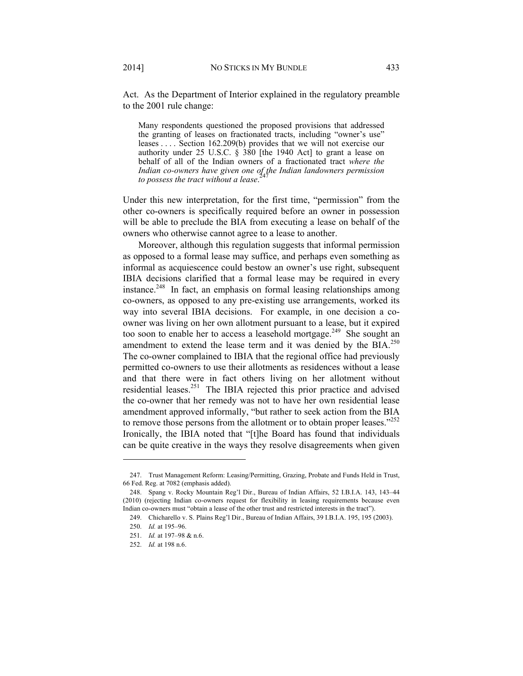Act. As the Department of Interior explained in the regulatory preamble to the 2001 rule change:

Many respondents questioned the proposed provisions that addressed the granting of leases on fractionated tracts, including "owner's use" leases . . . . Section 162.209(b) provides that we will not exercise our authority under 25 U.S.C.  $\hat{\S}$  380 [the 1940 Act] to grant a lease on behalf of all of the Indian owners of a fractionated tract *where the*  Indian co-owners have given one of the Indian landowners permission<br>to persons the twast without a logas<sup>247</sup> *to possess the tract without a lease*.

Under this new interpretation, for the first time, "permission" from the other co-owners is specifically required before an owner in possession will be able to preclude the BIA from executing a lease on behalf of the owners who otherwise cannot agree to a lease to another.

Moreover, although this regulation suggests that informal permission as opposed to a formal lease may suffice, and perhaps even something as informal as acquiescence could bestow an owner's use right, subsequent IBIA decisions clarified that a formal lease may be required in every instance.<sup>248</sup> In fact, an emphasis on formal leasing relationships among co-owners, as opposed to any pre-existing use arrangements, worked its way into several IBIA decisions. For example, in one decision a coowner was living on her own allotment pursuant to a lease, but it expired too soon to enable her to access a leasehold mortgage.<sup>249</sup> She sought an amendment to extend the lease term and it was denied by the BIA.<sup>250</sup> The co-owner complained to IBIA that the regional office had previously permitted co-owners to use their allotments as residences without a lease and that there were in fact others living on her allotment without residential leases.251 The IBIA rejected this prior practice and advised the co-owner that her remedy was not to have her own residential lease amendment approved informally, "but rather to seek action from the BIA to remove those persons from the allotment or to obtain proper leases."<sup>252</sup> Ironically, the IBIA noted that "[t]he Board has found that individuals can be quite creative in the ways they resolve disagreements when given

 <sup>247.</sup> Trust Management Reform: Leasing/Permitting, Grazing, Probate and Funds Held in Trust, 66 Fed. Reg. at 7082 (emphasis added).

 <sup>248.</sup> Spang v. Rocky Mountain Reg'l Dir., Bureau of Indian Affairs, 52 I.B.I.A. 143, 143–44 (2010) (rejecting Indian co-owners request for flexibility in leasing requirements because even Indian co-owners must "obtain a lease of the other trust and restricted interests in the tract").

 <sup>249.</sup> Chicharello v. S. Plains Reg'l Dir., Bureau of Indian Affairs, 39 I.B.I.A. 195, 195 (2003).

 <sup>250.</sup> *Id.* at 195–96.

 <sup>251.</sup> *Id.* at 197–98 & n.6.

 <sup>252.</sup> *Id.* at 198 n.6.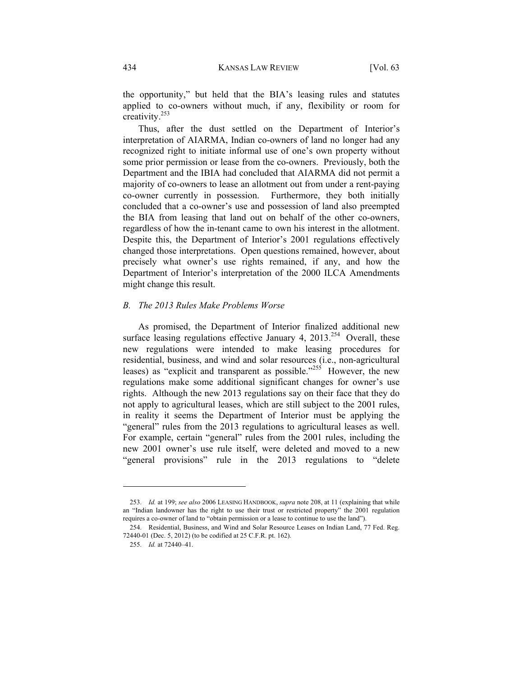the opportunity," but held that the BIA's leasing rules and statutes applied to co-owners without much, if any, flexibility or room for creativity.253

Thus, after the dust settled on the Department of Interior's interpretation of AIARMA, Indian co-owners of land no longer had any recognized right to initiate informal use of one's own property without some prior permission or lease from the co-owners. Previously, both the Department and the IBIA had concluded that AIARMA did not permit a majority of co-owners to lease an allotment out from under a rent-paying co-owner currently in possession. Furthermore, they both initially concluded that a co-owner's use and possession of land also preempted the BIA from leasing that land out on behalf of the other co-owners, regardless of how the in-tenant came to own his interest in the allotment. Despite this, the Department of Interior's 2001 regulations effectively changed those interpretations. Open questions remained, however, about precisely what owner's use rights remained, if any, and how the Department of Interior's interpretation of the 2000 ILCA Amendments might change this result.

# *B. The 2013 Rules Make Problems Worse*

As promised, the Department of Interior finalized additional new surface leasing regulations effective January 4,  $2013^{254}$  Overall, these new regulations were intended to make leasing procedures for residential, business, and wind and solar resources (i.e., non-agricultural leases) as "explicit and transparent as possible."<sup>255</sup> However, the new regulations make some additional significant changes for owner's use rights. Although the new 2013 regulations say on their face that they do not apply to agricultural leases, which are still subject to the 2001 rules, in reality it seems the Department of Interior must be applying the "general" rules from the 2013 regulations to agricultural leases as well. For example, certain "general" rules from the 2001 rules, including the new 2001 owner's use rule itself, were deleted and moved to a new "general provisions" rule in the 2013 regulations to "delete

 <sup>253.</sup> *Id.* at 199; *see also* 2006 LEASING HANDBOOK, *supra* note 208, at 11 (explaining that while an "Indian landowner has the right to use their trust or restricted property" the 2001 regulation requires a co-owner of land to "obtain permission or a lease to continue to use the land").

 <sup>254.</sup> Residential, Business, and Wind and Solar Resource Leases on Indian Land, 77 Fed. Reg. 72440-01 (Dec. 5, 2012) (to be codified at 25 C.F.R. pt. 162).

 <sup>255.</sup> *Id.* at 72440–41.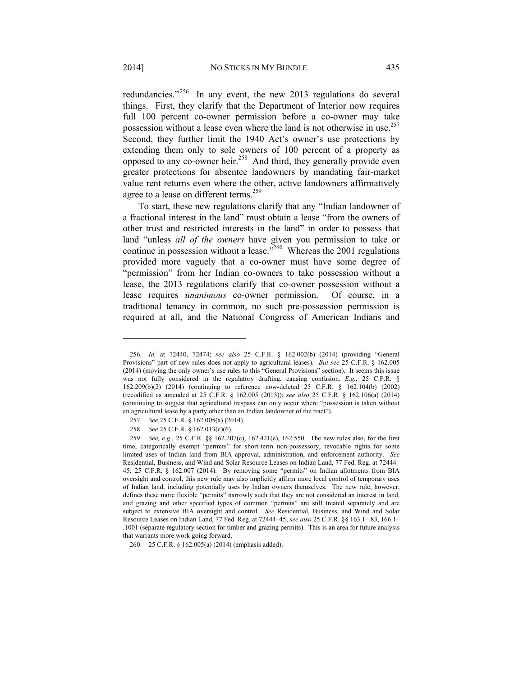redundancies."256 In any event, the new 2013 regulations do several things. First, they clarify that the Department of Interior now requires full 100 percent co-owner permission before a co-owner may take possession without a lease even where the land is not otherwise in use.<sup>257</sup> Second, they further limit the 1940 Act's owner's use protections by extending them only to sole owners of 100 percent of a property as opposed to any co-owner heir.<sup>258</sup> And third, they generally provide even greater protections for absentee landowners by mandating fair-market value rent returns even where the other, active landowners affirmatively agree to a lease on different terms.<sup>259</sup>

To start, these new regulations clarify that any "Indian landowner of a fractional interest in the land" must obtain a lease "from the owners of other trust and restricted interests in the land" in order to possess that land "unless *all of the owners* have given you permission to take or continue in possession without a lease.<sup> $2001$ </sup> Whereas the 2001 regulations provided more vaguely that a co-owner must have some degree of "permission" from her Indian co-owners to take possession without a lease, the 2013 regulations clarify that co-owner possession without a lease requires *unanimous* co-owner permission. Of course, in a traditional tenancy in common, no such pre-possession permission is required at all, and the National Congress of American Indians and

 <sup>256.</sup> *Id.* at 72440, 72474; *see also* 25 C.F.R. § 162.002(b) (2014) (providing "General Provisions" part of new rules does not apply to agricultural leases). *But see* 25 C.F.R. § 162.005 (2014) (moving the only owner's use rules to this "General Provisions" section). It seems this issue was not fully considered in the regulatory drafting, causing confusion. *E.g.*, 25 C.F.R. § 162.209(b)(2) (2014) (continuing to reference now-deleted 25 C.F.R. § 162.104(b) (2002) (recodified as amended at 25 C.F.R. § 162.005 (2013)); *see also* 25 C.F.R. § 162.106(a) (2014) (continuing to suggest that agricultural trespass can only occur where "possession is taken without an agricultural lease by a party other than an Indian landowner of the tract").

 <sup>257.</sup> *See* 25 C.F.R. § 162.005(a) (2014).

 <sup>258.</sup> *See* 25 C.F.R. § 162.013(c)(6).

 <sup>259.</sup> *See, e.g.*, 25 C.F.R. §§ 162.207(c), 162.421(e), 162.550. The new rules also, for the first time, categorically exempt "permits" for short-term non-possessory, revocable rights for some limited uses of Indian land from BIA approval, administration, and enforcement authority. *See*  Residential, Business, and Wind and Solar Resource Leases on Indian Land, 77 Fed. Reg. at 72444– 45; 25 C.F.R. § 162.007 (2014). By removing some "permits" on Indian allotments from BIA oversight and control, this new rule may also implicitly affirm more local control of temporary uses of Indian land, including potentially uses by Indian owners themselves. The new rule, however, defines these more flexible "permits" narrowly such that they are not considered an interest in land, and grazing and other specified types of common "permits" are still treated separately and are subject to extensive BIA oversight and control. *See* Residential, Business, and Wind and Solar Resource Leases on Indian Land, 77 Fed. Reg. at 72444–45; *see also* 25 C.F.R. §§ 163.1–.83, 166.1– .1001 (separate regulatory section for timber and grazing permits). This is an area for future analysis that warrants more work going forward.

 <sup>260. 25</sup> C.F.R. § 162.005(a) (2014) (emphasis added).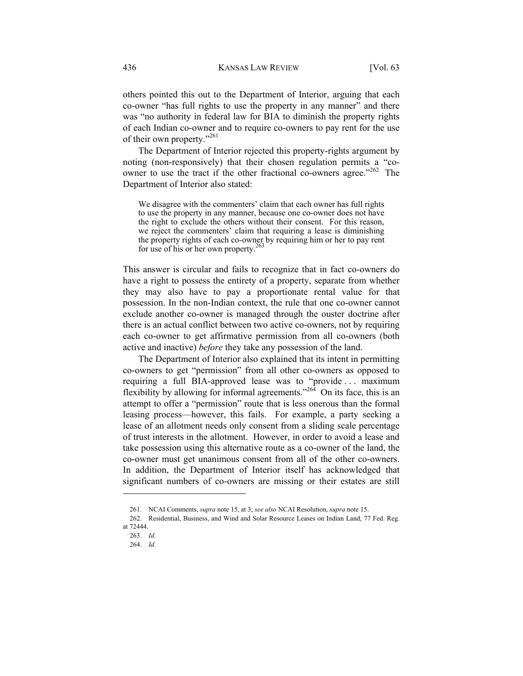others pointed this out to the Department of Interior, arguing that each co-owner "has full rights to use the property in any manner" and there was "no authority in federal law for BIA to diminish the property rights of each Indian co-owner and to require co-owners to pay rent for the use of their own property."<sup>261</sup>

The Department of Interior rejected this property-rights argument by noting (non-responsively) that their chosen regulation permits a "coowner to use the tract if the other fractional co-owners agree."<sup>262</sup> The Department of Interior also stated:

We disagree with the commenters' claim that each owner has full rights to use the property in any manner, because one co-owner does not have the right to exclude the others without their consent. For this reason, we reject the commenters' claim that requiring a lease is diminishing the property rights of each co-owner by requiring him or her to pay rent for use of his or her own property.<sup>263</sup>

This answer is circular and fails to recognize that in fact co-owners do have a right to possess the entirety of a property, separate from whether they may also have to pay a proportionate rental value for that possession. In the non-Indian context, the rule that one co-owner cannot exclude another co-owner is managed through the ouster doctrine after there is an actual conflict between two active co-owners, not by requiring each co-owner to get affirmative permission from all co-owners (both active and inactive) *before* they take any possession of the land.

The Department of Interior also explained that its intent in permitting co-owners to get "permission" from all other co-owners as opposed to requiring a full BIA-approved lease was to "provide . . . maximum flexibility by allowing for informal agreements."<sup>264</sup> On its face, this is an attempt to offer a "permission" route that is less onerous than the formal leasing process—however, this fails. For example, a party seeking a lease of an allotment needs only consent from a sliding scale percentage of trust interests in the allotment. However, in order to avoid a lease and take possession using this alternative route as a co-owner of the land, the co-owner must get unanimous consent from all of the other co-owners. In addition, the Department of Interior itself has acknowledged that significant numbers of co-owners are missing or their estates are still

 <sup>261.</sup> NCAI Comments, *supra* note 15, at 3; *see also* NCAI Resolution, *supra* note 15.

 <sup>262.</sup> Residential, Business, and Wind and Solar Resource Leases on Indian Land, 77 Fed. Reg. at 72444.

 <sup>263.</sup> *Id.*

 <sup>264.</sup> *Id.*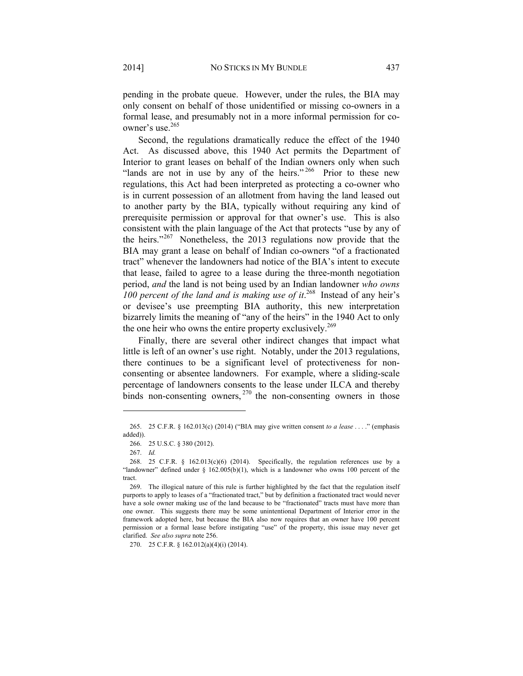pending in the probate queue. However, under the rules, the BIA may only consent on behalf of those unidentified or missing co-owners in a formal lease, and presumably not in a more informal permission for coowner's use.<sup>265</sup>

Second, the regulations dramatically reduce the effect of the 1940 Act. As discussed above, this 1940 Act permits the Department of Interior to grant leases on behalf of the Indian owners only when such "lands are not in use by any of the heirs."  $266$  Prior to these new regulations, this Act had been interpreted as protecting a co-owner who is in current possession of an allotment from having the land leased out to another party by the BIA, typically without requiring any kind of prerequisite permission or approval for that owner's use. This is also consistent with the plain language of the Act that protects "use by any of the heirs."267 Nonetheless, the 2013 regulations now provide that the BIA may grant a lease on behalf of Indian co-owners "of a fractionated tract" whenever the landowners had notice of the BIA's intent to execute that lease, failed to agree to a lease during the three-month negotiation period, *and* the land is not being used by an Indian landowner *who owns 100 percent of the land and is making use of it*. 268 Instead of any heir's or devisee's use preempting BIA authority, this new interpretation bizarrely limits the meaning of "any of the heirs" in the 1940 Act to only the one heir who owns the entire property exclusively.<sup>269</sup>

Finally, there are several other indirect changes that impact what little is left of an owner's use right. Notably, under the 2013 regulations, there continues to be a significant level of protectiveness for nonconsenting or absentee landowners. For example, where a sliding-scale percentage of landowners consents to the lease under ILCA and thereby binds non-consenting owners,  $270$  the non-consenting owners in those

l

270. 25 C.F.R. § 162.012(a)(4)(i) (2014).

 <sup>265. 25</sup> C.F.R. § 162.013(c) (2014) ("BIA may give written consent *to a lease* . . . ." (emphasis added)).

 <sup>266. 25</sup> U.S.C. § 380 (2012).

 <sup>267.</sup> *Id.*

<sup>268. 25</sup> C.F.R. §  $162.013(c)(6)$  (2014). Specifically, the regulation references use by a "landowner" defined under  $\S$  162.005(b)(1), which is a landowner who owns 100 percent of the tract.

 <sup>269.</sup> The illogical nature of this rule is further highlighted by the fact that the regulation itself purports to apply to leases of a "fractionated tract," but by definition a fractionated tract would never have a sole owner making use of the land because to be "fractionated" tracts must have more than one owner. This suggests there may be some unintentional Department of Interior error in the framework adopted here, but because the BIA also now requires that an owner have 100 percent permission or a formal lease before instigating "use" of the property, this issue may never get clarified. *See also supra* note 256.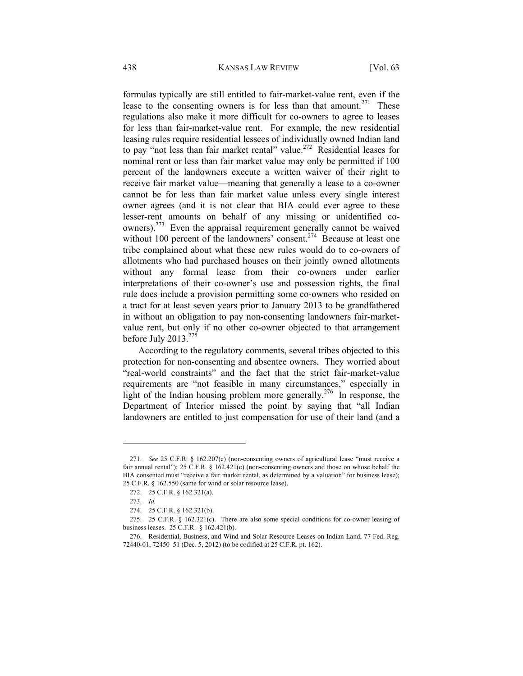formulas typically are still entitled to fair-market-value rent, even if the lease to the consenting owners is for less than that amount.<sup>271</sup> These regulations also make it more difficult for co-owners to agree to leases for less than fair-market-value rent. For example, the new residential leasing rules require residential lessees of individually owned Indian land to pay "not less than fair market rental" value.<sup>272</sup> Residential leases for nominal rent or less than fair market value may only be permitted if 100 percent of the landowners execute a written waiver of their right to receive fair market value—meaning that generally a lease to a co-owner cannot be for less than fair market value unless every single interest owner agrees (and it is not clear that BIA could ever agree to these lesser-rent amounts on behalf of any missing or unidentified coowners).<sup>273</sup> Even the appraisal requirement generally cannot be waived without 100 percent of the landowners' consent.<sup>274</sup> Because at least one tribe complained about what these new rules would do to co-owners of allotments who had purchased houses on their jointly owned allotments without any formal lease from their co-owners under earlier interpretations of their co-owner's use and possession rights, the final rule does include a provision permitting some co-owners who resided on a tract for at least seven years prior to January 2013 to be grandfathered in without an obligation to pay non-consenting landowners fair-marketvalue rent, but only if no other co-owner objected to that arrangement before July 2013. $275$ 

According to the regulatory comments, several tribes objected to this protection for non-consenting and absentee owners. They worried about "real-world constraints" and the fact that the strict fair-market-value requirements are "not feasible in many circumstances," especially in light of the Indian housing problem more generally.<sup>276</sup> In response, the Department of Interior missed the point by saying that "all Indian landowners are entitled to just compensation for use of their land (and a

 <sup>271.</sup> *See* 25 C.F.R. § 162.207(c) (non-consenting owners of agricultural lease "must receive a fair annual rental"); 25 C.F.R. § 162.421(e) (non-consenting owners and those on whose behalf the BIA consented must "receive a fair market rental, as determined by a valuation" for business lease); 25 C.F.R. § 162.550 (same for wind or solar resource lease).

 <sup>272. 25</sup> C.F.R. § 162.321(a).

 <sup>273.</sup> *Id.*

 <sup>274. 25</sup> C.F.R. § 162.321(b).

 <sup>275. 25</sup> C.F.R. § 162.321(c). There are also some special conditions for co-owner leasing of business leases. 25 C.F.R. § 162.421(b).

 <sup>276.</sup> Residential, Business, and Wind and Solar Resource Leases on Indian Land, 77 Fed. Reg. 72440-01, 72450–51 (Dec. 5, 2012) (to be codified at 25 C.F.R. pt. 162).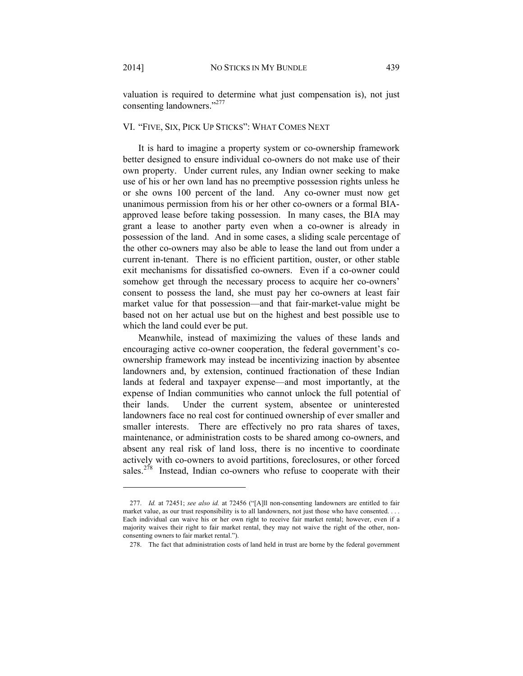valuation is required to determine what just compensation is), not just consenting landowners."277

# VI. "FIVE, SIX, PICK UP STICKS": WHAT COMES NEXT

It is hard to imagine a property system or co-ownership framework better designed to ensure individual co-owners do not make use of their own property. Under current rules, any Indian owner seeking to make use of his or her own land has no preemptive possession rights unless he or she owns 100 percent of the land. Any co-owner must now get unanimous permission from his or her other co-owners or a formal BIAapproved lease before taking possession. In many cases, the BIA may grant a lease to another party even when a co-owner is already in possession of the land. And in some cases, a sliding scale percentage of the other co-owners may also be able to lease the land out from under a current in-tenant. There is no efficient partition, ouster, or other stable exit mechanisms for dissatisfied co-owners. Even if a co-owner could somehow get through the necessary process to acquire her co-owners' consent to possess the land, she must pay her co-owners at least fair market value for that possession—and that fair-market-value might be based not on her actual use but on the highest and best possible use to which the land could ever be put.

Meanwhile, instead of maximizing the values of these lands and encouraging active co-owner cooperation, the federal government's coownership framework may instead be incentivizing inaction by absentee landowners and, by extension, continued fractionation of these Indian lands at federal and taxpayer expense—and most importantly, at the expense of Indian communities who cannot unlock the full potential of their lands. Under the current system, absentee or uninterested landowners face no real cost for continued ownership of ever smaller and smaller interests. There are effectively no pro rata shares of taxes, maintenance, or administration costs to be shared among co-owners, and absent any real risk of land loss, there is no incentive to coordinate actively with co-owners to avoid partitions, foreclosures, or other forced sales.<sup>278</sup> Instead, Indian co-owners who refuse to cooperate with their

 <sup>277.</sup> *Id.* at 72451; *see also id.* at 72456 ("[A]ll non-consenting landowners are entitled to fair market value, as our trust responsibility is to all landowners, not just those who have consented. . . . Each individual can waive his or her own right to receive fair market rental; however, even if a majority waives their right to fair market rental, they may not waive the right of the other, nonconsenting owners to fair market rental.").

 <sup>278.</sup> The fact that administration costs of land held in trust are borne by the federal government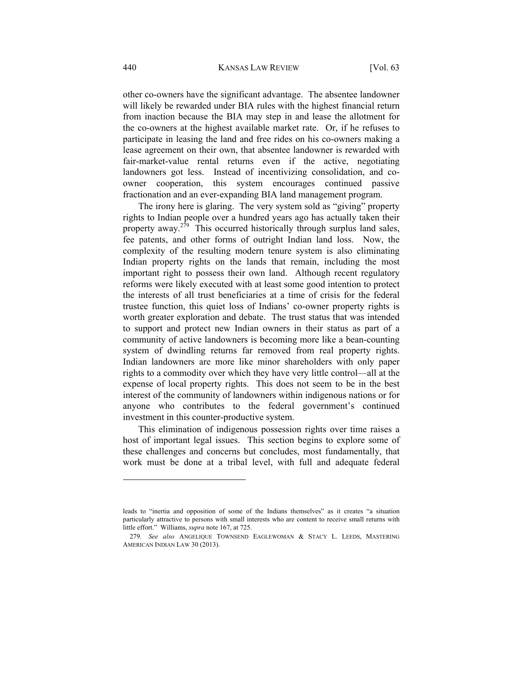other co-owners have the significant advantage. The absentee landowner will likely be rewarded under BIA rules with the highest financial return from inaction because the BIA may step in and lease the allotment for the co-owners at the highest available market rate. Or, if he refuses to participate in leasing the land and free rides on his co-owners making a lease agreement on their own, that absentee landowner is rewarded with fair-market-value rental returns even if the active, negotiating landowners got less. Instead of incentivizing consolidation, and coowner cooperation, this system encourages continued passive fractionation and an ever-expanding BIA land management program.

The irony here is glaring. The very system sold as "giving" property rights to Indian people over a hundred years ago has actually taken their property away.<sup>279</sup> This occurred historically through surplus land sales, fee patents, and other forms of outright Indian land loss. Now, the complexity of the resulting modern tenure system is also eliminating Indian property rights on the lands that remain, including the most important right to possess their own land. Although recent regulatory reforms were likely executed with at least some good intention to protect the interests of all trust beneficiaries at a time of crisis for the federal trustee function, this quiet loss of Indians' co-owner property rights is worth greater exploration and debate. The trust status that was intended to support and protect new Indian owners in their status as part of a community of active landowners is becoming more like a bean-counting system of dwindling returns far removed from real property rights. Indian landowners are more like minor shareholders with only paper rights to a commodity over which they have very little control—all at the expense of local property rights. This does not seem to be in the best interest of the community of landowners within indigenous nations or for anyone who contributes to the federal government's continued investment in this counter-productive system.

This elimination of indigenous possession rights over time raises a host of important legal issues. This section begins to explore some of these challenges and concerns but concludes, most fundamentally, that work must be done at a tribal level, with full and adequate federal

leads to "inertia and opposition of some of the Indians themselves" as it creates "a situation particularly attractive to persons with small interests who are content to receive small returns with little effort." Williams, *supra* note 167, at 725.

 <sup>279.</sup> *See also* ANGELIQUE TOWNSEND EAGLEWOMAN & STACY L. LEEDS, MASTERING AMERICAN INDIAN LAW 30 (2013).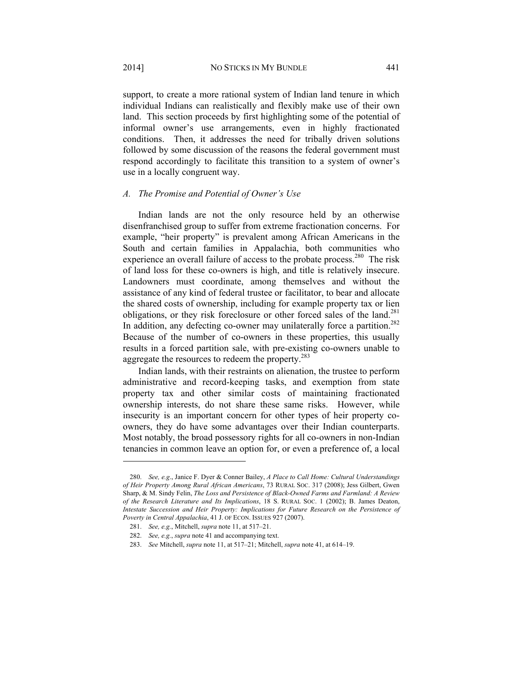support, to create a more rational system of Indian land tenure in which individual Indians can realistically and flexibly make use of their own land. This section proceeds by first highlighting some of the potential of informal owner's use arrangements, even in highly fractionated conditions. Then, it addresses the need for tribally driven solutions followed by some discussion of the reasons the federal government must respond accordingly to facilitate this transition to a system of owner's use in a locally congruent way.

#### *A. The Promise and Potential of Owner's Use*

Indian lands are not the only resource held by an otherwise disenfranchised group to suffer from extreme fractionation concerns. For example, "heir property" is prevalent among African Americans in the South and certain families in Appalachia, both communities who experience an overall failure of access to the probate process.<sup>280</sup> The risk of land loss for these co-owners is high, and title is relatively insecure. Landowners must coordinate, among themselves and without the assistance of any kind of federal trustee or facilitator, to bear and allocate the shared costs of ownership, including for example property tax or lien obligations, or they risk foreclosure or other forced sales of the land.<sup>281</sup> In addition, any defecting co-owner may unilaterally force a partition.<sup>282</sup> Because of the number of co-owners in these properties, this usually results in a forced partition sale, with pre-existing co-owners unable to aggregate the resources to redeem the property.<sup>283</sup>

Indian lands, with their restraints on alienation, the trustee to perform administrative and record-keeping tasks, and exemption from state property tax and other similar costs of maintaining fractionated ownership interests, do not share these same risks. However, while insecurity is an important concern for other types of heir property coowners, they do have some advantages over their Indian counterparts. Most notably, the broad possessory rights for all co-owners in non-Indian tenancies in common leave an option for, or even a preference of, a local

 <sup>280.</sup> *See, e.g*., Janice F. Dyer & Conner Bailey, *A Place to Call Home: Cultural Understandings of Heir Property Among Rural African Americans*, 73 RURAL SOC. 317 (2008); Jess Gilbert, Gwen Sharp, & M. Sindy Felin, *The Loss and Persistence of Black-Owned Farms and Farmland: A Review of the Research Literature and Its Implications*, 18 S. RURAL SOC. 1 (2002); B. James Deaton, *Intestate Succession and Heir Property: Implications for Future Research on the Persistence of Poverty in Central Appalachia*, 41 J. OF ECON. ISSUES 927 (2007).

 <sup>281.</sup> *See, e.g.*, Mitchell, *supra* note 11, at 517–21.

 <sup>282.</sup> *See, e.g.*, *supra* note 41 and accompanying text.

 <sup>283.</sup> *See* Mitchell, *supra* note 11, at 517–21; Mitchell, *supra* note 41, at 614–19.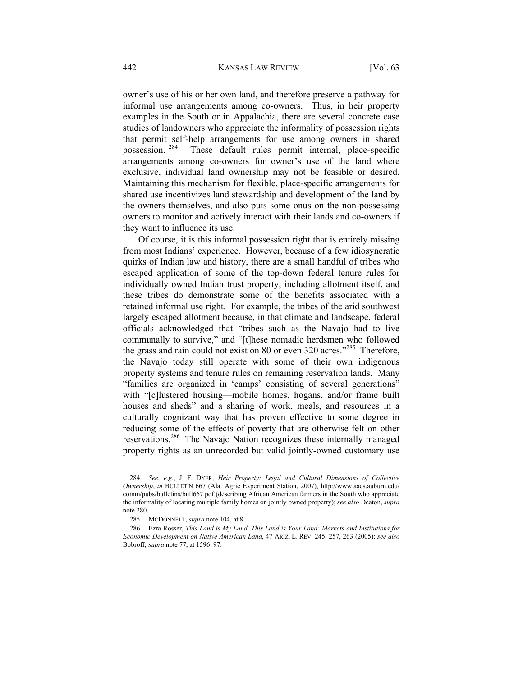owner's use of his or her own land, and therefore preserve a pathway for informal use arrangements among co-owners. Thus, in heir property examples in the South or in Appalachia, there are several concrete case studies of landowners who appreciate the informality of possession rights that permit self-help arrangements for use among owners in shared possession.<sup>284</sup> These default rules permit internal, place-specific These default rules permit internal, place-specific arrangements among co-owners for owner's use of the land where exclusive, individual land ownership may not be feasible or desired. Maintaining this mechanism for flexible, place-specific arrangements for shared use incentivizes land stewardship and development of the land by the owners themselves, and also puts some onus on the non-possessing owners to monitor and actively interact with their lands and co-owners if they want to influence its use.

Of course, it is this informal possession right that is entirely missing from most Indians' experience. However, because of a few idiosyncratic quirks of Indian law and history, there are a small handful of tribes who escaped application of some of the top-down federal tenure rules for individually owned Indian trust property, including allotment itself, and these tribes do demonstrate some of the benefits associated with a retained informal use right. For example, the tribes of the arid southwest largely escaped allotment because, in that climate and landscape, federal officials acknowledged that "tribes such as the Navajo had to live communally to survive," and "[t]hese nomadic herdsmen who followed the grass and rain could not exist on 80 or even 320 acres."<sup>285</sup> Therefore, the Navajo today still operate with some of their own indigenous property systems and tenure rules on remaining reservation lands. Many "families are organized in 'camps' consisting of several generations" with "[c]lustered housing—mobile homes, hogans, and/or frame built houses and sheds" and a sharing of work, meals, and resources in a culturally cognizant way that has proven effective to some degree in reducing some of the effects of poverty that are otherwise felt on other reservations.286 The Navajo Nation recognizes these internally managed property rights as an unrecorded but valid jointly-owned customary use

 <sup>284.</sup> *See*, *e.g.*, J. F. DYER, *Heir Property: Legal and Cultural Dimensions of Collective Ownership*, *in* BULLETIN 667 (Ala. Agric Experiment Station, 2007), http://www.aaes.auburn.edu/ comm/pubs/bulletins/bull667.pdf (describing African American farmers in the South who appreciate the informality of locating multiple family homes on jointly owned property); *see also* Deaton, *supra*  note 280.

 <sup>285.</sup> MCDONNELL, *supra* note 104, at 8.

 <sup>286.</sup> Ezra Rosser, *This Land is My Land, This Land is Your Land: Markets and Institutions for Economic Development on Native American Land*, 47 ARIZ. L. REV. 245, 257, 263 (2005); *see also*  Bobroff, *supra* note 77, at 1596–97.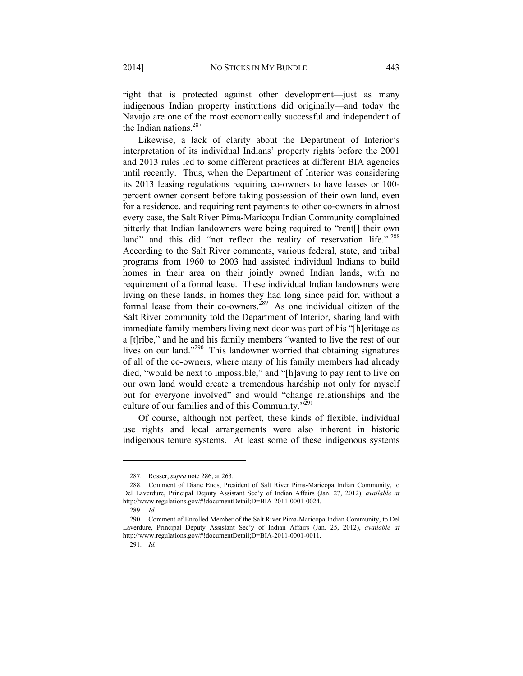right that is protected against other development—just as many indigenous Indian property institutions did originally—and today the Navajo are one of the most economically successful and independent of the Indian nations.<sup>287</sup>

Likewise, a lack of clarity about the Department of Interior's interpretation of its individual Indians' property rights before the 2001 and 2013 rules led to some different practices at different BIA agencies until recently. Thus, when the Department of Interior was considering its 2013 leasing regulations requiring co-owners to have leases or 100 percent owner consent before taking possession of their own land, even for a residence, and requiring rent payments to other co-owners in almost every case, the Salt River Pima-Maricopa Indian Community complained bitterly that Indian landowners were being required to "rent[] their own land" and this did "not reflect the reality of reservation life."<sup>288</sup> According to the Salt River comments, various federal, state, and tribal programs from 1960 to 2003 had assisted individual Indians to build homes in their area on their jointly owned Indian lands, with no requirement of a formal lease. These individual Indian landowners were living on these lands, in homes they had long since paid for, without a formal lease from their co-owners.<sup>289</sup> As one individual citizen of the Salt River community told the Department of Interior, sharing land with immediate family members living next door was part of his "[h]eritage as a [t]ribe," and he and his family members "wanted to live the rest of our lives on our land."290 This landowner worried that obtaining signatures of all of the co-owners, where many of his family members had already died, "would be next to impossible," and "[h]aving to pay rent to live on our own land would create a tremendous hardship not only for myself but for everyone involved" and would "change relationships and the culture of our families and of this Community."291

Of course, although not perfect, these kinds of flexible, individual use rights and local arrangements were also inherent in historic indigenous tenure systems. At least some of these indigenous systems

 <sup>287.</sup> Rosser, *supra* note 286, at 263.

 <sup>288.</sup> Comment of Diane Enos, President of Salt River Pima-Maricopa Indian Community, to Del Laverdure, Principal Deputy Assistant Sec'y of Indian Affairs (Jan. 27, 2012), *available at* http://www.regulations.gov/#!documentDetail;D=BIA-2011-0001-0024.

 <sup>289.</sup> *Id.*

 <sup>290.</sup> Comment of Enrolled Member of the Salt River Pima-Maricopa Indian Community, to Del Laverdure, Principal Deputy Assistant Sec'y of Indian Affairs (Jan. 25, 2012), *available at*  http://www.regulations.gov/#!documentDetail;D=BIA-2011-0001-0011.

 <sup>291.</sup> *Id.*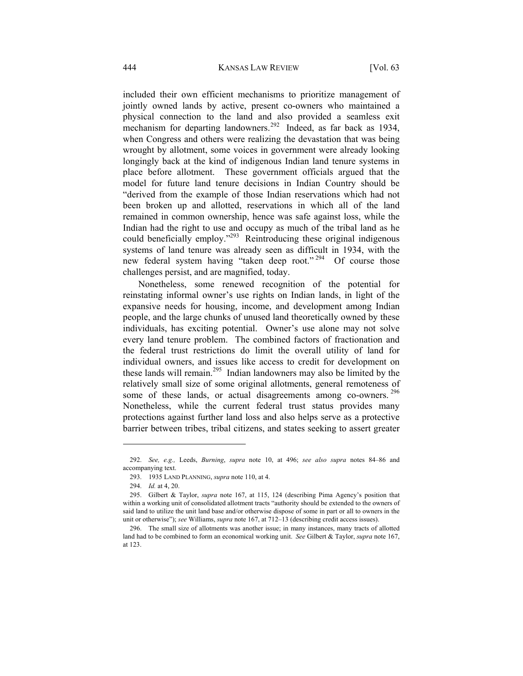included their own efficient mechanisms to prioritize management of jointly owned lands by active, present co-owners who maintained a physical connection to the land and also provided a seamless exit mechanism for departing landowners.<sup>292</sup> Indeed, as far back as 1934, when Congress and others were realizing the devastation that was being wrought by allotment, some voices in government were already looking longingly back at the kind of indigenous Indian land tenure systems in place before allotment. These government officials argued that the model for future land tenure decisions in Indian Country should be "derived from the example of those Indian reservations which had not been broken up and allotted, reservations in which all of the land remained in common ownership, hence was safe against loss, while the Indian had the right to use and occupy as much of the tribal land as he could beneficially employ."<sup>293</sup> Reintroducing these original indigenous systems of land tenure was already seen as difficult in 1934, with the new federal system having "taken deep root." 294 Of course those challenges persist, and are magnified, today.

Nonetheless, some renewed recognition of the potential for reinstating informal owner's use rights on Indian lands, in light of the expansive needs for housing, income, and development among Indian people, and the large chunks of unused land theoretically owned by these individuals, has exciting potential. Owner's use alone may not solve every land tenure problem. The combined factors of fractionation and the federal trust restrictions do limit the overall utility of land for individual owners, and issues like access to credit for development on these lands will remain.295 Indian landowners may also be limited by the relatively small size of some original allotments, general remoteness of some of these lands, or actual disagreements among co-owners.<sup>296</sup> Nonetheless, while the current federal trust status provides many protections against further land loss and also helps serve as a protective barrier between tribes, tribal citizens, and states seeking to assert greater

 <sup>292.</sup> *See, e.g.,* Leeds, *Burning*, *supra* note 10, at 496; *see also supra* notes 84–86 and accompanying text.

 <sup>293. 1935</sup> LAND PLANNING, *supra* note 110, at 4.

 <sup>294.</sup> *Id.* at 4, 20.

 <sup>295.</sup> Gilbert & Taylor, *supra* note 167, at 115, 124 (describing Pima Agency's position that within a working unit of consolidated allotment tracts "authority should be extended to the owners of said land to utilize the unit land base and/or otherwise dispose of some in part or all to owners in the unit or otherwise"); *see* Williams, *supra* note 167, at 712–13 (describing credit access issues).

 <sup>296.</sup> The small size of allotments was another issue; in many instances, many tracts of allotted land had to be combined to form an economical working unit. *See* Gilbert & Taylor, *supra* note 167, at 123.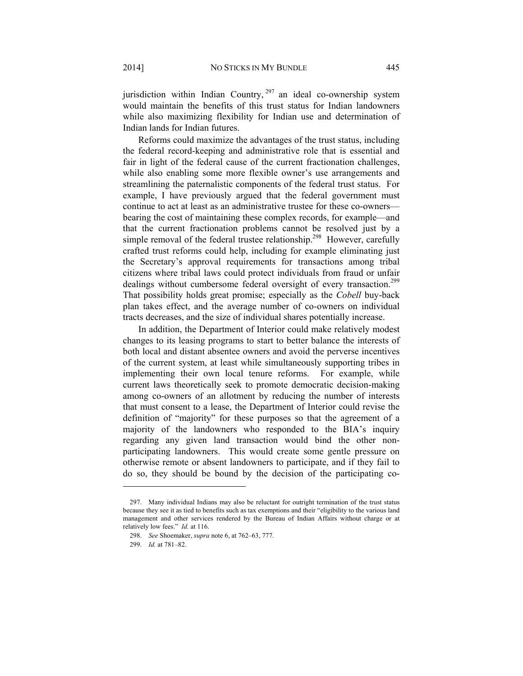jurisdiction within Indian Country,  $297$  an ideal co-ownership system would maintain the benefits of this trust status for Indian landowners while also maximizing flexibility for Indian use and determination of Indian lands for Indian futures.

Reforms could maximize the advantages of the trust status, including the federal record-keeping and administrative role that is essential and fair in light of the federal cause of the current fractionation challenges, while also enabling some more flexible owner's use arrangements and streamlining the paternalistic components of the federal trust status. For example, I have previously argued that the federal government must continue to act at least as an administrative trustee for these co-owners bearing the cost of maintaining these complex records, for example—and that the current fractionation problems cannot be resolved just by a simple removal of the federal trustee relationship.<sup>298</sup> However, carefully crafted trust reforms could help, including for example eliminating just the Secretary's approval requirements for transactions among tribal citizens where tribal laws could protect individuals from fraud or unfair dealings without cumbersome federal oversight of every transaction.<sup>299</sup> That possibility holds great promise; especially as the *Cobell* buy-back plan takes effect, and the average number of co-owners on individual tracts decreases, and the size of individual shares potentially increase.

In addition, the Department of Interior could make relatively modest changes to its leasing programs to start to better balance the interests of both local and distant absentee owners and avoid the perverse incentives of the current system, at least while simultaneously supporting tribes in implementing their own local tenure reforms. For example, while current laws theoretically seek to promote democratic decision-making among co-owners of an allotment by reducing the number of interests that must consent to a lease, the Department of Interior could revise the definition of "majority" for these purposes so that the agreement of a majority of the landowners who responded to the BIA's inquiry regarding any given land transaction would bind the other nonparticipating landowners. This would create some gentle pressure on otherwise remote or absent landowners to participate, and if they fail to do so, they should be bound by the decision of the participating co-

 <sup>297.</sup> Many individual Indians may also be reluctant for outright termination of the trust status because they see it as tied to benefits such as tax exemptions and their "eligibility to the various land management and other services rendered by the Bureau of Indian Affairs without charge or at relatively low fees." *Id.* at 116.

 <sup>298.</sup> *See* Shoemaker, *supra* note 6, at 762–63, 777.

 <sup>299.</sup> *Id.* at 781–82.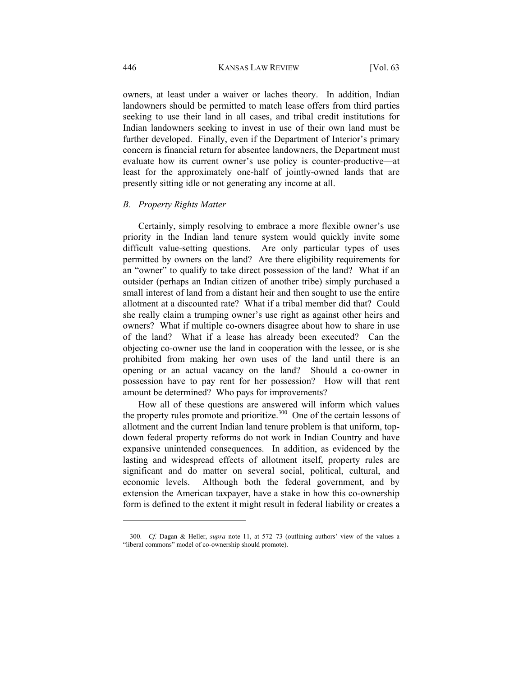owners, at least under a waiver or laches theory. In addition, Indian landowners should be permitted to match lease offers from third parties seeking to use their land in all cases, and tribal credit institutions for Indian landowners seeking to invest in use of their own land must be further developed. Finally, even if the Department of Interior's primary concern is financial return for absentee landowners, the Department must evaluate how its current owner's use policy is counter-productive—at least for the approximately one-half of jointly-owned lands that are presently sitting idle or not generating any income at all.

#### *B. Property Rights Matter*

Certainly, simply resolving to embrace a more flexible owner's use priority in the Indian land tenure system would quickly invite some difficult value-setting questions. Are only particular types of uses permitted by owners on the land? Are there eligibility requirements for an "owner" to qualify to take direct possession of the land? What if an outsider (perhaps an Indian citizen of another tribe) simply purchased a small interest of land from a distant heir and then sought to use the entire allotment at a discounted rate? What if a tribal member did that? Could she really claim a trumping owner's use right as against other heirs and owners? What if multiple co-owners disagree about how to share in use of the land? What if a lease has already been executed? Can the objecting co-owner use the land in cooperation with the lessee, or is she prohibited from making her own uses of the land until there is an opening or an actual vacancy on the land? Should a co-owner in possession have to pay rent for her possession? How will that rent amount be determined? Who pays for improvements?

How all of these questions are answered will inform which values the property rules promote and prioritize.<sup>300</sup> One of the certain lessons of allotment and the current Indian land tenure problem is that uniform, topdown federal property reforms do not work in Indian Country and have expansive unintended consequences. In addition, as evidenced by the lasting and widespread effects of allotment itself, property rules are significant and do matter on several social, political, cultural, and economic levels. Although both the federal government, and by extension the American taxpayer, have a stake in how this co-ownership form is defined to the extent it might result in federal liability or creates a

 <sup>300.</sup> *Cf.* Dagan & Heller, *supra* note 11, at 572–73 (outlining authors' view of the values a "liberal commons" model of co-ownership should promote).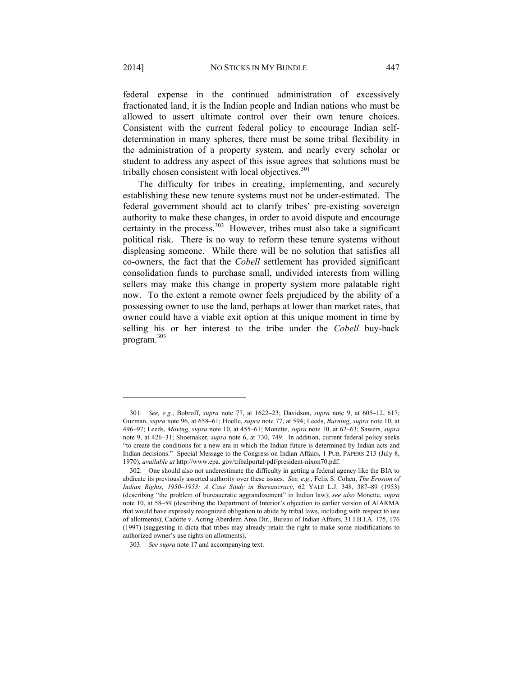federal expense in the continued administration of excessively fractionated land, it is the Indian people and Indian nations who must be allowed to assert ultimate control over their own tenure choices. Consistent with the current federal policy to encourage Indian selfdetermination in many spheres, there must be some tribal flexibility in the administration of a property system, and nearly every scholar or student to address any aspect of this issue agrees that solutions must be tribally chosen consistent with local objectives. $301$ 

The difficulty for tribes in creating, implementing, and securely establishing these new tenure systems must not be under-estimated. The federal government should act to clarify tribes' pre-existing sovereign authority to make these changes, in order to avoid dispute and encourage certainty in the process.<sup>302</sup> However, tribes must also take a significant political risk. There is no way to reform these tenure systems without displeasing someone. While there will be no solution that satisfies all co-owners, the fact that the *Cobell* settlement has provided significant consolidation funds to purchase small, undivided interests from willing sellers may make this change in property system more palatable right now. To the extent a remote owner feels prejudiced by the ability of a possessing owner to use the land, perhaps at lower than market rates, that owner could have a viable exit option at this unique moment in time by selling his or her interest to the tribe under the *Cobell* buy-back program.<sup>303</sup>

 <sup>301.</sup> *See, e.g.*, Bobroff, *supra* note 77, at 1622–23; Davidson, *supra* note 9, at 605–12, 617; Guzman, *supra* note 96, at 658–61; Hoelle, *supra* note 77, at 594; Leeds, *Burning*, *supra* note 10, at 496–97; Leeds, *Moving*, *supra* note 10, at 455–61; Monette, *supra* note 10, at 62–63; Sawers, *supra*  note 9, at 426–31; Shoemaker, *supra* note 6, at 730, 749. In addition, current federal policy seeks "to create the conditions for a new era in which the Indian future is determined by Indian acts and Indian decisions." Special Message to the Congress on Indian Affairs, 1 PUB. PAPERS 213 (July 8, 1970), *available at* http://www.epa. gov/tribalportal/pdf/president-nixon70.pdf.

 <sup>302.</sup> One should also not underestimate the difficulty in getting a federal agency like the BIA to abdicate its previously asserted authority over these issues. *See, e.g*., Felix S. Cohen, *The Erosion of Indian Rights, 1950–1953: A Case Study in Bureaucracy*, 62 YALE L.J. 348, 387–89 (1953) (describing "the problem of bureaucratic aggrandizement" in Indian law); *see also* Monette, *supra*  note 10, at 58–59 (describing the Department of Interior's objection to earlier version of AIARMA that would have expressly recognized obligation to abide by tribal laws, including with respect to use of allotments); Cadotte v. Acting Aberdeen Area Dir., Bureau of Indian Affairs, 31 I.B.I.A. 175, 176 (1997) (suggesting in dicta that tribes may already retain the right to make some modifications to authorized owner's use rights on allotments).

 <sup>303.</sup> *See supra* note 17 and accompanying text.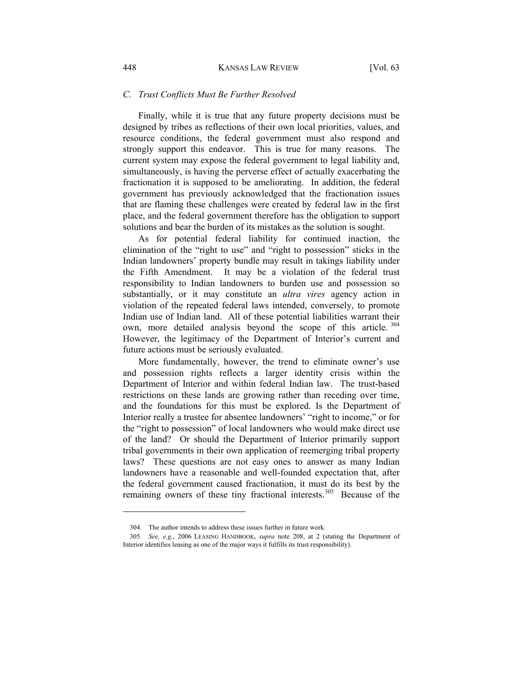#### *C. Trust Conflicts Must Be Further Resolved*

Finally, while it is true that any future property decisions must be designed by tribes as reflections of their own local priorities, values, and resource conditions, the federal government must also respond and strongly support this endeavor. This is true for many reasons. The current system may expose the federal government to legal liability and, simultaneously, is having the perverse effect of actually exacerbating the fractionation it is supposed to be ameliorating. In addition, the federal government has previously acknowledged that the fractionation issues that are flaming these challenges were created by federal law in the first place, and the federal government therefore has the obligation to support solutions and bear the burden of its mistakes as the solution is sought.

As for potential federal liability for continued inaction, the elimination of the "right to use" and "right to possession" sticks in the Indian landowners' property bundle may result in takings liability under the Fifth Amendment. It may be a violation of the federal trust responsibility to Indian landowners to burden use and possession so substantially, or it may constitute an *ultra vires* agency action in violation of the repeated federal laws intended, conversely, to promote Indian use of Indian land. All of these potential liabilities warrant their own, more detailed analysis beyond the scope of this article.<sup>304</sup> However, the legitimacy of the Department of Interior's current and future actions must be seriously evaluated.

More fundamentally, however, the trend to eliminate owner's use and possession rights reflects a larger identity crisis within the Department of Interior and within federal Indian law. The trust-based restrictions on these lands are growing rather than receding over time, and the foundations for this must be explored. Is the Department of Interior really a trustee for absentee landowners' "right to income," or for the "right to possession" of local landowners who would make direct use of the land? Or should the Department of Interior primarily support tribal governments in their own application of reemerging tribal property laws? These questions are not easy ones to answer as many Indian landowners have a reasonable and well-founded expectation that, after the federal government caused fractionation, it must do its best by the remaining owners of these tiny fractional interests.<sup>305</sup> Because of the

 <sup>304.</sup> The author intends to address these issues further in future work.

 <sup>305.</sup> *See, e.g.*, 2006 LEASING HANDBOOK, *supra* note 208, at 2 (stating the Department of Interior identifies leasing as one of the major ways it fulfills its trust responsibility).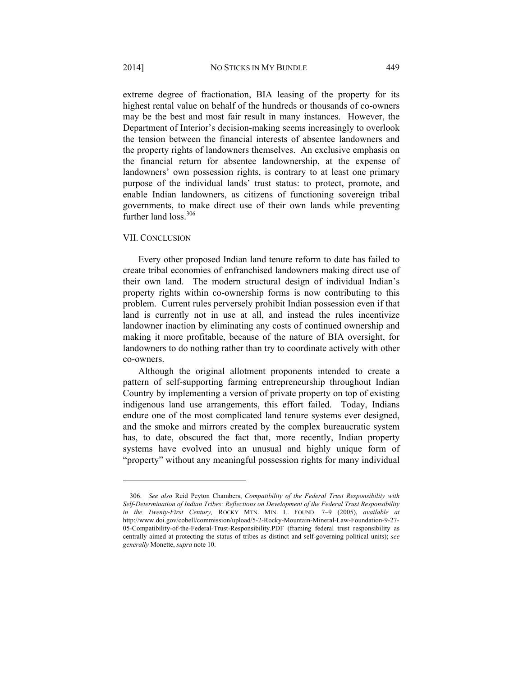extreme degree of fractionation, BIA leasing of the property for its highest rental value on behalf of the hundreds or thousands of co-owners may be the best and most fair result in many instances. However, the Department of Interior's decision-making seems increasingly to overlook the tension between the financial interests of absentee landowners and the property rights of landowners themselves. An exclusive emphasis on the financial return for absentee landownership, at the expense of landowners' own possession rights, is contrary to at least one primary purpose of the individual lands' trust status: to protect, promote, and enable Indian landowners, as citizens of functioning sovereign tribal governments, to make direct use of their own lands while preventing further land loss.<sup>306</sup>

## VII. CONCLUSION

l

Every other proposed Indian land tenure reform to date has failed to create tribal economies of enfranchised landowners making direct use of their own land. The modern structural design of individual Indian's property rights within co-ownership forms is now contributing to this problem. Current rules perversely prohibit Indian possession even if that land is currently not in use at all, and instead the rules incentivize landowner inaction by eliminating any costs of continued ownership and making it more profitable, because of the nature of BIA oversight, for landowners to do nothing rather than try to coordinate actively with other co-owners.

Although the original allotment proponents intended to create a pattern of self-supporting farming entrepreneurship throughout Indian Country by implementing a version of private property on top of existing indigenous land use arrangements, this effort failed. Today, Indians endure one of the most complicated land tenure systems ever designed, and the smoke and mirrors created by the complex bureaucratic system has, to date, obscured the fact that, more recently, Indian property systems have evolved into an unusual and highly unique form of "property" without any meaningful possession rights for many individual

 <sup>306.</sup> *See also* Reid Peyton Chambers, *Compatibility of the Federal Trust Responsibility with Self-Determination of Indian Tribes: Reflections on Development of the Federal Trust Responsibility in the Twenty-First Century,* ROCKY MTN. MIN. L. FOUND. 7–9 (2005), *available at*  http://www.doi.gov/cobell/commission/upload/5-2-Rocky-Mountain-Mineral-Law-Foundation-9-27- 05-Compatibility-of-the-Federal-Trust-Responsibility.PDF (framing federal trust responsibility as centrally aimed at protecting the status of tribes as distinct and self-governing political units); *see generally* Monette, *supra* note 10.